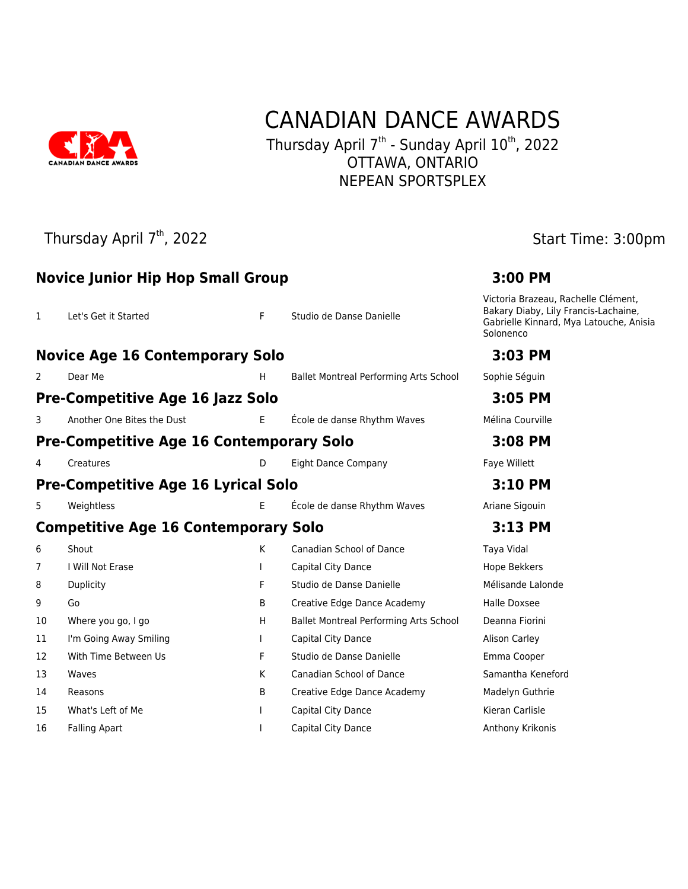

## CANADIAN DANCE AWARDS

Thursday April  $7<sup>th</sup>$  - Sunday April  $10<sup>th</sup>$ , 2022 OTTAWA, ONTARIO NEPEAN SPORTSPLEX

### Thursday April 7<sup>th</sup>, 2022 **Start Time: 3:00pm**

|                                             | <b>Novice Junior Hip Hop Small Group</b>        | 3:00 PM |                                               |                                                                                                                                     |
|---------------------------------------------|-------------------------------------------------|---------|-----------------------------------------------|-------------------------------------------------------------------------------------------------------------------------------------|
| $\mathbf{1}$                                | Let's Get it Started                            | F.      | Studio de Danse Danielle                      | Victoria Brazeau, Rachelle Clément,<br>Bakary Diaby, Lily Francis-Lachaine,<br>Gabrielle Kinnard, Mya Latouche, Anisia<br>Solonenco |
|                                             | <b>Novice Age 16 Contemporary Solo</b>          |         |                                               | 3:03 PM                                                                                                                             |
| 2                                           | Dear Me                                         | H.      | <b>Ballet Montreal Performing Arts School</b> | Sophie Séguin                                                                                                                       |
|                                             | <b>Pre-Competitive Age 16 Jazz Solo</b>         |         |                                               | 3:05 PM                                                                                                                             |
| 3.                                          | Another One Bites the Dust                      | E.      | École de danse Rhythm Waves                   | Mélina Courville                                                                                                                    |
|                                             | <b>Pre-Competitive Age 16 Contemporary Solo</b> |         |                                               | 3:08 PM                                                                                                                             |
|                                             | Creatures                                       | D       | <b>Eight Dance Company</b>                    | Faye Willett                                                                                                                        |
|                                             | <b>Pre-Competitive Age 16 Lyrical Solo</b>      |         | 3:10 PM                                       |                                                                                                                                     |
| 5                                           | Weightless                                      | E       | École de danse Rhythm Waves                   | Ariane Sigouin                                                                                                                      |
| <b>Competitive Age 16 Contemporary Solo</b> |                                                 |         |                                               | 3:13 PM                                                                                                                             |
| 6                                           | Shout                                           | K       | <b>Canadian School of Dance</b>               | Taya Vidal                                                                                                                          |
| 7                                           | I Will Not Erase                                |         | Capital City Dance                            | Hope Bekkers                                                                                                                        |
| 8                                           | Duplicity                                       | F       | Studio de Danse Danielle                      | Mélisande Lalonde                                                                                                                   |
| 9                                           | Go                                              | B       | Creative Edge Dance Academy                   | <b>Halle Doxsee</b>                                                                                                                 |
| 10                                          | Where you go, I go                              | H       | <b>Ballet Montreal Performing Arts School</b> | Deanna Fiorini                                                                                                                      |
| 11                                          | I'm Going Away Smiling                          |         | Capital City Dance                            | Alison Carley                                                                                                                       |
| 12                                          | With Time Between Us                            | F.      | Studio de Danse Danielle                      | Emma Cooper                                                                                                                         |
| 13                                          | Waves                                           | K       | Canadian School of Dance                      | Samantha Keneford                                                                                                                   |
| 14                                          | Reasons                                         | B       | Creative Edge Dance Academy                   | Madelyn Guthrie                                                                                                                     |
| 15                                          | What's Left of Me                               |         | Capital City Dance                            | Kieran Carlisle                                                                                                                     |
| 16                                          | Falling Apart                                   |         | Capital City Dance                            | Anthony Krikonis                                                                                                                    |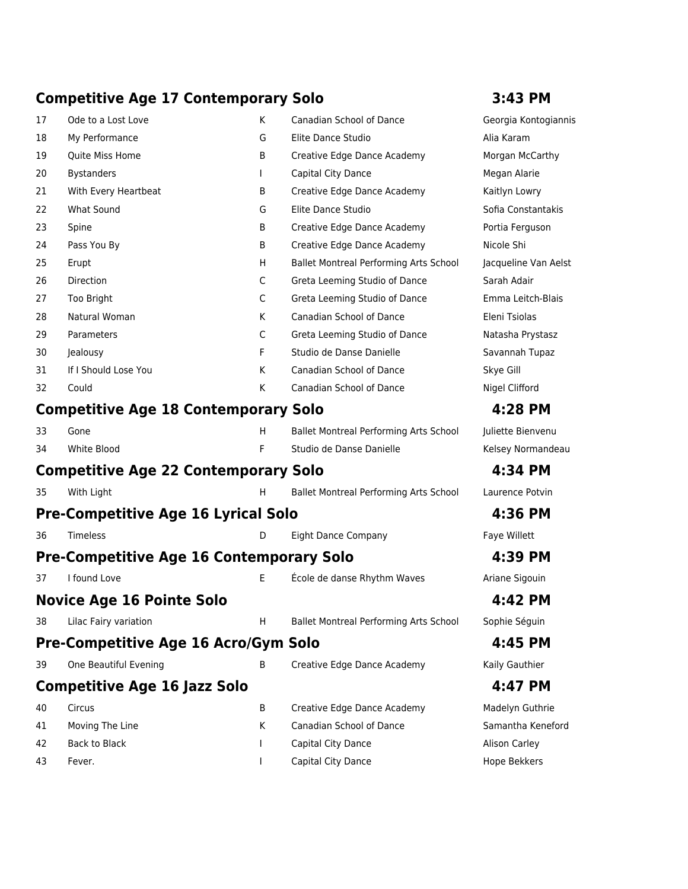### **Competitive Age 17 Contemporary Solo 3:43 PM**

| 17 | Ode to a Lost Love                              | K           | Canadian School of Dance                      | Georgia Kontogiannis |
|----|-------------------------------------------------|-------------|-----------------------------------------------|----------------------|
| 18 | My Performance                                  | G           | Elite Dance Studio                            | Alia Karam           |
| 19 | Quite Miss Home                                 | B           | Creative Edge Dance Academy                   | Morgan McCarthy      |
| 20 | <b>Bystanders</b>                               |             | Capital City Dance                            | Megan Alarie         |
| 21 | With Every Heartbeat                            | B           | Creative Edge Dance Academy                   | Kaitlyn Lowry        |
| 22 | <b>What Sound</b>                               | G           | Elite Dance Studio                            | Sofia Constantakis   |
| 23 | Spine                                           | B           | Creative Edge Dance Academy                   | Portia Ferguson      |
| 24 | Pass You By                                     | B           | Creative Edge Dance Academy                   | Nicole Shi           |
| 25 | Erupt                                           | H           | <b>Ballet Montreal Performing Arts School</b> | Jacqueline Van Aelst |
| 26 | Direction                                       | $\mathsf C$ | Greta Leeming Studio of Dance                 | Sarah Adair          |
| 27 | Too Bright                                      | C           | Greta Leeming Studio of Dance                 | Emma Leitch-Blais    |
| 28 | Natural Woman                                   | K           | Canadian School of Dance                      | Eleni Tsiolas        |
| 29 | Parameters                                      | $\mathsf C$ | Greta Leeming Studio of Dance                 | Natasha Prystasz     |
| 30 | Jealousy                                        | F           | Studio de Danse Danielle                      | Savannah Tupaz       |
| 31 | If I Should Lose You                            | K           | Canadian School of Dance                      | Skye Gill            |
| 32 | Could                                           | K           | Canadian School of Dance                      | Nigel Clifford       |
|    | <b>Competitive Age 18 Contemporary Solo</b>     |             |                                               | 4:28 PM              |
| 33 | Gone                                            | H           | Ballet Montreal Performing Arts School        | Juliette Bienvenu    |
| 34 | White Blood                                     | F           | Studio de Danse Danielle                      | Kelsey Normandeau    |
|    | <b>Competitive Age 22 Contemporary Solo</b>     |             |                                               | 4:34 PM              |
| 35 | With Light                                      | H.          | Ballet Montreal Performing Arts School        | Laurence Potvin      |
|    | <b>Pre-Competitive Age 16 Lyrical Solo</b>      |             |                                               | 4:36 PM              |
| 36 | Timeless                                        | D           | <b>Eight Dance Company</b>                    | Faye Willett         |
|    | <b>Pre-Competitive Age 16 Contemporary Solo</b> |             |                                               | 4:39 PM              |
| 37 | I found Love                                    | E           | École de danse Rhythm Waves                   | Ariane Sigouin       |
|    | <b>Novice Age 16 Pointe Solo</b>                |             |                                               | 4:42 PM              |
| 38 | Lilac Fairy variation                           | H.          | Ballet Montreal Performing Arts School        | Sophie Séguin        |
|    | <b>Pre-Competitive Age 16 Acro/Gym Solo</b>     |             |                                               | 4:45 PM              |
| 39 | One Beautiful Evening                           | B           | Creative Edge Dance Academy                   | Kaily Gauthier       |
|    | <b>Competitive Age 16 Jazz Solo</b>             |             |                                               | 4:47 PM              |
| 40 | Circus                                          | B           | Creative Edge Dance Academy                   | Madelyn Guthrie      |
| 41 | Moving The Line                                 | K           | Canadian School of Dance                      | Samantha Keneford    |
| 42 | <b>Back to Black</b>                            |             | Capital City Dance                            | <b>Alison Carley</b> |
| 43 | Fever.                                          |             | Capital City Dance                            | Hope Bekkers         |
|    |                                                 |             |                                               |                      |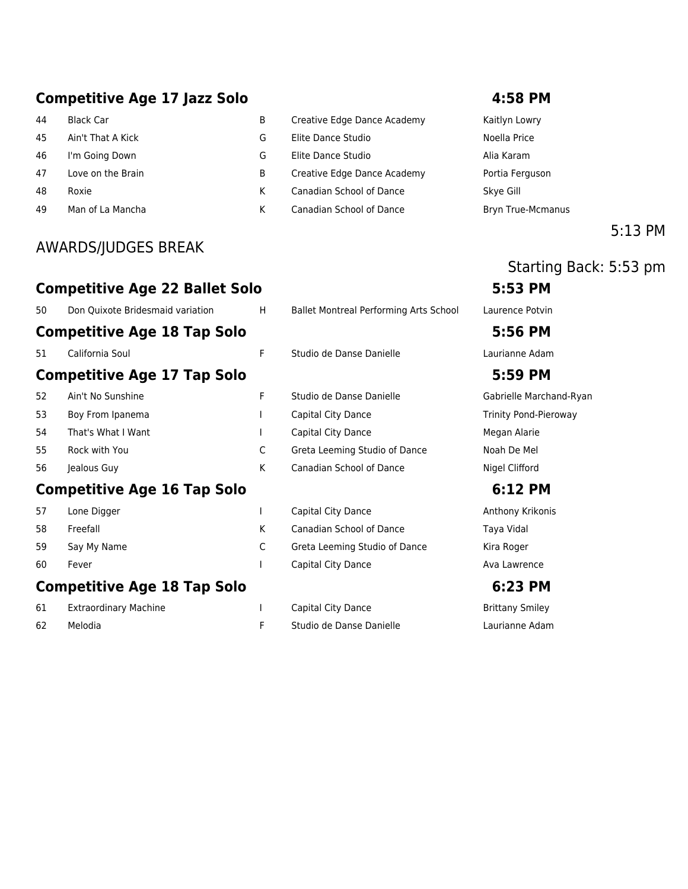### **Competitive Age 17 Jazz Solo 4:58 PM**

- 
- 
- 
- 
- 
- 

### AWARDS/JUDGES BREAK

- 44 Black Car **B** B Creative Edge Dance Academy **Kaitlyn Lowry**
- 45 Ain't That A Kick G Elite Dance Studio Noella Price
- 46 I'm Going Down G Elite Dance Studio Alia Karam
- 47 Love on the Brain **B** Creative Edge Dance Academy Portia Ferguson
- 48 Roxie March 2012 (K Canadian School of Dance Skye Gill
- 49 Man of La Mancha **K** Canadian School of Dance **Bryn True-Mcmanus**

### 5:13 PM

### Starting Back: 5:53 pm **Competitive Age 22 Ballet Solo 5:53 PM**

| 50 | Don Quixote Bridesmaid variation   | H | <b>Ballet Montreal Performing Arts School</b> | Laurence Potvin   |
|----|------------------------------------|---|-----------------------------------------------|-------------------|
|    | <b>Competitive Age 18 Tap Solo</b> |   |                                               | 5:56 PM           |
| 51 | California Soul                    | F | Studio de Danse Danielle                      | Laurianne Adam    |
|    | <b>Competitive Age 17 Tap Solo</b> |   |                                               | 5:59 PM           |
| 52 | Ain't No Sunshine                  | F | Studio de Danse Danielle                      | Gabrielle March   |
| 53 | Boy From Ipanema                   |   | Capital City Dance                            | Trinity Pond-Pier |
| 54 | That's What I Want                 |   | Capital City Dance                            | Megan Alarie      |
| 55 | Rock with You                      | C | Greta Leeming Studio of Dance                 | Noah De Mel       |
| 56 | Jealous Guy                        | K | <b>Canadian School of Dance</b>               | Nigel Clifford    |
|    |                                    |   |                                               |                   |

### **Competitive Age 16 Tap Solo 6:12 PM**

| 57 | Lone Digger |
|----|-------------|
| 58 | Freefall    |
| 59 | Say My Name |
| 60 | Fever       |

### **Competitive Age 18 Tap Solo 6:23 PM**

| 61 | Extraordinary Machine |
|----|-----------------------|
| 62 | Melodia               |

1 Capital City Dance **Extraordinary Smiley** Brittany Smiley F Studio de Danse Danielle Laurianne Adam

# 51 California Soul F Studio de Danse Danielle Laurianne Adam

52 Ain't No Sunshine F Studio de Danse Danielle Gabrielle Marchand-Ryan pital City Dance Trinity Pond-Pieroway pital City Dance **Megan Alarie** eta Leeming Studio of Dance Noah De Mel nadian School of Dance Nigel Clifford

1 Capital City Dance **Anthony Krikonis** K Canadian School of Dance Taya Vidal C Greta Leeming Studio of Dance Kira Roger 1 Capital City Dance **Ava Lawrence** Ava Lawrence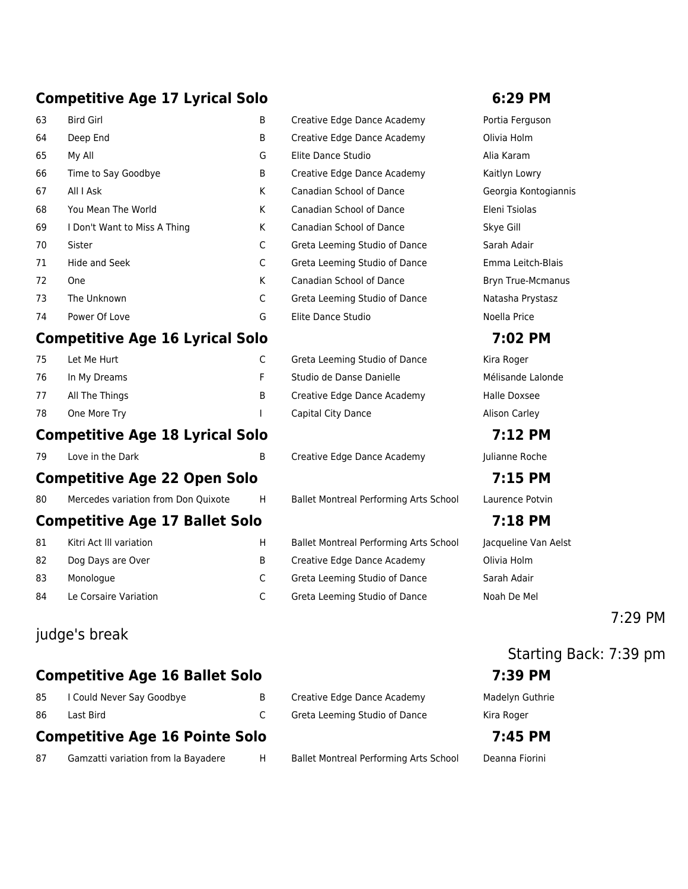### **Competitive Age 17 Lyrical Solo 6:29 PM**

| 63 | <b>Bird Girl</b>             | B | Creative Edge Dance Academy     | Portia Fergu  |
|----|------------------------------|---|---------------------------------|---------------|
| 64 | Deep End                     | B | Creative Edge Dance Academy     | Olivia Holm   |
| 65 | My All                       | G | Elite Dance Studio              | Alia Karam    |
| 66 | Time to Say Goodbye          | B | Creative Edge Dance Academy     | Kaitlyn Lowr  |
| 67 | All I Ask                    | K | <b>Canadian School of Dance</b> | Georgia Kon   |
| 68 | You Mean The World           | K | Canadian School of Dance        | Eleni Tsiolas |
| 69 | I Don't Want to Miss A Thing | K | Canadian School of Dance        | Skye Gill     |
| 70 | Sister                       | C | Greta Leeming Studio of Dance   | Sarah Adair   |
| 71 | Hide and Seek                | C | Greta Leeming Studio of Dance   | Emma Leitch   |
| 72 | <b>One</b>                   | K | Canadian School of Dance        | Bryn True-M   |
| 73 | The Unknown                  | C | Greta Leeming Studio of Dance   | Natasha Pry:  |
| 74 | Power Of Love                | G | Elite Dance Studio              | Noella Price  |

### **Competitive Age 16 Lyrical Solo 7:02 PM**

| Let Me Hurt    |   |
|----------------|---|
| In My Dreams   |   |
| All The Things | в |
| One More Try   |   |
|                |   |

### **Competitive Age 18 Lyrical Solo 7:12 PM**

79 Love in the Dark B Creative Edge Dance Academy Julianne Roche

### **Competitive Age 22 Open Solo 7:15 PM**

80 Mercedes variation from Don Quixote H Ballet Montreal Performing Arts School Laurence Potvin

### **Competitive Age 17 Ballet Solo 7:18 PM**

| 81 | Kitri Act III variation |
|----|-------------------------|
| 82 | Dog Days are Over       |
| 83 | Monologue               |
| 84 | Le Corsaire Variation   |

### judge's break

### **Competitive Age 16 Ballet Solo 7:39 PM**

| 85 | I Could Never Say Goodbye |
|----|---------------------------|
| 86 | Last Bird                 |

### **Competitive Age 16 Pointe Solo 7:45 PM**

87 Gamzatti variation from la Bayadere H Ballet Montreal Performing Arts School Deanna Fiorini

| Creative Edge Dance Academy     | Portia Fergu  |
|---------------------------------|---------------|
| Creative Edge Dance Academy     | Olivia Holm   |
| Elite Dance Studio              | Alia Karam    |
| Creative Edge Dance Academy     | Kaitlyn Lowr  |
| <b>Canadian School of Dance</b> | Georgia Kor   |
| Canadian School of Dance        | Eleni Tsiolas |
| Canadian School of Dance        | Skye Gill     |
| Greta Leeming Studio of Dance   | Sarah Adair   |
| Greta Leeming Studio of Dance   | Emma Leitc    |
| <b>Canadian School of Dance</b> | Bryn True-M   |
| Greta Leeming Studio of Dance   | Natasha Pry   |
| Elite Dance Studio              | Noella Price  |

75 Let Me Hurt C Greta Leeming Studio of Dance Kira Roger Studio de Danse Danielle Mélisande Lalonde Creative Edge Dance Academy Halle Doxsee Capital City Dance **Alison Carley** 

H Ballet Montreal Performing Arts School Jacqueline Van Aelst B Creative Edge Dance Academy **Divia Holm** C Greta Leeming Studio of Dance Sarah Adair C Greta Leeming Studio of Dance Noah De Mel

Portia Ferguson Kaitlyn Lowry Georgia Kontogiannis Emma Leitch-Blais Bryn True-Mcmanus Natasha Prystasz

### 7:29 PM

## Starting Back: 7:39 pm

B Creative Edge Dance Academy Madelyn Guthrie C Greta Leeming Studio of Dance Kira Roger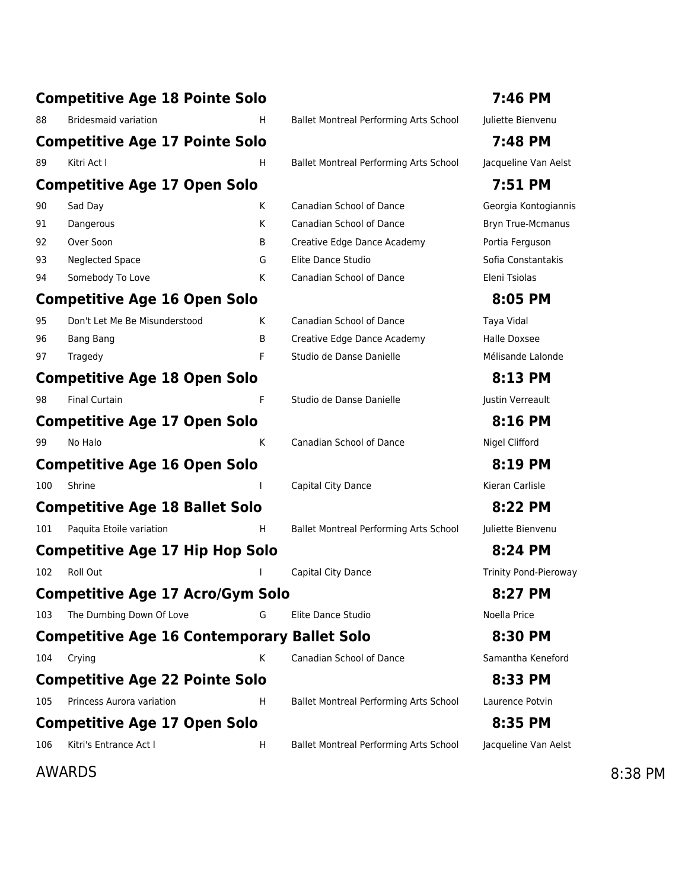|     | <b>Competitive Age 18 Pointe Solo</b>              |    |                                        | 7:46 PM                      |         |
|-----|----------------------------------------------------|----|----------------------------------------|------------------------------|---------|
| 88  | <b>Bridesmaid variation</b>                        | H. | Ballet Montreal Performing Arts School | Juliette Bienvenu            |         |
|     | <b>Competitive Age 17 Pointe Solo</b>              |    |                                        | 7:48 PM                      |         |
| 89  | Kitri Act I                                        | H  | Ballet Montreal Performing Arts School | Jacqueline Van Aelst         |         |
|     | <b>Competitive Age 17 Open Solo</b>                |    |                                        | 7:51 PM                      |         |
| 90  | Sad Day                                            | K  | <b>Canadian School of Dance</b>        | Georgia Kontogiannis         |         |
| 91  | Dangerous                                          | K  | <b>Canadian School of Dance</b>        | <b>Bryn True-Mcmanus</b>     |         |
| 92  | Over Soon                                          | B  | Creative Edge Dance Academy            | Portia Ferguson              |         |
| 93  | <b>Neglected Space</b>                             | G  | Elite Dance Studio                     | Sofia Constantakis           |         |
| 94  | Somebody To Love                                   | K  | Canadian School of Dance               | Eleni Tsiolas                |         |
|     | <b>Competitive Age 16 Open Solo</b>                |    |                                        | 8:05 PM                      |         |
| 95  | Don't Let Me Be Misunderstood                      | K. | <b>Canadian School of Dance</b>        | Taya Vidal                   |         |
| 96  | <b>Bang Bang</b>                                   | B  | Creative Edge Dance Academy            | Halle Doxsee                 |         |
| 97  | Tragedy                                            | F  | Studio de Danse Danielle               | Mélisande Lalonde            |         |
|     | <b>Competitive Age 18 Open Solo</b>                |    |                                        | 8:13 PM                      |         |
| 98  | <b>Final Curtain</b>                               | F  | Studio de Danse Danielle               | Justin Verreault             |         |
|     | <b>Competitive Age 17 Open Solo</b>                |    |                                        | 8:16 PM                      |         |
| 99  | No Halo                                            | К  | Canadian School of Dance               | Nigel Clifford               |         |
|     | <b>Competitive Age 16 Open Solo</b>                |    |                                        | 8:19 PM                      |         |
| 100 | Shrine                                             |    | Capital City Dance                     | Kieran Carlisle              |         |
|     | <b>Competitive Age 18 Ballet Solo</b>              |    |                                        | 8:22 PM                      |         |
| 101 | Paquita Etoile variation                           | H  | Ballet Montreal Performing Arts School | Juliette Bienvenu            |         |
|     | <b>Competitive Age 17 Hip Hop Solo</b>             |    |                                        | 8:24 PM                      |         |
| 102 | Roll Out                                           |    | Capital City Dance                     | <b>Trinity Pond-Pieroway</b> |         |
|     | <b>Competitive Age 17 Acro/Gym Solo</b>            |    |                                        | 8:27 PM                      |         |
| 103 | The Dumbing Down Of Love                           | G  | Elite Dance Studio                     | Noella Price                 |         |
|     | <b>Competitive Age 16 Contemporary Ballet Solo</b> |    |                                        | 8:30 PM                      |         |
| 104 | Crying                                             | Κ  | Canadian School of Dance               | Samantha Keneford            |         |
|     | <b>Competitive Age 22 Pointe Solo</b>              |    |                                        | 8:33 PM                      |         |
| 105 | Princess Aurora variation                          | H  | Ballet Montreal Performing Arts School | Laurence Potvin              |         |
|     | <b>Competitive Age 17 Open Solo</b>                |    |                                        | 8:35 PM                      |         |
| 106 | Kitri's Entrance Act I                             | H  | Ballet Montreal Performing Arts School | Jacqueline Van Aelst         |         |
|     | <b>AWARDS</b>                                      |    |                                        |                              | 8:38 PM |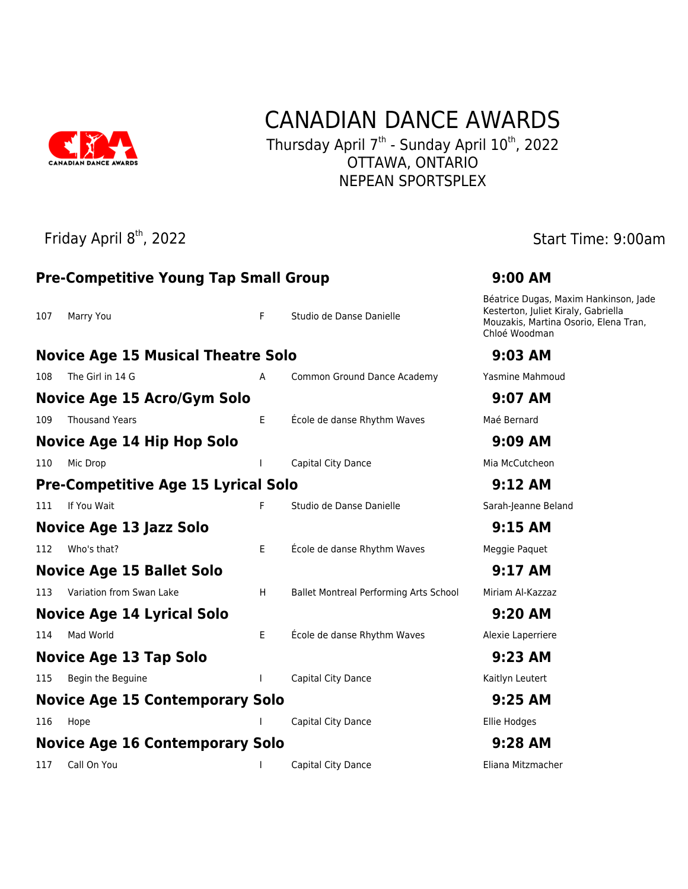

## CANADIAN DANCE AWARDS

Thursday April 7<sup>th</sup> - Sunday April 10<sup>th</sup>, 2022 OTTAWA, ONTARIO NEPEAN SPORTSPLEX

Friday April 8<sup>th</sup>, 2022 **Start Time: 9:00am** 

|     | <b>Pre-Competitive Young Tap Small Group</b> | 9:00 AM |                                        |                                                                                                                                        |
|-----|----------------------------------------------|---------|----------------------------------------|----------------------------------------------------------------------------------------------------------------------------------------|
| 107 | Marry You                                    | F       | Studio de Danse Danielle               | Béatrice Dugas, Maxim Hankinson, Jade<br>Kesterton, Juliet Kiraly, Gabriella<br>Mouzakis, Martina Osorio, Elena Tran,<br>Chloé Woodman |
|     | <b>Novice Age 15 Musical Theatre Solo</b>    |         |                                        | 9:03 AM                                                                                                                                |
| 108 | The Girl in 14 G                             | A       | Common Ground Dance Academy            | Yasmine Mahmoud                                                                                                                        |
|     | <b>Novice Age 15 Acro/Gym Solo</b>           |         |                                        | 9:07 AM                                                                                                                                |
| 109 | <b>Thousand Years</b>                        | E       | École de danse Rhythm Waves            | Maé Bernard                                                                                                                            |
|     | <b>Novice Age 14 Hip Hop Solo</b>            |         |                                        | 9:09 AM                                                                                                                                |
| 110 | Mic Drop                                     |         | Capital City Dance                     | Mia McCutcheon                                                                                                                         |
|     | <b>Pre-Competitive Age 15 Lyrical Solo</b>   |         |                                        | 9:12 AM                                                                                                                                |
| 111 | If You Wait                                  | F       | Studio de Danse Danielle               | Sarah-Jeanne Beland                                                                                                                    |
|     | <b>Novice Age 13 Jazz Solo</b>               | 9:15AM  |                                        |                                                                                                                                        |
| 112 | Who's that?                                  | E       | École de danse Rhythm Waves            | Meggie Paquet                                                                                                                          |
|     | <b>Novice Age 15 Ballet Solo</b>             |         |                                        | 9:17 AM                                                                                                                                |
| 113 | Variation from Swan Lake                     | H       | Ballet Montreal Performing Arts School | Miriam Al-Kazzaz                                                                                                                       |
|     | Novice Age 14 Lyrical Solo                   |         |                                        | 9:20 AM                                                                                                                                |
| 114 | Mad World                                    | E       | École de danse Rhythm Waves            | Alexie Laperriere                                                                                                                      |
|     | Novice Age 13 Tap Solo                       |         |                                        | 9:23 AM                                                                                                                                |
| 115 | Begin the Beguine                            |         | Capital City Dance                     | Kaitlyn Leutert                                                                                                                        |
|     | <b>Novice Age 15 Contemporary Solo</b>       | 9:25 AM |                                        |                                                                                                                                        |
| 116 | Hope                                         |         | Capital City Dance                     | Ellie Hodges                                                                                                                           |
|     | <b>Novice Age 16 Contemporary Solo</b>       | 9:28 AM |                                        |                                                                                                                                        |
| 117 | Call On You                                  |         | Capital City Dance                     | Eliana Mitzmacher                                                                                                                      |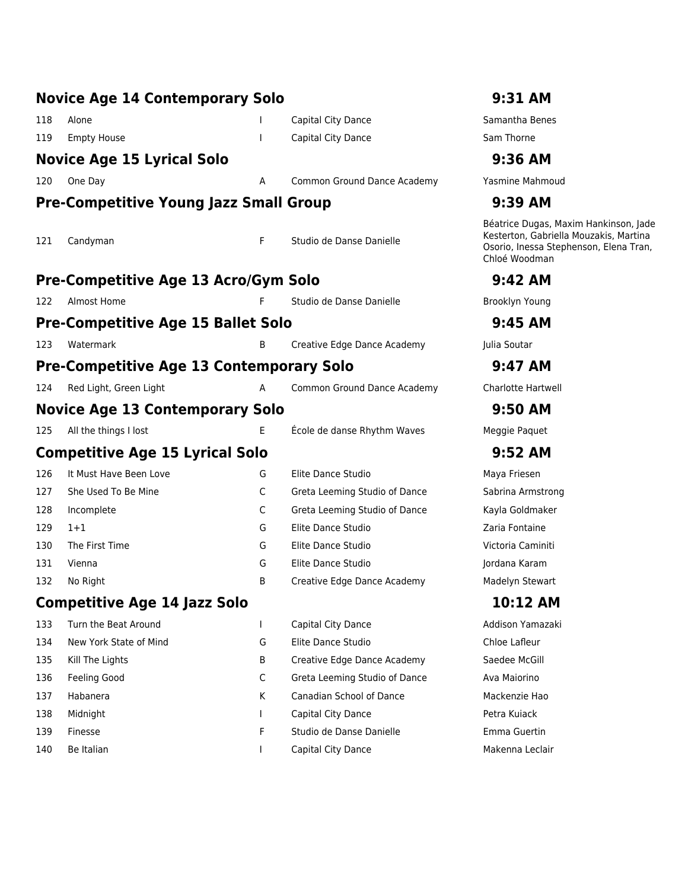|     | <b>Novice Age 14 Contemporary Solo</b>          |   |                               | 9:31 AM                                                                                                                                    |
|-----|-------------------------------------------------|---|-------------------------------|--------------------------------------------------------------------------------------------------------------------------------------------|
| 118 | Alone                                           |   | Capital City Dance            | Samantha Benes                                                                                                                             |
| 119 | <b>Empty House</b>                              |   | Capital City Dance            | Sam Thorne                                                                                                                                 |
|     | <b>Novice Age 15 Lyrical Solo</b>               |   |                               | 9:36 AM                                                                                                                                    |
| 120 | One Day                                         | Α | Common Ground Dance Academy   | Yasmine Mahmoud                                                                                                                            |
|     | <b>Pre-Competitive Young Jazz Small Group</b>   |   |                               | 9:39 AM                                                                                                                                    |
| 121 | Candyman                                        | F | Studio de Danse Danielle      | Béatrice Dugas, Maxim Hankinson, Jade<br>Kesterton, Gabriella Mouzakis, Martina<br>Osorio, Inessa Stephenson, Elena Tran,<br>Chloé Woodman |
|     | <b>Pre-Competitive Age 13 Acro/Gym Solo</b>     |   |                               | 9:42 AM                                                                                                                                    |
| 122 | Almost Home                                     | F | Studio de Danse Danielle      | Brooklyn Young                                                                                                                             |
|     | <b>Pre-Competitive Age 15 Ballet Solo</b>       |   |                               | $9:45$ AM                                                                                                                                  |
| 123 | Watermark                                       | B | Creative Edge Dance Academy   | Julia Soutar                                                                                                                               |
|     | <b>Pre-Competitive Age 13 Contemporary Solo</b> |   |                               | 9:47 AM                                                                                                                                    |
| 124 | Red Light, Green Light                          | Α | Common Ground Dance Academy   | <b>Charlotte Hartwell</b>                                                                                                                  |
|     | <b>Novice Age 13 Contemporary Solo</b>          |   |                               | 9:50 AM                                                                                                                                    |
| 125 | All the things I lost                           | E | École de danse Rhythm Waves   | Meggie Paquet                                                                                                                              |
|     | <b>Competitive Age 15 Lyrical Solo</b>          |   |                               | 9:52 AM                                                                                                                                    |
| 126 | It Must Have Been Love                          | G | Elite Dance Studio            | Maya Friesen                                                                                                                               |
| 127 | She Used To Be Mine                             | C | Greta Leeming Studio of Dance | Sabrina Armstrong                                                                                                                          |
| 128 | Incomplete                                      | C | Greta Leeming Studio of Dance | Kayla Goldmaker                                                                                                                            |
| 129 | $1+1$                                           | G | Elite Dance Studio            | Zaria Fontaine                                                                                                                             |
| 130 | The First Time                                  | G | Elite Dance Studio            | Victoria Caminiti                                                                                                                          |
| 131 | Vienna                                          | G | Elite Dance Studio            | Jordana Karam                                                                                                                              |
| 132 | No Right                                        | В | Creative Edge Dance Academy   | Madelyn Stewart                                                                                                                            |
|     | <b>Competitive Age 14 Jazz Solo</b>             |   |                               | 10:12 AM                                                                                                                                   |
| 133 | Turn the Beat Around                            | T | Capital City Dance            | Addison Yamazaki                                                                                                                           |
| 134 | New York State of Mind                          | G | Elite Dance Studio            | Chloe Lafleur                                                                                                                              |
| 135 | Kill The Lights                                 | B | Creative Edge Dance Academy   | Saedee McGill                                                                                                                              |
| 136 | Feeling Good                                    | C | Greta Leeming Studio of Dance | Ava Maiorino                                                                                                                               |
| 137 | Habanera                                        | K | Canadian School of Dance      | Mackenzie Hao                                                                                                                              |
| 138 | Midnight                                        |   | Capital City Dance            | Petra Kuiack                                                                                                                               |
| 139 | Finesse                                         | F | Studio de Danse Danielle      | Emma Guertin                                                                                                                               |
| 140 | Be Italian                                      |   | Capital City Dance            | Makenna Leclair                                                                                                                            |
|     |                                                 |   |                               |                                                                                                                                            |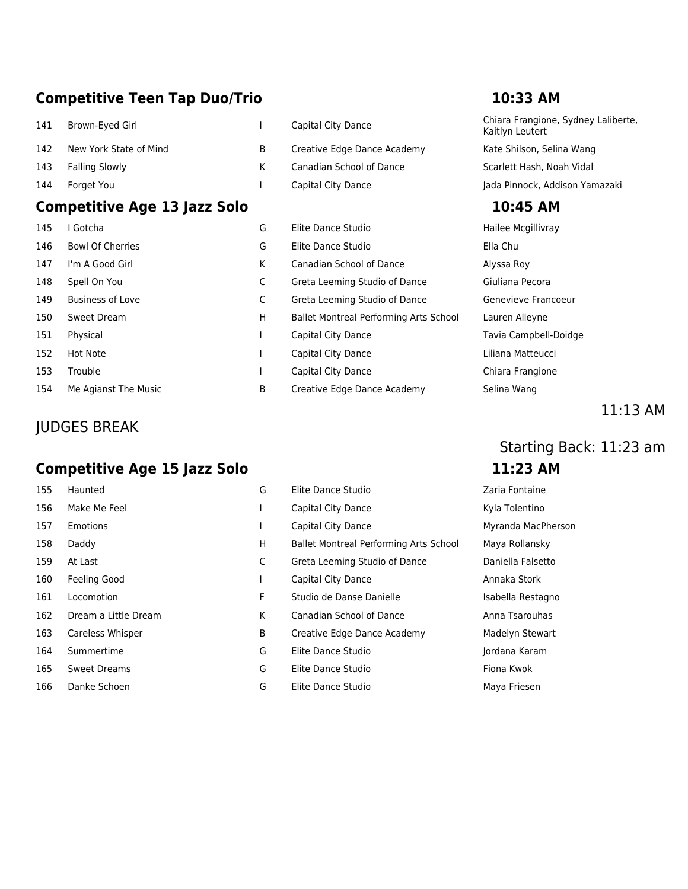### **Competitive Teen Tap Duo/Trio 10:33 AM**

- 142 New York State of Mind B Creative Edge Dance Academy Kate Shilson, Selina Wang 143 Falling Slowly Scarlett Hash, Noah Vidal K Canadian School of Dance Scarlett Hash, Noah Vidal
- 

### **Competitive Age 13 Jazz Solo 10:45 AM**

| 145 | I Gotcha                |
|-----|-------------------------|
| 146 | <b>Bowl Of Cherries</b> |
| 147 | I'm A Good Girl         |
| 148 | Spell On You            |
| 149 | <b>Business of Love</b> |
| 150 | Sweet Dream             |
| 151 | Physical                |
| 152 | Hot Note                |
| 153 | Trouble                 |
| 154 | Me Agianst The Music    |

### JUDGES BREAK

### **Competitive Age 15 Jazz Solo 11:23 AM**

| 155 | Haunted              |
|-----|----------------------|
| 156 | Make Me Feel         |
| 157 | Emotions             |
| 158 | Daddy                |
| 159 | At Last              |
| 160 | Feeling Good         |
| 161 | Locomotion           |
| 162 | Dream a Little Drean |
| 163 | Careless Whisper     |
| 164 | Summertime           |
| 165 | Sweet Dreams         |
| 166 | Danke Schoen         |

| 141 | Brown-Eyed Girl        | Capital City Dance          | Chiara Frangione, Sydney Lalibe<br>Kaitlyn Leutert |
|-----|------------------------|-----------------------------|----------------------------------------------------|
| 142 | New York State of Mind | Creative Edge Dance Academy | Kate Shilson, Selina Wang                          |
| 143 | Falling Slowly         | Canadian School of Dance    | Scarlett Hash, Noah Vidal                          |
| 144 | Forget You             | Capital City Dance          | Jada Pinnock, Addison Yamazaki                     |

| 145 | I Gotcha                | G | Elite Dance Studio                     | Hailee Mcgillivray    |
|-----|-------------------------|---|----------------------------------------|-----------------------|
| 146 | <b>Bowl Of Cherries</b> | G | Elite Dance Studio                     | Ella Chu              |
| 147 | I'm A Good Girl         | К | Canadian School of Dance               | Alyssa Roy            |
| 148 | Spell On You            | C | Greta Leeming Studio of Dance          | Giuliana Pecora       |
| 149 | <b>Business of Love</b> | C | Greta Leeming Studio of Dance          | Genevieve Francoeur   |
| 150 | Sweet Dream             | H | Ballet Montreal Performing Arts School | Lauren Alleyne        |
| 151 | Physical                |   | Capital City Dance                     | Tavia Campbell-Doidge |
| 152 | Hot Note                |   | Capital City Dance                     | Liliana Matteucci     |
| 153 | Trouble                 |   | Capital City Dance                     | Chiara Frangione      |
| 154 | Me Agianst The Music    | B | Creative Edge Dance Academy            | Selina Wang           |

| Hailee Mcgillivray    |
|-----------------------|
| Flla Chu              |
| Alyssa Roy            |
| Giuliana Pecora       |
| Genevieve Francoeur   |
| Lauren Alleyne        |
| Tavia Campbell-Doidge |
| I iliana Matteucci    |
| Chiara Frangione      |
| Selina Wang           |

### 11:13 AM

## Starting Back: 11:23 am

| 155 | Haunted              | G | Elite Dance Studio                     | Zaria Fontaine    |
|-----|----------------------|---|----------------------------------------|-------------------|
| 156 | Make Me Feel         |   | Capital City Dance                     | Kyla Tolentino    |
| 157 | Emotions             |   | Capital City Dance                     | Myranda MacPh     |
| 158 | Daddy                | н | Ballet Montreal Performing Arts School | Maya Rollansky    |
| 159 | At Last              | C | Greta Leeming Studio of Dance          | Daniella Falsetto |
| 160 | Feeling Good         |   | Capital City Dance                     | Annaka Stork      |
| 161 | Locomotion           | F | Studio de Danse Danielle               | Isabella Restagn  |
| 162 | Dream a Little Dream | K | Canadian School of Dance               | Anna Tsarouhas    |
| 163 | Careless Whisper     | B | Creative Edge Dance Academy            | Madelyn Stewar    |
| 164 | Summertime           | G | Elite Dance Studio                     | Jordana Karam     |
| 165 | Sweet Dreams         | G | Elite Dance Studio                     | Fiona Kwok        |
|     |                      |   |                                        |                   |

166 Danke Schoen G Elite Dance Studio Maya Friesen

Kyla Tolentino Myranda MacPherson I Maya Rollansky Daniella Falsetto Annaka Stork Isabella Restagno Madelyn Stewart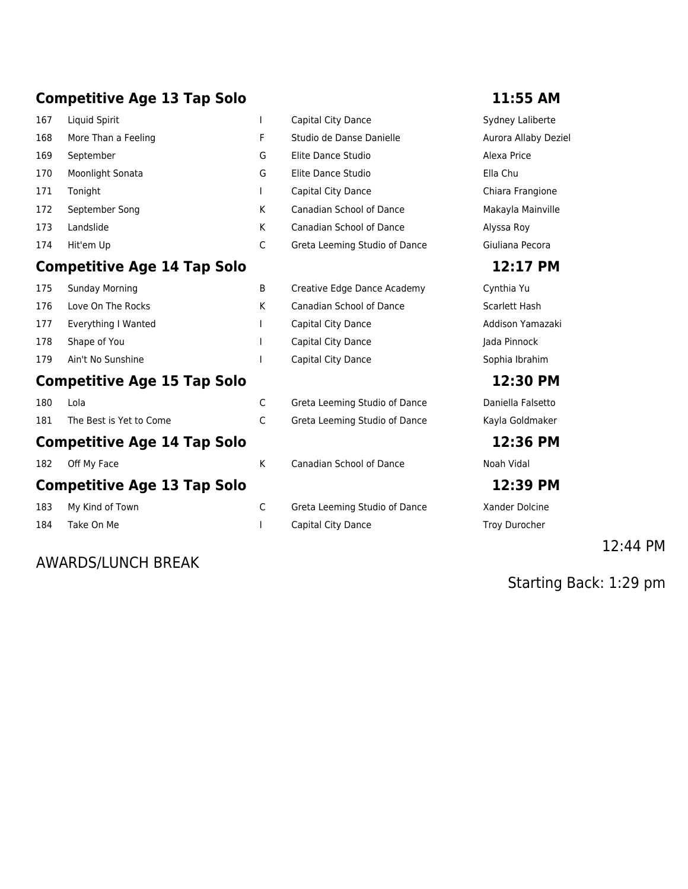### **Competitive Age 13 Tap Solo 11:55 AM**

| 1. J F | Constant March 10                  |    |                               | $P_1 = L_1 L_2 = M_2$ |
|--------|------------------------------------|----|-------------------------------|-----------------------|
|        | <b>Competitive Age 14 Tap Solo</b> |    |                               | 12:17                 |
| 174    | Hit'em Up                          | C  | Greta Leeming Studio of Dance | Giuliana Pe           |
| 173    | Landslide                          | K  | Canadian School of Dance      | Alyssa Roy            |
| 172    | September Song                     | К  | Canadian School of Dance      | Makayla Ma            |
| 171    | Tonight                            |    | Capital City Dance            | Chiara Frar           |
| 170    | Moonlight Sonata                   | G  | Elite Dance Studio            | Ella Chu              |
| 169    | September                          | G  | Elite Dance Studio            | Alexa Price           |
| 168    | More Than a Feeling                | F. | Studio de Danse Danielle      | Aurora Alla           |
| 167    | Liquid Spirit                      |    | Capital City Dance            | Sydney Lal            |

### **Competitive Age 14 Tap Solo 12:17 PM**

| 175 | Sunday Morning      | B | Creative Edge Dance Academy | Cynthia Yu    |
|-----|---------------------|---|-----------------------------|---------------|
| 176 | Love On The Rocks   |   | Canadian School of Dance    | Scarlett Hash |
| 177 | Everything I Wanted |   | Capital City Dance          | Addison Yama  |
| 178 | Shape of You        |   | Capital City Dance          | Jada Pinnock  |
| 179 | Ain't No Sunshine   |   | Capital City Dance          | Sophia Ibrahi |
|     |                     |   |                             |               |

### **Competitive Age 15 Tap Solo 12:30 PM**

| Comnetitive Ane 14 Tan Solo |                             |  |  |  |  |
|-----------------------------|-----------------------------|--|--|--|--|
|                             | 181 The Best is Yet to Come |  |  |  |  |
| 180                         | – Lola                      |  |  |  |  |

### **Competitive Age 14 Tap Solo 12:36 PM**

### **Competitive Age 13 Tap Solo 12:39 PM**

| 183 |  | My Kind of Town |  |
|-----|--|-----------------|--|
|     |  |                 |  |

### AWARDS/LUNCH BREAK

| I | Capital City Dance            | Sydney Laliberte     |
|---|-------------------------------|----------------------|
| F | Studio de Danse Danielle      | Aurora Allaby Deziel |
| G | Elite Dance Studio            | Alexa Price          |
| G | Elite Dance Studio            | Ella Chu             |
| I | Capital City Dance            | Chiara Frangione     |
| К | Canadian School of Dance      | Makayla Mainville    |
| K | Canadian School of Dance      | Alyssa Roy           |
| C | Greta Leeming Studio of Dance | Giuliana Pecora      |
|   |                               | 12:17 PM             |
| B | Creative Edge Dance Academy   | Cynthia Yu           |
|   |                               |                      |

| Canadian School of Dance |
|--------------------------|
| Capital City Dance       |
| Capital City Dance       |
| .                        |

C Greta Leeming Studio of Dance **Daniella Falsetto** 1818 The Best of Come Come Constants Come Constants Contractor Constants Constants Constants Constants Constants Co

182 Off My Face Same Canadian School of Dance Noah Vidal

C Greta Leeming Studio of Dance Xander Dolcine 184 Take On Me **I** Capital City Dance Troy Durocher

Addison Yamazaki Jada Pinnock Capital City Dance Sophia Ibrahim

### 12:44 PM

Starting Back: 1:29 pm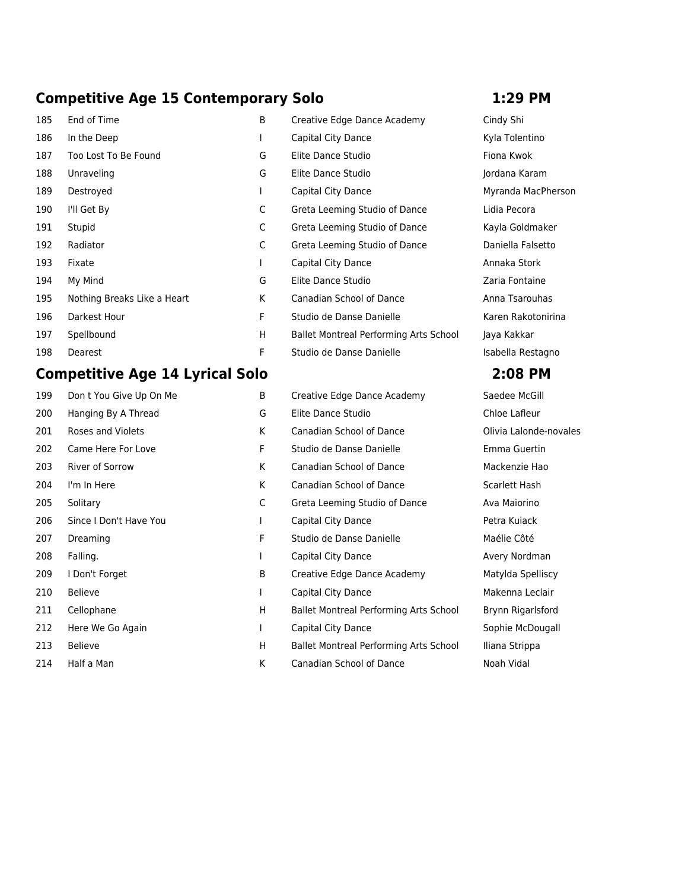### **Competitive Age 15 Contemporary Solo 1:29 PM**

| 185 | End of Time                 |
|-----|-----------------------------|
| 186 | In the Deep                 |
| 187 | Too Lost To Be Found        |
| 188 | Unraveling                  |
| 189 | Destroyed                   |
| 190 | I'll Get By                 |
| 191 | Stupid                      |
| 192 | Radiator                    |
| 193 | Fixate                      |
| 194 | My Mind                     |
| 195 | Nothing Breaks Like a Heart |
| 196 | Darkest Hour                |
| 197 | Spellbound                  |
| 198 | Dearest                     |

### **Competitive Age 14 Lyrical Solo 2:08 PM**

| 199     | Don t You Give Up On Me | B  | Creative Edge Dance Academy            | Saedee McGil         |
|---------|-------------------------|----|----------------------------------------|----------------------|
| 200     | Hanging By A Thread     | G  | Elite Dance Studio                     | Chloe Lafleur        |
| 201     | Roses and Violets       | K  | Canadian School of Dance               | Olivia Lalonde       |
| 202     | Came Here For Love      | F  | Studio de Danse Danielle               | Emma Guerti          |
| 203     | River of Sorrow         | K  | Canadian School of Dance               | Mackenzie Ha         |
| 204     | I'm In Here             | K  | Canadian School of Dance               | <b>Scarlett Hash</b> |
| 205     | Solitary                | C  | Greta Leeming Studio of Dance          | Ava Maiorino         |
| 206     | Since I Don't Have You  |    | Capital City Dance                     | Petra Kuiack         |
| 207     | Dreaming                | F  | Studio de Danse Danielle               | Maélie Côté          |
| 208     | Falling.                | I. | Capital City Dance                     | Avery Nordm          |
| 209     | I Don't Forget          | B  | Creative Edge Dance Academy            | Matylda Spell        |
| 210     | <b>Believe</b>          |    | Capital City Dance                     | Makenna Lec          |
| 211     | Cellophane              | H  | Ballet Montreal Performing Arts School | Brynn Rigarls        |
| 212     | Here We Go Again        | L  | Capital City Dance                     | Sophie McDo          |
| 213     | <b>Believe</b>          | H  | Ballet Montreal Performing Arts School | Iliana Strippa       |
| <b></b> | $\blacksquare$          |    |                                        | <b>ALL AND LI</b>    |

| 185 | End of Time                 | B | Creative Edge Dance Academy            | Cindy Shi      |
|-----|-----------------------------|---|----------------------------------------|----------------|
| 186 | In the Deep                 |   | Capital City Dance                     | Kyla Tolentin  |
| 187 | Too Lost To Be Found        | G | Elite Dance Studio                     | Fiona Kwok     |
| 188 | Unraveling                  | G | Elite Dance Studio                     | Jordana Karar  |
| 189 | Destroyed                   |   | Capital City Dance                     | Myranda Mac    |
| 190 | I'll Get By                 | C | Greta Leeming Studio of Dance          | Lidia Pecora   |
| 191 | Stupid                      | C | Greta Leeming Studio of Dance          | Kayla Goldma   |
| 192 | Radiator                    | C | Greta Leeming Studio of Dance          | Daniella False |
| 193 | Fixate                      |   | Capital City Dance                     | Annaka Stork   |
| 194 | My Mind                     | G | Elite Dance Studio                     | Zaria Fontain  |
| 195 | Nothing Breaks Like a Heart | K | <b>Canadian School of Dance</b>        | Anna Tsarouh   |
| 196 | Darkest Hour                | F | Studio de Danse Danielle               | Karen Rakoto   |
| 197 | Spellbound                  | H | Ballet Montreal Performing Arts School | Jaya Kakkar    |
| 198 | Dearest                     | F | Studio de Danse Danielle               | Isabella Resta |

| 199 | Don t You Give Up On Me | B            | Creative Edge Dance Academy                   | Saedee McGill          |
|-----|-------------------------|--------------|-----------------------------------------------|------------------------|
| 200 | Hanging By A Thread     | G            | Elite Dance Studio                            | Chloe Lafleur          |
| 201 | Roses and Violets       | K            | Canadian School of Dance                      | Olivia Lalonde-novales |
| 202 | Came Here For Love      | F.           | Studio de Danse Danielle                      | Emma Guertin           |
| 203 | River of Sorrow         | K            | Canadian School of Dance                      | Mackenzie Hao          |
| 204 | I'm In Here             | K            | Canadian School of Dance                      | Scarlett Hash          |
| 205 | Solitary                | C            | Greta Leeming Studio of Dance                 | Ava Maiorino           |
| 206 | Since I Don't Have You  |              | Capital City Dance                            | Petra Kuiack           |
| 207 | Dreaming                | F.           | Studio de Danse Danielle                      | Maélie Côté            |
| 208 | Falling.                |              | Capital City Dance                            | Avery Nordman          |
| 209 | I Don't Forget          | B            | Creative Edge Dance Academy                   | Matylda Spelliscy      |
| 210 | <b>Believe</b>          |              | Capital City Dance                            | Makenna Leclair        |
| 211 | Cellophane              | H.           | <b>Ballet Montreal Performing Arts School</b> | Brynn Rigarlsford      |
| 212 | Here We Go Again        | $\mathbf{L}$ | Capital City Dance                            | Sophie McDougall       |
| 213 | <b>Believe</b>          | H            | Ballet Montreal Performing Arts School        | Iliana Strippa         |
| 214 | Half a Man              | K            | Canadian School of Dance                      | Noah Vidal             |

Kyla Tolentino Jordana Karam Myranda MacPherson Lidia Pecora Kayla Goldmaker Daniella Falsetto Zaria Fontaine Anna Tsarouhas Karen Rakotonirina hool Jaya Kakkar Isabella Restagno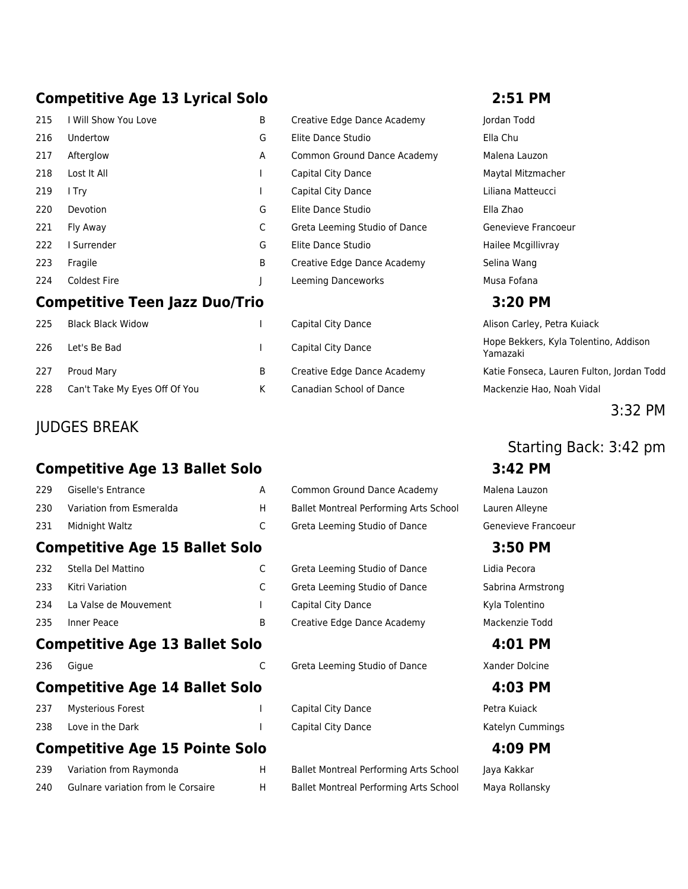### **Competitive Age 13 Lyrical Solo 2:51 PM**

| 215 | I Will Show You Love                  | B | Creative Edge Dance Academy   | Jordan Todd       |
|-----|---------------------------------------|---|-------------------------------|-------------------|
| 216 | Undertow                              | G | Elite Dance Studio            | Ella Chu          |
| 217 | Afterglow                             | A | Common Ground Dance Academy   | Malena Lauzon     |
| 218 | Lost It All                           |   | Capital City Dance            | Maytal Mitzmac    |
| 219 | I Try                                 |   | Capital City Dance            | Liliana Matteuco  |
| 220 | Devotion                              | G | Elite Dance Studio            | Ella Zhao         |
| 221 | Fly Away                              | C | Greta Leeming Studio of Dance | Genevieve Fran    |
| 222 | Surrender                             | G | Elite Dance Studio            | Hailee Mcgillivra |
| 223 | Fragile                               | B | Creative Edge Dance Academy   | Selina Wang       |
| 224 | <b>Coldest Fire</b>                   |   | Leeming Danceworks            | Musa Fofana       |
|     | <b>Competitive Teen Jazz Duo/Trio</b> |   |                               | 3:20 PM           |
| 225 | <b>Black Black Widow</b>              |   | Capital City Dance            | Alison Carley, P  |

| 226 Let's Be Bad                  |   |
|-----------------------------------|---|
| 227 Proud Mary                    | R |
| 228 Can't Take My Eyes Off Of You |   |

### JUDGES BREAK

### **Competitive Age 13 Ballet Solo 3:42 PM**

| 229 | Giselle's Entrance       | Common Ground Dance Academy            | Malena Lauzon  |
|-----|--------------------------|----------------------------------------|----------------|
| 230 | Variation from Esmeralda | Ballet Montreal Performing Arts School | Lauren Alleyne |
| 231 | Midnight Waltz           | Greta Leeming Studio of Dance          | Genevieve Frai |

### **Competitive Age 15 Ballet Solo 3:50 PM**

| 232 Stella Del Mattino    |
|---------------------------|
| 233 Kitri Variation       |
| 234 La Valse de Mouvement |
| 235 Inner Peace           |

### **Competitive Age 13 Ballet Solo 4:01 PM**

| 236<br>Gigue |  |  |  |
|--------------|--|--|--|
|              |  |  |  |
|              |  |  |  |

### **Competitive Age 14 Ballet Solo 4:03 PM**

| 237 Mysterious Forest |  |
|-----------------------|--|
| 238 Love in the Dark  |  |

### **Competitive Age 15 Pointe Solo 4:09 PM**

| 239 | Variation from Raymonda            |
|-----|------------------------------------|
| 240 | Gulnare variation from le Corsaire |

| Creative Edge Dance Academy   |
|-------------------------------|
| Elite Dance Studio            |
| Common Ground Dance Academ    |
| Capital City Dance            |
| Capital City Dance            |
| Elite Dance Studio            |
| Greta Leeming Studio of Dance |
| <b>Elite Dance Studio</b>     |
| Creative Edge Dance Academy   |
| Leeming Danceworks            |

|   | Capital City Dance          |
|---|-----------------------------|
|   | Capital City Dance          |
| В | Creative Edge Dance Academy |
| K | Canadian School of Dance    |

|    | Common Ground Dance Academy            | Malena Lauzon       |
|----|----------------------------------------|---------------------|
| H. | Ballet Montreal Performing Arts School | Lauren Alleyne      |
|    | Greta Leeming Studio of Dance          | Genevieve Francoeur |

C Greta Leeming Studio of Dance Lidia Pecora C Greta Leeming Studio of Dance Sabrina Armstrong 1 Capital City Dance Kyla Tolentino B Creative Edge Dance Academy Mackenzie Todd

C Greta Leeming Studio of Dance Xander Dolcine

Capital City Dance **Petra Kuiack** Capital City Dance **Capital City Dance Capital City Dance** Katelyn Cummings

H Ballet Montreal Performing Arts School Jaya Kakkar H Ballet Montreal Performing Arts School Maya Rollansky

Jordan Todd 17 Malena Lauzon Maytal Mitzmacher Liliana Matteucci Genevieve Francoeur Hailee Mcgillivray

Alison Carley, Petra Kuiack Hope Bekkers, Kyla Tolentino, Addison Yamazaki Katie Fonseca, Lauren Fulton, Jordan Todd Mackenzie Hao, Noah Vidal

### 3:32 PM

## Starting Back: 3:42 pm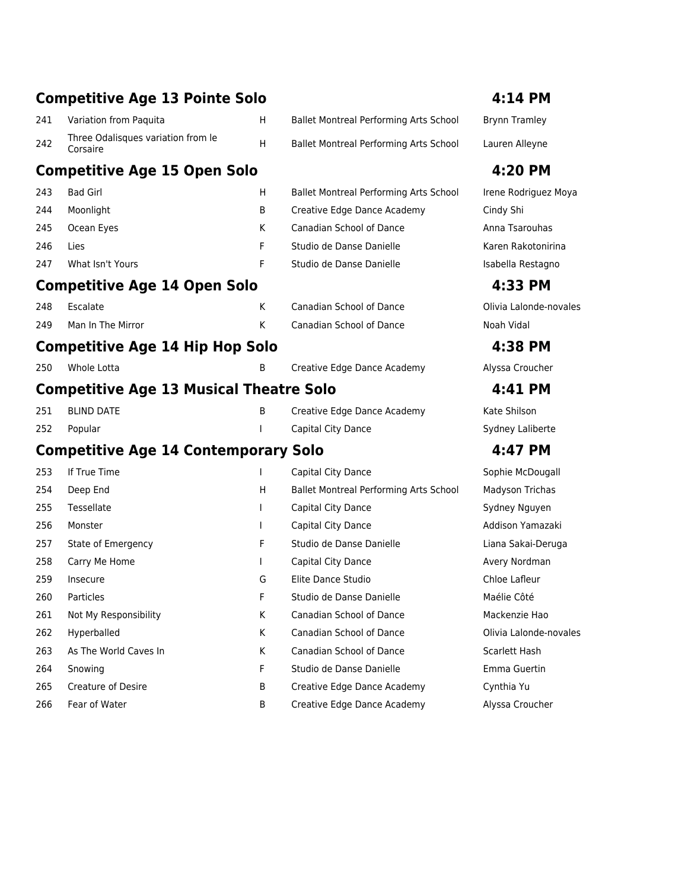|     | <b>Competitive Age 13 Pointe Solo</b>          |              |                                        | 4:14 PM                |
|-----|------------------------------------------------|--------------|----------------------------------------|------------------------|
| 241 | Variation from Paquita                         | H            | Ballet Montreal Performing Arts School | <b>Brynn Tramley</b>   |
| 242 | Three Odalisques variation from le<br>Corsaire | $\sf H$      | Ballet Montreal Performing Arts School | Lauren Alleyne         |
|     | <b>Competitive Age 15 Open Solo</b>            |              |                                        | 4:20 PM                |
| 243 | <b>Bad Girl</b>                                | H            | Ballet Montreal Performing Arts School | Irene Rodriguez Moya   |
| 244 | Moonlight                                      | B            | Creative Edge Dance Academy            | Cindy Shi              |
| 245 | Ocean Eyes                                     | K            | Canadian School of Dance               | Anna Tsarouhas         |
| 246 | Lies                                           | F            | Studio de Danse Danielle               | Karen Rakotonirina     |
| 247 | What Isn't Yours                               | F            | Studio de Danse Danielle               | Isabella Restagno      |
|     | <b>Competitive Age 14 Open Solo</b>            |              |                                        | 4:33 PM                |
| 248 | Escalate                                       | K            | Canadian School of Dance               | Olivia Lalonde-novales |
| 249 | Man In The Mirror                              | K            | Canadian School of Dance               | Noah Vidal             |
|     | <b>Competitive Age 14 Hip Hop Solo</b>         |              |                                        | 4:38 PM                |
| 250 | Whole Lotta                                    | B            | Creative Edge Dance Academy            | Alyssa Croucher        |
|     | <b>Competitive Age 13 Musical Theatre Solo</b> |              |                                        | 4:41 PM                |
| 251 | <b>BLIND DATE</b>                              | B            | Creative Edge Dance Academy            | Kate Shilson           |
| 252 | Popular                                        | I.           | Capital City Dance                     | Sydney Laliberte       |
|     | <b>Competitive Age 14 Contemporary Solo</b>    |              |                                        | 4:47 PM                |
| 253 | If True Time                                   |              | Capital City Dance                     | Sophie McDougall       |
| 254 | Deep End                                       | н            | Ballet Montreal Performing Arts School | Madyson Trichas        |
| 255 | Tessellate                                     | $\mathsf{L}$ | Capital City Dance                     | Sydney Nguyen          |
| 256 | Monster                                        | $\mathbf{L}$ | Capital City Dance                     | Addison Yamazaki       |
| 257 | State of Emergency                             | F            | Studio de Danse Danielle               | Liana Sakai-Deruga     |
| 258 | Carry Me Home                                  | $\mathbf{I}$ | Capital City Dance                     | Avery Nordman          |
| 259 | Insecure                                       | G            | Elite Dance Studio                     | Chloe Lafleur          |
| 260 | Particles                                      | F            | Studio de Danse Danielle               | Maélie Côté            |
| 261 | Not My Responsibility                          | K            | Canadian School of Dance               | Mackenzie Hao          |
| 262 | Hyperballed                                    | K            | Canadian School of Dance               | Olivia Lalonde-novales |
| 263 | As The World Caves In                          | K            | Canadian School of Dance               | Scarlett Hash          |
| 264 | Snowing                                        | F            | Studio de Danse Danielle               | Emma Guertin           |
| 265 | Creature of Desire                             | B            | Creative Edge Dance Academy            | Cynthia Yu             |
| 266 | Fear of Water                                  | B            | Creative Edge Dance Academy            | Alyssa Croucher        |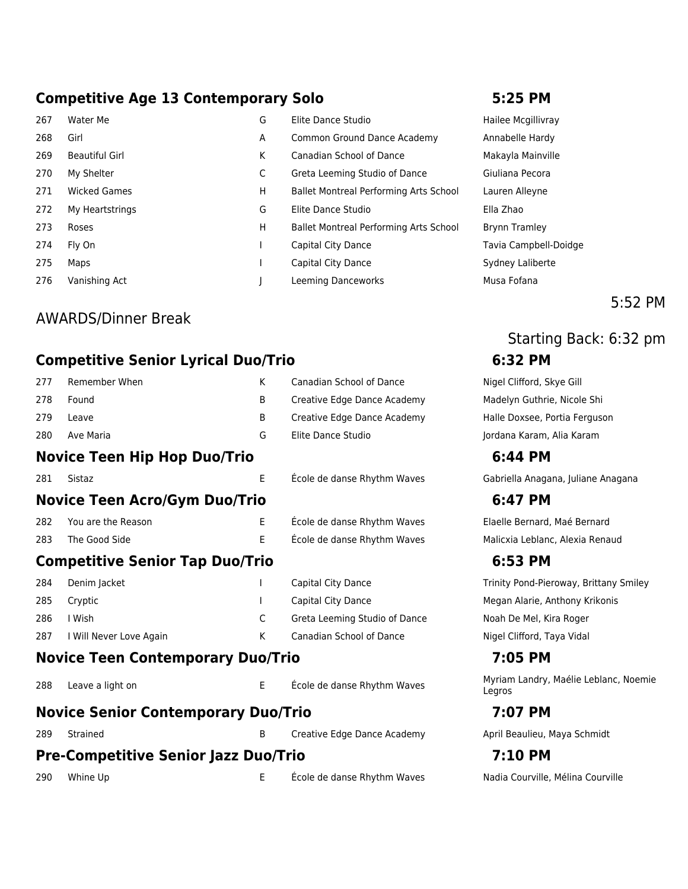### **Competitive Age 13 Contemporary Solo 5:25 PM**

- 
- 267 Water Me G Elite Dance Studio Hailee Mcgillivray 268 Girl **A Common Ground Dance Academy** Annabelle Hardy 269 Beautiful Girl Makayla Mainville K Canadian School of Dance Makayla Mainville 270 My Shelter C Greta Leeming Studio of Dance Giuliana Pecora 271 Wicked Games **H** Ballet Montreal Performing Arts School Lauren Alleyne 272 My Heartstrings G Elite Dance Studio Ella Zhao 273 Roses H Ballet Montreal Performing Arts School Brynn Tramley 274 Fly On **I** Capital City Dance **Tavia Campbell-Doidge** 275 Maps **I** Capital City Dance Sydney Laliberte 276 Vanishing Act **J** Leeming Danceworks Musa Fofana

### AWARDS/Dinner Break

### **Competitive Senior Lyrical Duo/Trio 6:32 PM**

| 277 | Remember When                          | K  | Canadian School of Dance      | Nigel Clifford, S       |
|-----|----------------------------------------|----|-------------------------------|-------------------------|
| 278 | Found                                  | B  | Creative Edge Dance Academy   | Madelyn Guthri          |
| 279 | Leave                                  | B  | Creative Edge Dance Academy   | Halle Doxsee, P         |
| 280 | Ave Maria                              | G  | Elite Dance Studio            | Jordana Karam,          |
|     | <b>Novice Teen Hip Hop Duo/Trio</b>    |    |                               | 6:44 PM                 |
| 281 | Sistaz                                 | E  | École de danse Rhythm Waves   | Gabriella Anaga         |
|     | <b>Novice Teen Acro/Gym Duo/Trio</b>   |    |                               | 6:47 PM                 |
| 282 | You are the Reason                     | E  | École de danse Rhythm Waves   | Elaelle Bernard         |
| 283 | The Good Side                          | E. | École de danse Rhythm Waves   | Malicxia Leblan         |
|     | <b>Competitive Senior Tap Duo/Trio</b> |    |                               | 6:53 PM                 |
| 284 | Denim Jacket                           |    | Capital City Dance            | <b>Trinity Pond-Pie</b> |
| 285 | Cryptic                                |    | Capital City Dance            | Megan Alarie, A         |
| 286 | I Wish                                 | C  | Greta Leeming Studio of Dance | Noah De Mel, Ki         |
| 287 | I Will Never Love Again                | K  | Canadian School of Dance      | Nigel Clifford, T       |
|     |                                        |    |                               |                         |

### **Novice Teen Contemporary Duo/Trio 7:05 PM**

### **Novice Senior Contemporary Duo/Trio 7:07 PM**

289 Strained **B** Creative Edge Dance Academy **April Beaulieu, Maya Schmidt** 

### **Pre-Competitive Senior Jazz Duo/Trio 7:10 PM**

290 Whine Up **E** École de danse Rhythm Waves Nadia Courville, Mélina Courville

5:52 PM

# Starting Back: 6:32 pm

Nigel Clifford, Skye Gill Madelyn Guthrie, Nicole Shi Halle Doxsee, Portia Ferguson Jordana Karam, Alia Karam

Gabriella Anagana, Juliane Anagana

Elaelle Bernard, Maé Bernard Malicxia Leblanc, Alexia Renaud

Trinity Pond-Pieroway, Brittany Smiley Megan Alarie, Anthony Krikonis Noah De Mel, Kira Roger Nigel Clifford, Taya Vidal

288 Leave a light on E E École de danse Rhythm Waves Myriam Landry, Maélie Leblanc, Noemie Legros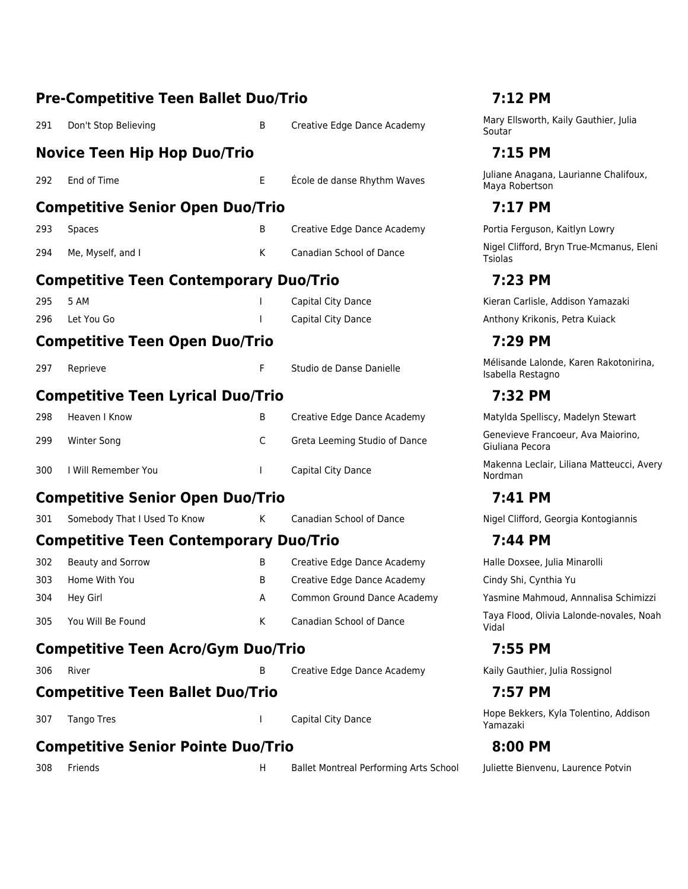|     | <b>Pre-Competitive Teen Ballet Duo/Trio</b>   |          | 7:12 PM                                |                                                             |  |
|-----|-----------------------------------------------|----------|----------------------------------------|-------------------------------------------------------------|--|
| 291 | Don't Stop Believing                          | B        | Creative Edge Dance Academy            | Mary Ellsworth, Kaily Gauthier, Julia<br>Soutar             |  |
|     | <b>Novice Teen Hip Hop Duo/Trio</b>           |          |                                        | 7:15 PM                                                     |  |
| 292 | End of Time                                   | Е        | École de danse Rhythm Waves            | Juliane Anagana, Laurianne Chalifoux,<br>Maya Robertson     |  |
|     | <b>Competitive Senior Open Duo/Trio</b>       |          |                                        | 7:17 PM                                                     |  |
| 293 | <b>Spaces</b>                                 | B        | Creative Edge Dance Academy            | Portia Ferguson, Kaitlyn Lowry                              |  |
| 294 | Me, Myself, and I                             | K.       | <b>Canadian School of Dance</b>        | Nigel Clifford, Bryn True-Mcmanus, Eleni<br>Tsiolas         |  |
|     | <b>Competitive Teen Contemporary Duo/Trio</b> |          |                                        | 7:23 PM                                                     |  |
| 295 | 5 AM                                          |          | Capital City Dance                     | Kieran Carlisle, Addison Yamazaki                           |  |
| 296 | Let You Go                                    |          | Capital City Dance                     | Anthony Krikonis, Petra Kuiack                              |  |
|     | <b>Competitive Teen Open Duo/Trio</b>         |          |                                        | 7:29 PM                                                     |  |
| 297 | Reprieve                                      | F        | Studio de Danse Danielle               | Mélisande Lalonde, Karen Rakotonirina,<br>Isabella Restagno |  |
|     | <b>Competitive Teen Lyrical Duo/Trio</b>      |          |                                        | 7:32 PM                                                     |  |
| 298 | Heaven I Know                                 | B        | Creative Edge Dance Academy            | Matylda Spelliscy, Madelyn Stewart                          |  |
| 299 | <b>Winter Song</b>                            | C        | Greta Leeming Studio of Dance          | Genevieve Francoeur, Ava Maiorino,<br>Giuliana Pecora       |  |
| 300 | I Will Remember You                           | <b>I</b> | Capital City Dance                     | Makenna Leclair, Liliana Matteucci, Avery<br>Nordman        |  |
|     | <b>Competitive Senior Open Duo/Trio</b>       |          |                                        | 7:41 PM                                                     |  |
| 301 | Somebody That I Used To Know                  | К        | <b>Canadian School of Dance</b>        | Nigel Clifford, Georgia Kontogiannis                        |  |
|     | <b>Competitive Teen Contemporary Duo/Trio</b> |          |                                        | 7:44 PM                                                     |  |
| 302 | <b>Beauty and Sorrow</b>                      | В        | Creative Edge Dance Academy            | Halle Doxsee, Julia Minarolli                               |  |
| 303 | Home With You                                 | B        | Creative Edge Dance Academy            | Cindy Shi, Cynthia Yu                                       |  |
| 304 | Hey Girl                                      | A        | Common Ground Dance Academy            | Yasmine Mahmoud, Annnalisa Schimizzi                        |  |
| 305 | You Will Be Found                             | K        | Canadian School of Dance               | Taya Flood, Olivia Lalonde-novales, Noah<br>Vidal           |  |
|     | <b>Competitive Teen Acro/Gym Duo/Trio</b>     |          |                                        | 7:55 PM                                                     |  |
| 306 | River                                         | В        | Creative Edge Dance Academy            | Kaily Gauthier, Julia Rossignol                             |  |
|     | <b>Competitive Teen Ballet Duo/Trio</b>       |          |                                        | 7:57 PM                                                     |  |
| 307 | <b>Tango Tres</b>                             |          | Capital City Dance                     | Hope Bekkers, Kyla Tolentino, Addison<br>Yamazaki           |  |
|     | <b>Competitive Senior Pointe Duo/Trio</b>     |          |                                        | 8:00 PM                                                     |  |
| 308 | Friends                                       | H        | Ballet Montreal Performing Arts School | Juliette Bienvenu, Laurence Potvin                          |  |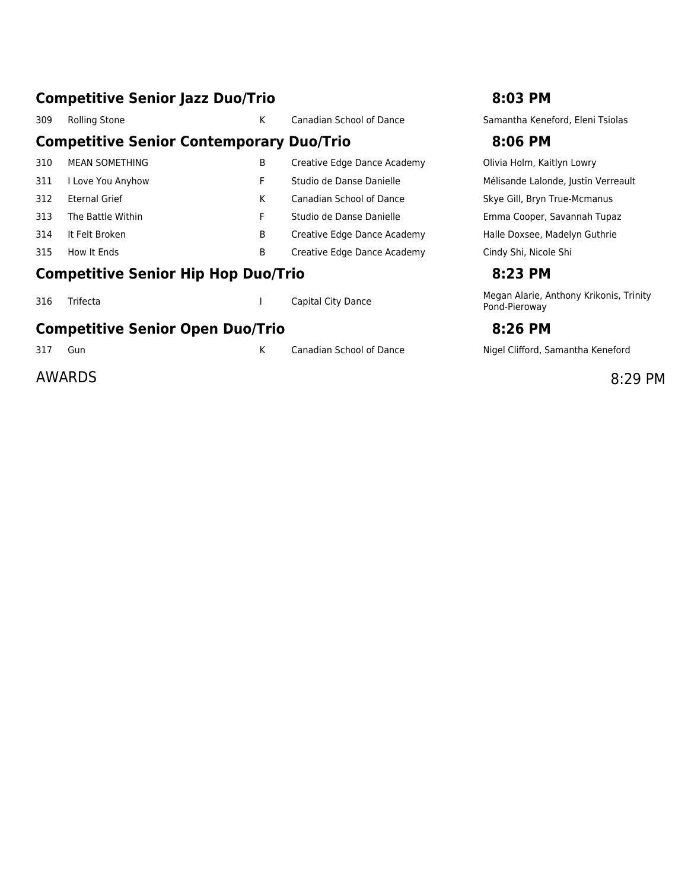### **Competitive Senior Jazz Duo/Trio 8:03 PM**

### 309 Rolling Stone K Canadian School of Dance Samantha Keneford, Eleni Tsiolas **Competitive Senior Contemporary Duo/Trio 8:06 PM** 310 MEAN SOMETHING B Creative Edge Dance Academy Olivia Holm, Kaitlyn Lowry 311 I Love You Anyhow **F** Studio de Danse Danielle Mélisande Lalonde, Justin Verreault 312 Eternal Grief Matches K Canadian School of Dance Skye Gill, Bryn True-Mcmanus 313 The Battle Within Tupaz F Studio de Danse Danielle France Emma Cooper, Savannah Tupaz 314 It Felt Broken B Creative Edge Dance Academy Halle Doxsee, Madelyn Guthrie 315 How It Ends **B** Creative Edge Dance Academy Cindy Shi, Nicole Shi **Competitive Senior Hip Hop Duo/Trio 8:23 PM** 316 Trifecta **I** Capital City Dance Megan Alarie, Anthony Krikonis, Trinity

### **Competitive Senior Open Duo/Trio 8:26 PM**

### AWARDS 8:29 PM

Pond-Pieroway

317 Gun Canadian School of Dance Nigel Clifford, Samantha Keneford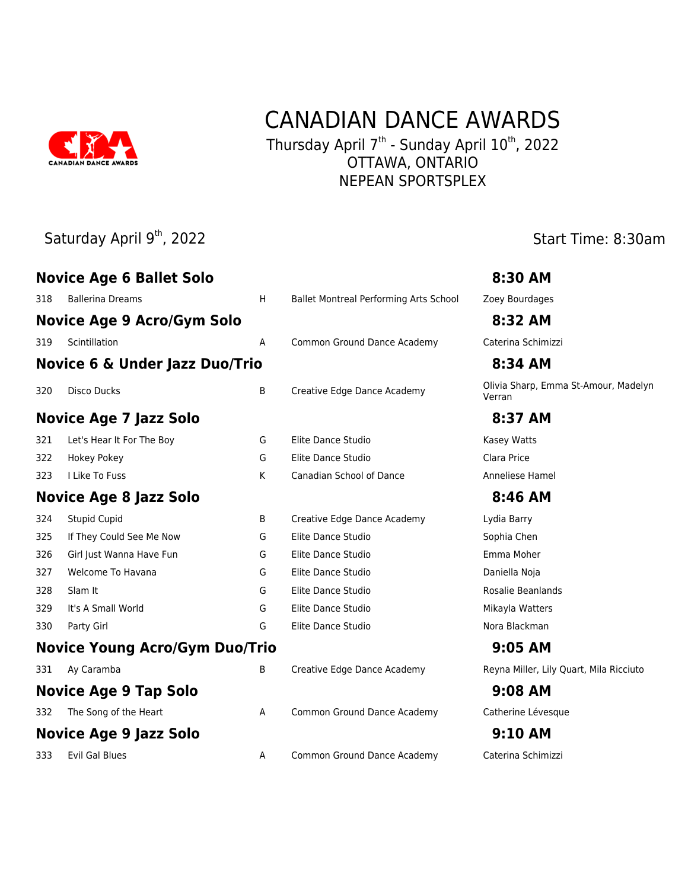

## CANADIAN DANCE AWARDS

Thursday April 7<sup>th</sup> - Sunday April 10<sup>th</sup>, 2022 OTTAWA, ONTARIO NEPEAN SPORTSPLEX

### Saturday April 9<sup>th</sup>, 2022 Start Time: 8:30am

|     | <b>Novice Age 6 Ballet Solo</b>           |   |                                        | 8:30 AM                                        |
|-----|-------------------------------------------|---|----------------------------------------|------------------------------------------------|
| 318 | <b>Ballerina Dreams</b>                   | H | Ballet Montreal Performing Arts School | Zoey Bourdages                                 |
|     | <b>Novice Age 9 Acro/Gym Solo</b>         |   |                                        | 8:32 AM                                        |
| 319 | Scintillation                             | A | Common Ground Dance Academy            | Caterina Schimizzi                             |
|     | <b>Novice 6 &amp; Under Jazz Duo/Trio</b> |   |                                        | 8:34 AM                                        |
| 320 | <b>Disco Ducks</b>                        | B | Creative Edge Dance Academy            | Olivia Sharp, Emma St-Amour, Madelyn<br>Verran |
|     | <b>Novice Age 7 Jazz Solo</b>             |   |                                        | 8:37 AM                                        |
| 321 | Let's Hear It For The Boy                 | G | Elite Dance Studio                     | Kasey Watts                                    |
| 322 | <b>Hokey Pokey</b>                        | G | Elite Dance Studio                     | Clara Price                                    |
| 323 | I Like To Fuss                            | K | Canadian School of Dance               | Anneliese Hamel                                |
|     | <b>Novice Age 8 Jazz Solo</b>             |   |                                        | 8:46 AM                                        |
| 324 | <b>Stupid Cupid</b>                       | В | Creative Edge Dance Academy            | Lydia Barry                                    |
| 325 | If They Could See Me Now                  | G | Elite Dance Studio                     | Sophia Chen                                    |
| 326 | Girl Just Wanna Have Fun                  | G | Elite Dance Studio                     | Emma Moher                                     |
| 327 | Welcome To Havana                         | G | Elite Dance Studio                     | Daniella Noja                                  |
| 328 | Slam It                                   | G | Elite Dance Studio                     | Rosalie Beanlands                              |
| 329 | It's A Small World                        | G | Elite Dance Studio                     | Mikayla Watters                                |
| 330 | Party Girl                                | G | Elite Dance Studio                     | Nora Blackman                                  |
|     | <b>Novice Young Acro/Gym Duo/Trio</b>     |   |                                        | 9:05 AM                                        |
| 331 | Ay Caramba                                | B | Creative Edge Dance Academy            | Reyna Miller, Lily Quart, Mila Ricciuto        |
|     | <b>Novice Age 9 Tap Solo</b>              |   |                                        | 9:08 AM                                        |
| 332 | The Song of the Heart                     | Α | Common Ground Dance Academy            | Catherine Lévesque                             |
|     | <b>Novice Age 9 Jazz Solo</b>             |   |                                        | <b>9:10 AM</b>                                 |
| 333 | <b>Evil Gal Blues</b>                     | Α | Common Ground Dance Academy            | Caterina Schimizzi                             |
|     |                                           |   |                                        |                                                |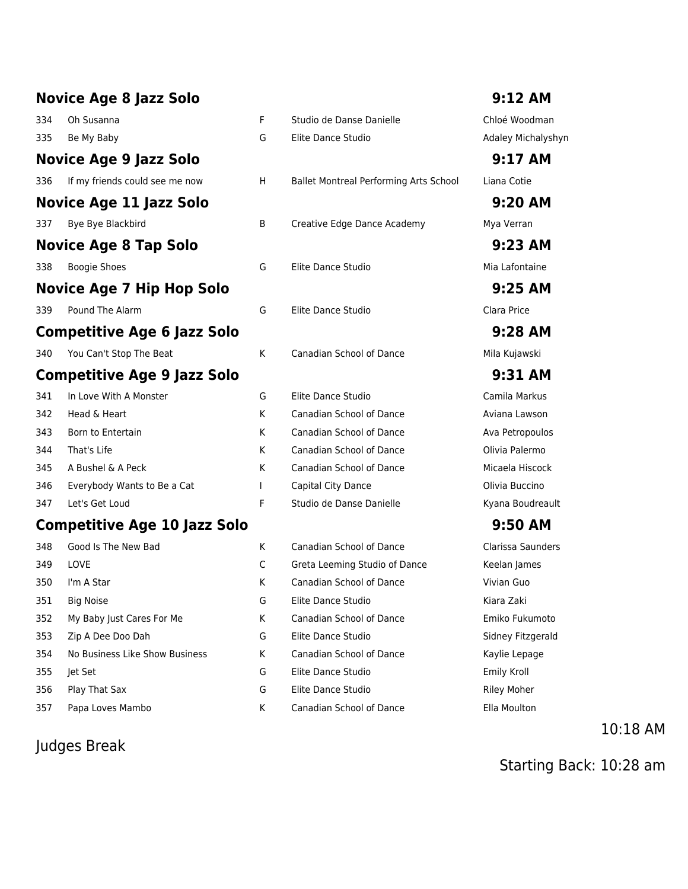### **Novice Age 8 Jazz Solo 9:12 AM** 334 Oh Susanna F Studio de Danse Danielle Chloé Woodman 335 Be My Baby **G** Elite Dance Studio **Channel Adaley Michalyshyn Novice Age 9 Jazz Solo 9:17 AM** 336 If my friends could see me now H Ballet Montreal Performing Arts School Liana Cotie **Novice Age 11 Jazz Solo 9:20 AM** 337 Bye Bye Blackbird **B** Creative Edge Dance Academy Mya Verran **Novice Age 8 Tap Solo 9:23 AM** 338 Boogie Shoes G Elite Dance Studio Mia Lafontaine **Novice Age 7 Hip Hop Solo 9:25 AM** 339 Pound The Alarm G Elite Dance Studio Clara Price **Competitive Age 6 Jazz Solo 9:28 AM** 340 You Can't Stop The Beat K Canadian School of Dance Mila Kujawski **Competitive Age 9 Jazz Solo 9:31 AM** 341 In Love With A Monster G Elite Dance Studio Camila Markus 342 Head & Heart K Canadian School of Dance Aviana Lawson 343 Born to Entertain Theory Canadian School of Dance Ava Petropoulos 344 That's Life **K** Canadian School of Dance Olivia Palermo 345 A Bushel & A Peck November 2012 K Canadian School of Dance Micaela Hiscock 346 Everybody Wants to Be a Cat The Capital City Dance Clivia Buccino 347 Let's Get Loud F Studio de Danse Danielle Kyana Boudreault

### **Competitive Age 10 Jazz Solo 9:50 AM**

| 348 | Good is The New Bad            |   | Canadian School of Dance        | Clarissa Sau       |
|-----|--------------------------------|---|---------------------------------|--------------------|
| 349 | <b>LOVE</b>                    | C | Greta Leeming Studio of Dance   | Keelan Jame        |
| 350 | I'm A Star                     | K | <b>Canadian School of Dance</b> | Vivian Guo         |
| 351 | <b>Big Noise</b>               | G | Elite Dance Studio              | Kiara Zaki         |
| 352 | My Baby Just Cares For Me      | K | <b>Canadian School of Dance</b> | Emiko Fukur        |
| 353 | Zip A Dee Doo Dah              | G | Elite Dance Studio              | Sidney Fitzg       |
| 354 | No Business Like Show Business | K | <b>Canadian School of Dance</b> | Kaylie Lepag       |
| 355 | let Set                        | G | Elite Dance Studio              | Emily Kroll        |
| 356 | Play That Sax                  | G | Elite Dance Studio              | <b>Riley Moher</b> |
| 357 | Papa Loves Mambo               | K | <b>Canadian School of Dance</b> | Ella Moulton       |
|     |                                |   |                                 |                    |

### Judges Break

| F<br>G | Studio de Danse Danielle<br>Elite Dance Studio |
|--------|------------------------------------------------|
| н      | <b>Ballet Montreal Performing Art</b>          |
| B      | Creative Edge Dance Academy                    |
| G      | Elite Dance Studio                             |
| G      | Elite Dance Studio                             |
| K      | Canadian School of Dance                       |
| G      | Elite Dance Studio                             |
| K      | <b>Canadian School of Dance</b>                |
| K      | Canadian School of Dance                       |
| K      | <b>Canadian School of Dance</b>                |
| К      | <b>Canadian School of Dance</b>                |
| T      | Capital City Dance                             |
| F      | Studio de Danse Danielle                       |

| K | Canadian School of Dance      | Clarissa Saunders  |
|---|-------------------------------|--------------------|
| C | Greta Leeming Studio of Dance | Keelan James       |
| K | Canadian School of Dance      | Vivian Guo         |
| G | Elite Dance Studio            | Kiara Zaki         |
| K | Canadian School of Dance      | Emiko Fukumoto     |
| G | Elite Dance Studio            | Sidney Fitzgerald  |
| K | Canadian School of Dance      | Kaylie Lepage      |
| G | Elite Dance Studio            | Emily Kroll        |
| G | Elite Dance Studio            | <b>Riley Moher</b> |
| K | Canadian School of Dance      | Ella Moulton       |
|   |                               |                    |

10:18 AM

Starting Back: 10:28 am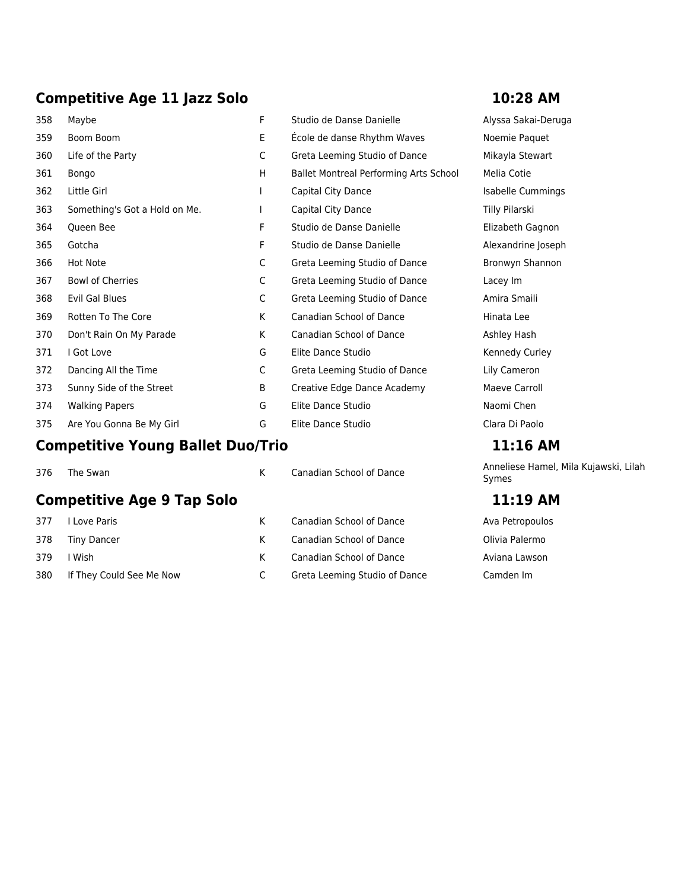### **Competitive Age 11 Jazz Solo 10:28 AM**

| 358                                           | Maybe                                    | F            | Studio de Danse Danielle               | Alyssa Sakai-Deru         |
|-----------------------------------------------|------------------------------------------|--------------|----------------------------------------|---------------------------|
| 359                                           | Boom Boom                                | Ε            | École de danse Rhythm Waves            | Noemie Paquet             |
| 360                                           | Life of the Party                        | C            | Greta Leeming Studio of Dance          | Mikayla Stewart           |
| 361                                           | Bongo                                    | H            | Ballet Montreal Performing Arts School | Melia Cotie               |
| 362                                           | Little Girl                              | $\mathsf{I}$ | Capital City Dance                     | Isabelle Cumming          |
| 363                                           | Something's Got a Hold on Me.            | $\mathbf{I}$ | Capital City Dance                     | Tilly Pilarski            |
| 364                                           | Queen Bee                                | F            | Studio de Danse Danielle               | Elizabeth Gagnon          |
| 365                                           | Gotcha                                   | F            | Studio de Danse Danielle               | Alexandrine Josep         |
| 366                                           | <b>Hot Note</b>                          | C            | Greta Leeming Studio of Dance          | Bronwyn Shannon           |
| 367                                           | <b>Bowl of Cherries</b>                  | C            | Greta Leeming Studio of Dance          | Lacey Im                  |
| 368                                           | <b>Evil Gal Blues</b>                    | C            | Greta Leeming Studio of Dance          | Amira Smaili              |
| 369                                           | Rotten To The Core                       | K            | <b>Canadian School of Dance</b>        | Hinata Lee                |
| 370                                           | Don't Rain On My Parade                  | K            | <b>Canadian School of Dance</b>        | Ashley Hash               |
| 371                                           | I Got Love                               | G            | Elite Dance Studio                     | Kennedy Curley            |
| 372                                           | Dancing All the Time                     | C            | Greta Leeming Studio of Dance          | Lily Cameron              |
| 373                                           | Sunny Side of the Street                 | B            | Creative Edge Dance Academy            | Maeve Carroll             |
| 374                                           | <b>Walking Papers</b>                    | G            | Elite Dance Studio                     | Naomi Chen                |
| 375                                           | Are You Gonna Be My Girl                 | G            | Elite Dance Studio                     | Clara Di Paolo            |
|                                               | <b>Competitive Young Ballet Duo/Trio</b> |              |                                        | 11:16 AM                  |
| 376                                           | The Swan                                 | K            | Canadian School of Dance               | Anneliese Hamel,<br>Symes |
| <b>Competitive Age 9 Tap Solo</b><br>11:19 AM |                                          |              |                                        |                           |

377 I Love Paris **K** Canadian School of Dance Ava Petropoulos 378 Tiny Dancer K Canadian School of Dance Olivia Palermo 379 I Wish Market Canadian School of Dance Aviana Lawson 380 If They Could See Me Now C Greta Leeming Studio of Dance Camden Im

Alyssa Sakai-Deruga Noemie Paquet Mikayla Stewart Isabelle Cummings Tilly Pilarski Elizabeth Gagnon Alexandrine Joseph Bronwyn Shannon Amira Smaili Ashley Hash Kennedy Curley Lily Cameron Maeve Carroll Clara Di Paolo

### **Competitive Young Ballet Duo/Trio 11:16 AM**

Anneliese Hamel, Mila Kujawski, Lilah Symes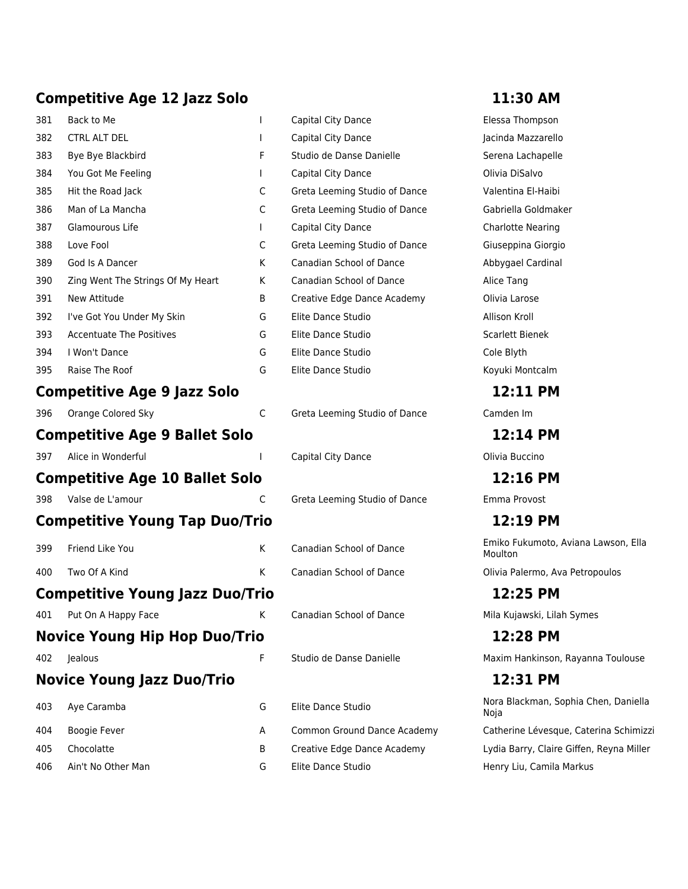### **Competitive Age 12 Jazz Solo 11:30 AM**

| 381  | Back to Me                             | ı | Capital City Dance            | Elessa Thompson            |
|------|----------------------------------------|---|-------------------------------|----------------------------|
| 382  | <b>CTRL ALT DEL</b>                    |   | Capital City Dance            | Jacinda Mazzarell          |
| 383  | Bye Bye Blackbird                      | F | Studio de Danse Danielle      | Serena Lachapell           |
| 384  | You Got Me Feeling                     | L | Capital City Dance            | Olivia DiSalvo             |
| 385  | Hit the Road Jack                      | C | Greta Leeming Studio of Dance | Valentina El-Haibi         |
| 386  | Man of La Mancha                       | C | Greta Leeming Studio of Dance | Gabriella Goldma           |
| 387  | Glamourous Life                        | L | Capital City Dance            | <b>Charlotte Nearing</b>   |
| 388  | Love Fool                              | C | Greta Leeming Studio of Dance | Giuseppina Giorgi          |
| 389  | God Is A Dancer                        | К | Canadian School of Dance      | Abbygael Cardina           |
| 390  | Zing Went The Strings Of My Heart      | К | Canadian School of Dance      | Alice Tang                 |
| 391  | New Attitude                           | B | Creative Edge Dance Academy   | Olivia Larose              |
| 392  | I've Got You Under My Skin             | G | Elite Dance Studio            | Allison Kroll              |
| 393  | <b>Accentuate The Positives</b>        | G | Elite Dance Studio            | Scarlett Bienek            |
| 394  | I Won't Dance                          | G | Elite Dance Studio            | Cole Blyth                 |
| 395  | Raise The Roof                         | G | Elite Dance Studio            | Koyuki Montcalm            |
|      | <b>Competitive Age 9 Jazz Solo</b>     |   |                               | 12:11 PM                   |
| 396  | Orange Colored Sky                     | C | Greta Leeming Studio of Dance | Camden Im                  |
|      | <b>Competitive Age 9 Ballet Solo</b>   |   |                               | 12:14 PM                   |
| 397  | Alice in Wonderful                     |   | Capital City Dance            | Olivia Buccino             |
|      | <b>Competitive Age 10 Ballet Solo</b>  |   |                               | 12:16 PM                   |
| 398  | Valse de L'amour                       | C | Greta Leeming Studio of Dance | Emma Provost               |
|      | <b>Competitive Young Tap Duo/Trio</b>  |   |                               | 12:19 PM                   |
| 399  | Friend Like You                        | K | Canadian School of Dance      | Emiko Fukumoto,<br>Moulton |
| 400  | Two Of A Kind                          | К | Canadian School of Dance      | Olivia Palermo, Av         |
|      | <b>Competitive Young Jazz Duo/Trio</b> |   |                               | 12:25 PM                   |
| 401. | Put On A Happy Face                    | K | Canadian School of Dance      | Mila Kujawski, Lila        |
|      | <b>Novice Young Hip Hop Duo/Trio</b>   |   |                               | 12:28 PM                   |
| 402  | Jealous                                | F | Studio de Danse Danielle      | Maxim Hankinson            |
|      |                                        |   |                               |                            |
|      | <b>Novice Young Jazz Duo/Trio</b>      |   |                               | 12:31 PM                   |
| 403  | Aye Caramba                            | G | Elite Dance Studio            | Nora Blackman, S<br>Noja   |
| 404  | Boogie Fever                           | Α | Common Ground Dance Academy   | Catherine Lévesq           |
| 405  | Chocolatte                             | B | Creative Edge Dance Academy   | Lydia Barry, Clair         |
| 406  | Ain't No Other Man                     | G | Elite Dance Studio            | Henry Liu, Camila          |

Elessa Thompson Jacinda Mazzarello e Serena Lachapelle Olivia DiSalvo Dance Valentina El-Haibi Dance Gabriella Goldmaker Charlotte Nearing Dance Giuseppina Giorgio ce Abbygael Cardinal ademy Olivia Larose Scarlett Bienek Koyuki Montcalm

Emiko Fukumoto, Aviana Lawson, Ella Moulton

 $\epsilon$ e Canadian Dolivia Palermo, Ava Petropoulos **Competitive Young Jazz Duo/Trio 12:25 PM**

401 Put On A Happy Face K Canadian School of Dance Mila Kujawski, Lilah Symes

**Novice Young Hip Hop Duo/Trio 12:28 PM** e **Australie F Studio Maxim Hankinson, Rayanna Toulouse** 

**Novice Young Jazz Duo/Trio 12:31 PM** Nora Blackman, Sophia Chen, Daniella Noja Academy Catherine Lévesque, Caterina Schimizzi ademy Lydia Barry, Claire Giffen, Reyna Miller Henry Liu, Camila Markus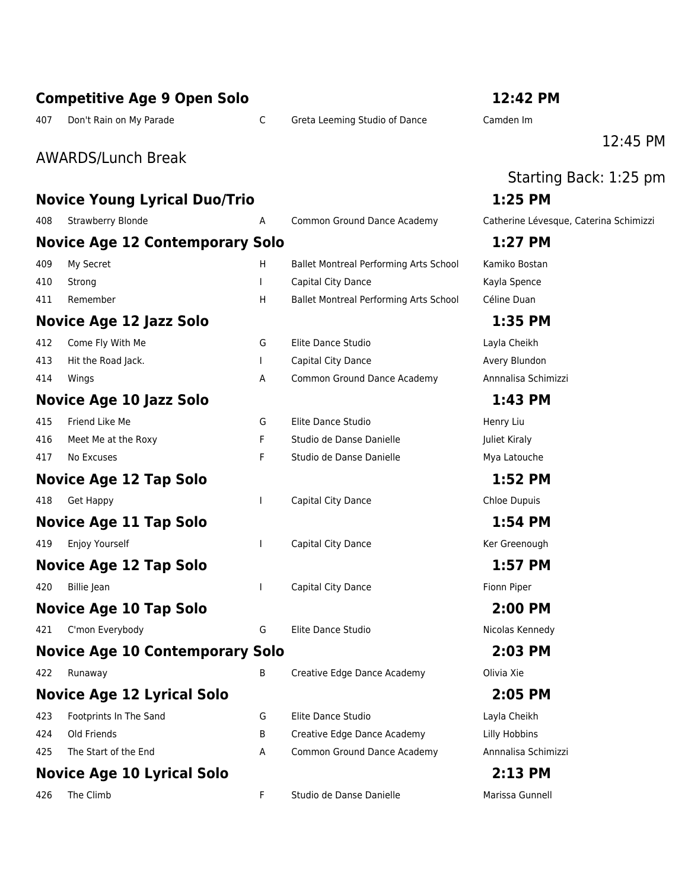|     | <b>Competitive Age 9 Open Solo</b>     |              |                                               | 12:42 PM                               |
|-----|----------------------------------------|--------------|-----------------------------------------------|----------------------------------------|
| 407 | Don't Rain on My Parade                | C            | Greta Leeming Studio of Dance                 | Camden Im                              |
|     |                                        |              |                                               | 12:45 PM                               |
|     | <b>AWARDS/Lunch Break</b>              |              |                                               |                                        |
|     |                                        |              |                                               | Starting Back: 1:25 pm                 |
|     | <b>Novice Young Lyrical Duo/Trio</b>   |              |                                               | 1:25 PM                                |
| 408 | Strawberry Blonde                      | Α            | Common Ground Dance Academy                   | Catherine Lévesque, Caterina Schimizzi |
|     | <b>Novice Age 12 Contemporary Solo</b> |              |                                               | 1:27 PM                                |
| 409 | My Secret                              | H            | <b>Ballet Montreal Performing Arts School</b> | Kamiko Bostan                          |
| 410 | Strong                                 |              | Capital City Dance                            | Kayla Spence                           |
| 411 | Remember                               | H.           | Ballet Montreal Performing Arts School        | Céline Duan                            |
|     | Novice Age 12 Jazz Solo                |              |                                               | 1:35 PM                                |
| 412 | Come Fly With Me                       | G            | Elite Dance Studio                            | Layla Cheikh                           |
| 413 | Hit the Road Jack.                     |              | Capital City Dance                            | Avery Blundon                          |
| 414 | Wings                                  | A            | Common Ground Dance Academy                   | Annnalisa Schimizzi                    |
|     | <b>Novice Age 10 Jazz Solo</b>         |              |                                               | 1:43 PM                                |
| 415 | Friend Like Me                         | G            | Elite Dance Studio                            | Henry Liu                              |
| 416 | Meet Me at the Roxy                    | F            | Studio de Danse Danielle                      | Juliet Kiraly                          |
| 417 | No Excuses                             | F            | Studio de Danse Danielle                      | Mya Latouche                           |
|     | Novice Age 12 Tap Solo                 |              |                                               | 1:52 PM                                |
| 418 | <b>Get Happy</b>                       | <b>I</b>     | Capital City Dance                            | Chloe Dupuis                           |
|     | <b>Novice Age 11 Tap Solo</b>          |              |                                               | 1:54 PM                                |
| 419 | Enjoy Yourself                         | $\mathbf{I}$ | Capital City Dance                            | Ker Greenough                          |
|     | <b>Novice Age 12 Tap Solo</b>          |              |                                               | 1:57 PM                                |
| 420 | Billie Jean                            |              | Capital City Dance                            | Fionn Piper                            |
|     | <b>Novice Age 10 Tap Solo</b>          |              |                                               | 2:00 PM                                |
| 421 | C'mon Everybody                        | G            | Elite Dance Studio                            | Nicolas Kennedy                        |
|     | <b>Novice Age 10 Contemporary Solo</b> |              |                                               | 2:03 PM                                |
| 422 | Runaway                                | B            | Creative Edge Dance Academy                   | Olivia Xie                             |
|     | <b>Novice Age 12 Lyrical Solo</b>      |              |                                               | 2:05 PM                                |
| 423 | Footprints In The Sand                 | G            | Elite Dance Studio                            | Layla Cheikh                           |
| 424 | Old Friends                            | В            | Creative Edge Dance Academy                   | Lilly Hobbins                          |
| 425 | The Start of the End                   | A            | Common Ground Dance Academy                   | Annnalisa Schimizzi                    |
|     | <b>Novice Age 10 Lyrical Solo</b>      |              |                                               | 2:13 PM                                |
| 426 | The Climb                              | F            | Studio de Danse Danielle                      | Marissa Gunnell                        |
|     |                                        |              |                                               |                                        |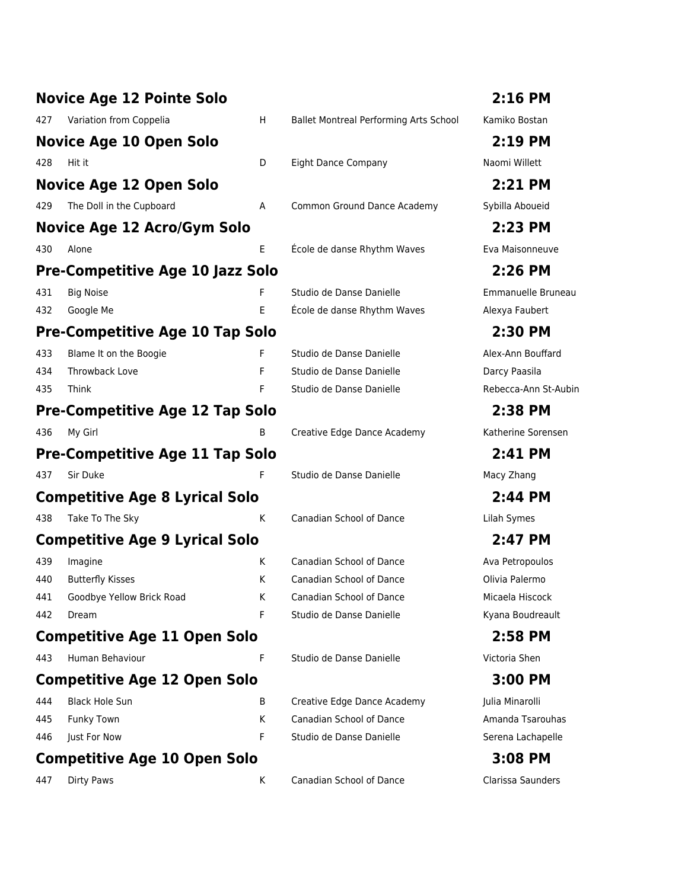| <b>Novice Age 12 Pointe Solo</b>        |    |                                        | 2:16 PM         |
|-----------------------------------------|----|----------------------------------------|-----------------|
| 427<br>Variation from Coppelia          | H. | Ballet Montreal Performing Arts School | Kamiko Bostan   |
| Novice Age 10 Open Solo                 |    |                                        | $2:19$ PM       |
| 428<br>Hit it                           | D  | <b>Eight Dance Company</b>             | Naomi Willett   |
| <b>Novice Age 12 Open Solo</b>          |    |                                        | 2:21 PM         |
| 429<br>The Doll in the Cupboard         | Α  | Common Ground Dance Academy            | Sybilla Aboueid |
| Novice Age 12 Acro/Gym Solo             |    |                                        | 2:23 PM         |
| 430<br>Alone                            | E  | École de danse Rhythm Waves            | Eva Maisonneu   |
| <b>Pre-Competitive Age 10 Jazz Solo</b> |    |                                        | 2:26 PM         |
| 431<br><b>Big Noise</b>                 | F  | Studio de Danse Danielle               | Emmanuelle Br   |
| 432<br>Google Me                        | E  | École de danse Rhythm Waves            | Alexya Faubert  |
| <b>Pre-Competitive Age 10 Tap Solo</b>  |    |                                        | 2:30 PM         |
| 433<br>Blame It on the Boogie           | F  | Studio de Danse Danielle               | Alex-Ann Bouffa |
| 434<br>Throwback Love                   | F  | Studio de Danse Danielle               | Darcy Paasila   |
| 435<br>Think                            | F  | Studio de Danse Danielle               | Rebecca-Ann St  |
| <b>Pre-Competitive Age 12 Tap Solo</b>  |    |                                        | 2:38 PM         |
| 436<br>My Girl                          | B  | Creative Edge Dance Academy            | Katherine Sorer |
| <b>Pre-Competitive Age 11 Tap Solo</b>  |    |                                        | 2:41 PM         |
| Sir Duke<br>437                         | F  | Studio de Danse Danielle               | Macy Zhang      |
| <b>Competitive Age 8 Lyrical Solo</b>   |    |                                        | 2:44 PM         |
| Take To The Sky<br>438                  | K  | Canadian School of Dance               | Lilah Symes     |
| <b>Competitive Age 9 Lyrical Solo</b>   |    |                                        | 2:47 PM         |
| 439<br>Imagine                          | K. | Canadian School of Dance               | Ava Petropoulos |
| <b>Butterfly Kisses</b><br>440          | K  | Canadian School of Dance               | Olivia Palermo  |
| 441<br>Goodbye Yellow Brick Road        | Κ  | Canadian School of Dance               | Micaela Hiscock |
| 442<br>Dream                            | F  | Studio de Danse Danielle               | Kyana Boudrea   |
| <b>Competitive Age 11 Open Solo</b>     |    |                                        | 2:58 PM         |
| Human Behaviour<br>443                  | F  | Studio de Danse Danielle               | Victoria Shen   |
| <b>Competitive Age 12 Open Solo</b>     |    |                                        | 3:00 PM         |
| <b>Black Hole Sun</b><br>444            | B  | Creative Edge Dance Academy            | Julia Minarolli |
| 445<br>Funky Town                       | K  | Canadian School of Dance               | Amanda Tsarou   |
| 446<br>Just For Now                     | F  | Studio de Danse Danielle               | Serena Lachape  |
| <b>Competitive Age 10 Open Solo</b>     |    |                                        | 3:08 PM         |
| Dirty Paws<br>447                       | Κ  | Canadian School of Dance               | Clarissa Saunde |

**Novice Age 12 Acro/Gym Solo 2:23 PM** Eva Maisonneuve

**Pre-Competitive Age 10 Jazz Solo 2:26 PM** Emmanuelle Bruneau Alexya Faubert

Alex-Ann Bouffard Darcy Paasila Rebecca-Ann St-Aubin

Katherine Sorensen

Ava Petropoulos Olivia Palermo Micaela Hiscock Kyana Boudreault

Julia Minarolli

Amanda Tsarouhas Serena Lachapelle

Clarissa Saunders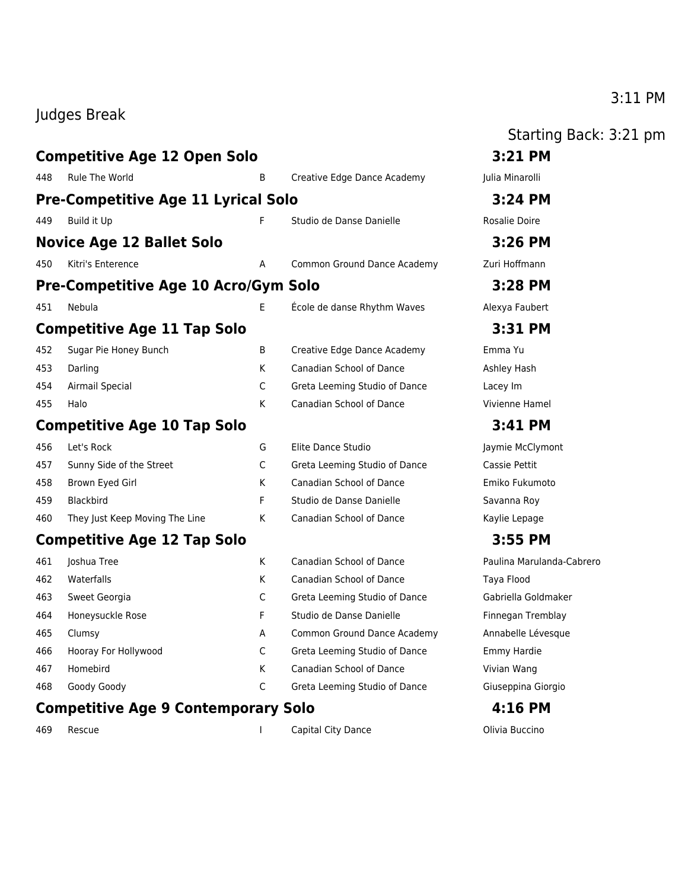### Judges Break

### **Competitive Age 12 Open Solo 3:21 PM** 448 Rule The World B Creative Edge Dance Academy Julia Minarolli **Pre-Competitive Age 11 Lyrical Solo 3:24 PM** 449 Build it Up **F** Studio de Danse Danielle Rosalie Doire **Novice Age 12 Ballet Solo 3:26 PM** 450 Kitri's Enterence **A** Common Ground Dance Academy **Zuri Hoffmann Pre-Competitive Age 10 Acro/Gym Solo 3:28 PM** 451 Nebula E École de danse Rhythm Waves Alexya Faubert **Competitive Age 11 Tap Solo 3:31 PM** 452 Sugar Pie Honey Bunch B Creative Edge Dance Academy Emma Yu 453 Darling Market Canadian School of Dance Ashley Hash 454 Airmail Special C Greta Leeming Studio of Dance Lacey Im 455 Halo K Canadian School of Dance Vivienne Hamel **Competitive Age 10 Tap Solo 3:41 PM** 456 Let's Rock **G** Elite Dance Studio **G** Alexander Clymont 457 Sunny Side of the Street C Greta Leeming Studio of Dance Cassie Pettit 458 Brown Eyed Girl K Canadian School of Dance Emiko Fukumoto 459 Blackbird F Studio de Danse Danielle Savanna Roy 460 They Just Keep Moving The Line K Canadian School of Dance Kaylie Lepage **Competitive Age 12 Tap Solo 3:55 PM** 461 Joshua Tree K Canadian School of Dance Paulina Marulanda-Cabrero 462 Waterfalls **K** Canadian School of Dance Taya Flood 463 Sweet Georgia C Greta Leeming Studio of Dance Gabriella Goldmaker 464 Honeysuckle Rose F Studio de Danse Danielle Finnegan Tremblay 465 Clumsy **A** Common Ground Dance Academy Annabelle Lévesque 466 Hooray For Hollywood C Greta Leeming Studio of Dance Emmy Hardie 467 Homebird K Canadian School of Dance Vivian Wang 468 Goody Goody C Greta Leeming Studio of Dance Giuseppina Giorgio

### **Competitive Age 9 Contemporary Solo 4:16 PM**

469 Rescue I Capital City Dance Olivia Buccino

### Starting Back: 3:21 pm

### 3:11 PM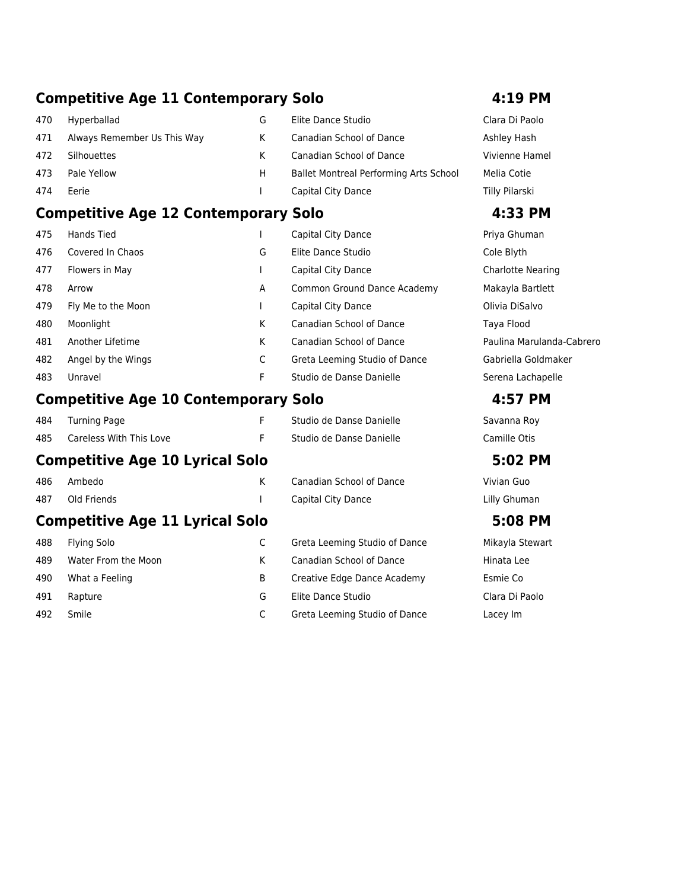### **Competitive Age 11 Contemporary Solo 4:19 PM**

| 470 | Hyperballad                 | G  | Elite Dance Studio                            | Clara Di Pao   |
|-----|-----------------------------|----|-----------------------------------------------|----------------|
| 471 | Always Remember Us This Way |    | Canadian School of Dance                      | Ashley Hash    |
| 472 | Silhouettes                 | к  | Canadian School of Dance                      | Vivienne Ha    |
| 473 | Pale Yellow                 | H. | <b>Ballet Montreal Performing Arts School</b> | Melia Cotie    |
| 474 | Eerie                       |    | Capital City Dance                            | Tilly Pilarski |

### **Competitive Age 12 Contemporary Solo 4:33 PM**

| 475 | Hands Tied         |   | Capital City Dance            | Priya Ghun  |
|-----|--------------------|---|-------------------------------|-------------|
| 476 | Covered In Chaos   | G | Elite Dance Studio            | Cole Blyth  |
| 477 | Flowers in May     |   | Capital City Dance            | Charlotte N |
| 478 | Arrow              | A | Common Ground Dance Academy   | Makayla Ba  |
| 479 | Fly Me to the Moon |   | Capital City Dance            | Olivia DiSa |
| 480 | Moonlight          | К | Canadian School of Dance      | Taya Flood  |
| 481 | Another Lifetime   | К | Canadian School of Dance      | Paulina Ma  |
| 482 | Angel by the Wings | C | Greta Leeming Studio of Dance | Gabriella G |
| 483 | Unravel            | F | Studio de Danse Danielle      | Serena Lac  |
|     |                    |   |                               |             |

### **Competitive Age 10 Contemporary Solo 4:57 PM**

| <b>Turning Page</b>                    | F. | Studio de Danse Danielle      | Savanna Roy     |  |  |  |  |
|----------------------------------------|----|-------------------------------|-----------------|--|--|--|--|
| Careless With This Love                | F  | Studio de Danse Danielle      | Camille Otis    |  |  |  |  |
| <b>Competitive Age 10 Lyrical Solo</b> |    |                               |                 |  |  |  |  |
| Ambedo                                 | K  | Canadian School of Dance      | Vivian Guo      |  |  |  |  |
| Old Friends                            |    | Capital City Dance            | Lilly Ghuman    |  |  |  |  |
| <b>Competitive Age 11 Lyrical Solo</b> |    |                               |                 |  |  |  |  |
| <b>Flying Solo</b>                     | C  | Greta Leeming Studio of Dance | Mikayla Stewart |  |  |  |  |
| Water From the Moon                    | K  | Canadian School of Dance      | Hinata Lee      |  |  |  |  |
| What a Feeling                         | B  | Creative Edge Dance Academy   | Esmie Co        |  |  |  |  |
| Rapture                                | G  | Elite Dance Studio            | Clara Di Paolo  |  |  |  |  |
|                                        |    |                               |                 |  |  |  |  |

### 492 Smile C Greta Leeming Studio of Dance Lacey Im

Clara Di Paolo Vivienne Hamel Tilly Pilarski

Priya Ghuman Charlotte Nearing Makayla Bartlett Olivia DiSalvo Paulina Marulanda-Cabrero Gabriella Goldmaker Serena Lachapelle

e Mikayla Stewart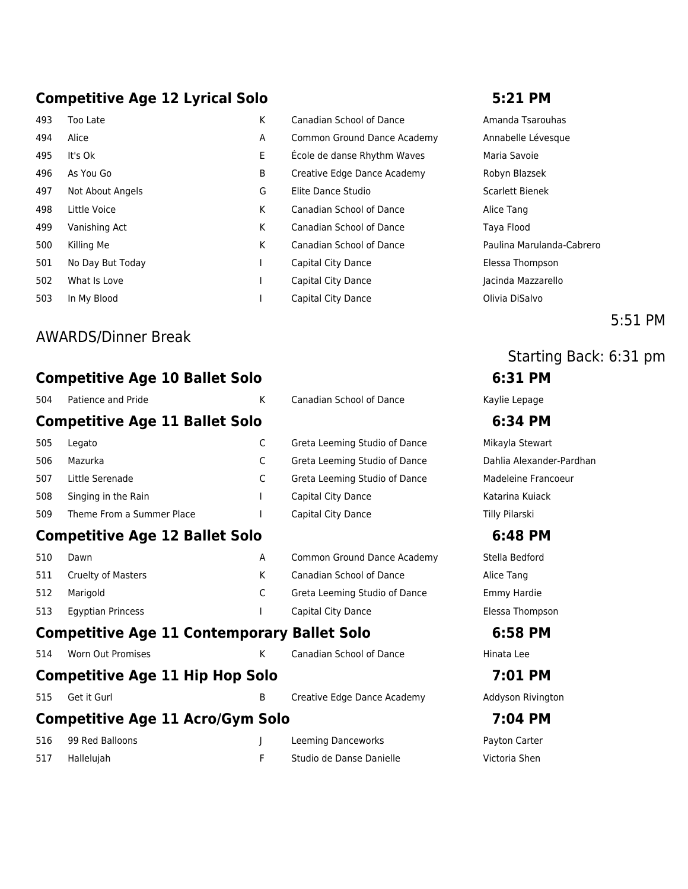### **Competitive Age 12 Lyrical Solo 5:21 PM**

| 493 | Too Late         |
|-----|------------------|
| 494 | Alice            |
| 495 | It's Ok          |
| 496 | As You Go        |
| 497 | Not About Angels |
| 498 | Little Voice     |
| 499 | Vanishing Act    |
| 500 | Killing Me       |
| 501 | No Day But Today |
| 502 | What Is Love     |
| 503 | In My Blood      |
|     |                  |

### AWARDS/Dinner Break

### **Competitive Age 10 Ballet Solo 6:31 PM**

| 504 | Patience and Pride                                 | K            | <b>Canadian School of Dance</b> | Kaylie Lepage   |
|-----|----------------------------------------------------|--------------|---------------------------------|-----------------|
|     | <b>Competitive Age 11 Ballet Solo</b>              |              |                                 | 6:34 PM         |
| 505 | Legato                                             | C            | Greta Leeming Studio of Dance   | Mikayla Stewart |
| 506 | Mazurka                                            | C            | Greta Leeming Studio of Dance   | Dahlia Alexande |
| 507 | Little Serenade                                    | C            | Greta Leeming Studio of Dance   | Madeleine Frano |
| 508 | Singing in the Rain                                | $\mathbf{I}$ | Capital City Dance              | Katarina Kujack |
| 509 | Theme From a Summer Place                          |              | Capital City Dance              | Tilly Pilarski  |
|     | <b>Competitive Age 12 Ballet Solo</b>              |              |                                 | 6:48 PM         |
| 510 | Dawn                                               | A            | Common Ground Dance Academy     | Stella Bedford  |
| 511 | Cruelty of Masters                                 | K            | Canadian School of Dance        | Alice Tang      |
| 512 | Marigold                                           | C            | Greta Leeming Studio of Dance   | Emmy Hardie     |
| 513 | <b>Egyptian Princess</b>                           |              | Capital City Dance              | Elessa Thompso  |
|     | <b>Competitive Age 11 Contemporary Ballet Solo</b> |              |                                 | 6:58 PM         |
| 514 | <b>Worn Out Promises</b>                           | K            | <b>Canadian School of Dance</b> | Hinata Lee      |
|     | <b>Competitive Age 11 Hip Hop Solo</b>             |              |                                 | 7:01 PM         |
| 515 | Get it Gurl                                        | B            | Creative Edge Dance Academy     | Addyson Rivingt |
|     | <b>Competitive Age 11 Acro/Gym Solo</b>            |              |                                 | 7:04 PM         |
| 516 | 99 Red Balloons                                    |              | Leeming Danceworks              | Payton Carter   |

K Canadian School of Dance Amanda Tsarouhas A Common Ground Dance Academy Annabelle Lévesque E École de danse Rhythm Waves Maria Savoie B Creative Edge Dance Academy Robyn Blazsek 497 Not About Angels G Elite Dance Studio Scarlett Bienek K Canadian School of Dance Alice Tang K Canadian School of Dance Taya Flood K Canadian School of Dance Paulina Marulanda-Cabrero 1 Capital City Dance **Elessa Thompson** 1 Capital City Dance **Constant Is Love I Capital City Dance** Jacinda Mazzarello 1 Capital City Dance **Capital City Dance Capital City Dance Capital City Dance** Olivia DiSalvo

5:51 PM

# Starting Back: 6:31 pm

lia Alexander-Pardhan eleine Francoeur

sa Thompson

yson Rivington

517 Hallelujah F Studio de Danse Danielle Victoria Shen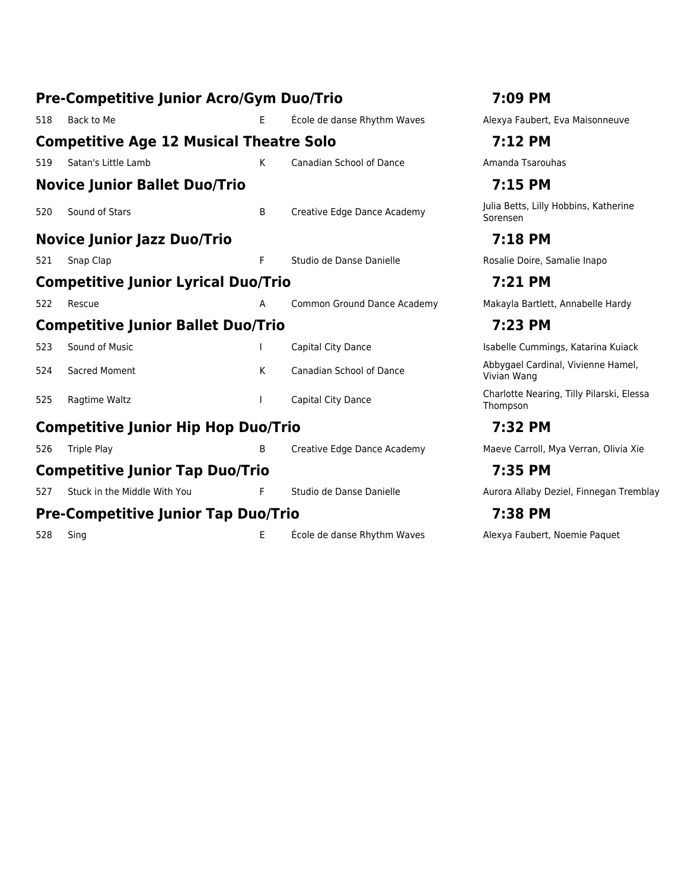|     | <b>Pre-Competitive Junior Acro/Gym Duo/Trio</b> | 7:09 PM |                                 |                                                       |
|-----|-------------------------------------------------|---------|---------------------------------|-------------------------------------------------------|
| 518 | Back to Me                                      | E       | École de danse Rhythm Waves     | Alexya Faubert, Eva Maisonneuve                       |
|     | <b>Competitive Age 12 Musical Theatre Solo</b>  |         | 7:12 PM                         |                                                       |
| 519 | Satan's Little Lamb                             | K       | <b>Canadian School of Dance</b> | Amanda Tsarouhas                                      |
|     | <b>Novice Junior Ballet Duo/Trio</b>            |         |                                 | 7:15 PM                                               |
| 520 | Sound of Stars                                  | B       | Creative Edge Dance Academy     | Julia Betts, Lilly Hobbins, Katherine<br>Sorensen     |
|     | <b>Novice Junior Jazz Duo/Trio</b>              |         |                                 | 7:18 PM                                               |
| 521 | Snap Clap                                       | F.      | Studio de Danse Danielle        | Rosalie Doire, Samalie Inapo                          |
|     | <b>Competitive Junior Lyrical Duo/Trio</b>      |         | 7:21 PM                         |                                                       |
| 522 | Rescue                                          | А       | Common Ground Dance Academy     | Makayla Bartlett, Annabelle Hardy                     |
|     | <b>Competitive Junior Ballet Duo/Trio</b>       |         |                                 | 7:23 PM                                               |
| 523 | Sound of Music                                  |         | Capital City Dance              | Isabelle Cummings, Katarina Kuiack                    |
| 524 | <b>Sacred Moment</b>                            | K       | Canadian School of Dance        | Abbygael Cardinal, Vivienne Hamel,<br>Vivian Wang     |
| 525 | Ragtime Waltz                                   |         | Capital City Dance              | Charlotte Nearing, Tilly Pilarski, Elessa<br>Thompson |
|     | <b>Competitive Junior Hip Hop Duo/Trio</b>      |         |                                 | 7:32 PM                                               |
| 526 | <b>Triple Play</b>                              | B       | Creative Edge Dance Academy     | Maeve Carroll, Mya Verran, Olivia Xie                 |
|     | <b>Competitive Junior Tap Duo/Trio</b>          |         |                                 | 7:35 PM                                               |
| 527 | Stuck in the Middle With You                    | F.      | Studio de Danse Danielle        | Aurora Allaby Deziel, Finnegan Tremblay               |
|     | <b>Pre-Competitive Junior Tap Duo/Trio</b>      |         |                                 | 7:38 PM                                               |
| 528 | Sing                                            | E       | École de danse Rhythm Waves     | Alexya Faubert, Noemie Paquet                         |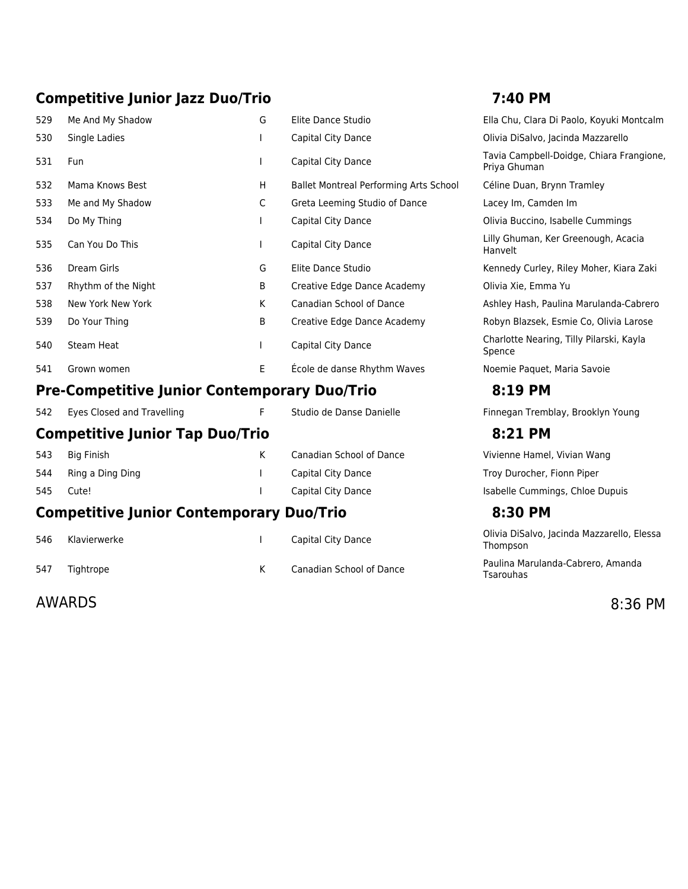### **Competitive Junior Jazz Duo/Trio 7:40 PM**

| 529 | Me And My Shadow                                    | G  | Elite Dance Studio                     | Ella Chu, Clara Di Paolo, Koyuki Montcalm                |
|-----|-----------------------------------------------------|----|----------------------------------------|----------------------------------------------------------|
| 530 | Single Ladies                                       |    | Capital City Dance                     | Olivia DiSalvo, Jacinda Mazzarello                       |
| 531 | Fun                                                 |    | Capital City Dance                     | Tavia Campbell-Doidge, Chiara Frangione,<br>Priya Ghuman |
| 532 | Mama Knows Best                                     | H  | Ballet Montreal Performing Arts School | Céline Duan, Brynn Tramley                               |
| 533 | Me and My Shadow                                    | C  | Greta Leeming Studio of Dance          | Lacey Im, Camden Im                                      |
| 534 | Do My Thing                                         |    | Capital City Dance                     | Olivia Buccino, Isabelle Cummings                        |
| 535 | Can You Do This                                     |    | Capital City Dance                     | Lilly Ghuman, Ker Greenough, Acacia<br>Hanvelt           |
| 536 | Dream Girls                                         | G  | Elite Dance Studio                     | Kennedy Curley, Riley Moher, Kiara Zaki                  |
| 537 | Rhythm of the Night                                 | B  | Creative Edge Dance Academy            | Olivia Xie, Emma Yu                                      |
| 538 | New York New York                                   | K  | <b>Canadian School of Dance</b>        | Ashley Hash, Paulina Marulanda-Cabrero                   |
| 539 | Do Your Thing                                       | B  | Creative Edge Dance Academy            | Robyn Blazsek, Esmie Co, Olivia Larose                   |
| 540 | <b>Steam Heat</b>                                   |    | Capital City Dance                     | Charlotte Nearing, Tilly Pilarski, Kayla<br>Spence       |
| 541 | Grown women                                         | E. | École de danse Rhythm Waves            | Noemie Paquet, Maria Savoie                              |
|     | <b>Pre-Competitive Junior Contemporary Duo/Trio</b> |    |                                        | 8:19 PM                                                  |
| 542 | Eyes Closed and Travelling                          | F  | Studio de Danse Danielle               | Finnegan Tremblay, Brooklyn Young                        |
|     | <b>Competitive Junior Tap Duo/Trio</b>              |    |                                        | 8:21 PM                                                  |
| 543 | <b>Big Finish</b>                                   | K. | <b>Canadian School of Dance</b>        | Vivienne Hamel, Vivian Wang                              |
| 544 | Ring a Ding Ding                                    |    | Capital City Dance                     | Troy Durocher, Fionn Piper                               |
| 545 | Cute!                                               |    | Capital City Dance                     | Isabelle Cummings, Chloe Dupuis                          |
|     | <b>Competitive Junior Contemporary Duo/Trio</b>     |    |                                        | 8:30 PM                                                  |
| 546 | Klavierwerke                                        |    | Capital City Dance                     | Olivia DiSalvo, Jacinda Mazzarello, Elessa<br>Thompson   |

| Ella Chu, Clara Di Paolo, Koyuki Montcalm                |
|----------------------------------------------------------|
| Olivia DiSalvo, Jacinda Mazzarello                       |
| Tavia Campbell-Doidge, Chiara Frangione,<br>Priya Ghuman |
| Céline Duan, Brynn Tramley                               |
| Lacey Im, Camden Im                                      |
| Olivia Buccino, Isabelle Cummings                        |
| Lilly Ghuman, Ker Greenough, Acacia<br>Hanvelt           |
| Kennedy Curley, Riley Moher, Kiara Zaki                  |
| Olivia Xie, Emma Yu                                      |
| Ashley Hash, Paulina Marulanda-Cabrero                   |
| Robyn Blazsek, Esmie Co, Olivia Larose                   |
| Charlotte Nearing, Tilly Pilarski, Kayla<br>Spence       |
| Noemie Paquet, Maria Savoie                              |
| 0.10 DM                                                  |

### **Competitive Junior Contemporary Duo/Trio 8:30 PM**

Tsarouhas

Olivia DiSalvo, Jacinda Mazzarello, Elessa Thompson 547 Tightrope **Martias Canadian School of Dance** Paulina Marulanda-Cabrero, Amanda

AWARDS 8:36 PM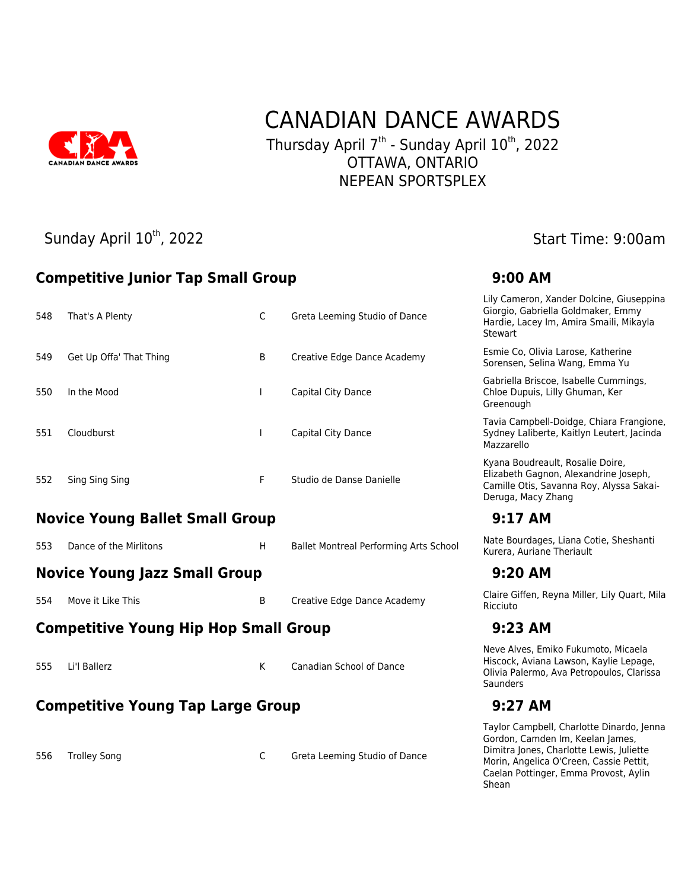

### CANADIAN DANCE AWARDS Thursday April 7<sup>th</sup> - Sunday April 10<sup>th</sup>, 2022 OTTAWA, ONTARIO NEPEAN SPORTSPLEX

### Sunday April 10<sup>th</sup>, 2022 Start Time: 9:00am

### **Competitive Junior Tap Small Group 9:00 AM**

556 Trolley Song Communication Communication Communication Communication Communication Communication Communication Communication Communication Communication Communication Communication Communication Communication Communica

| 548 | That's A Plenty                                       | C | Greta Leeming Studio of Dance                 | Lily Cameron, Xander Dolcine, Giuseppina<br>Giorgio, Gabriella Goldmaker, Emmy<br>Hardie, Lacey Im, Amira Smaili, Mikayla<br><b>Stewart</b> |  |  |  |
|-----|-------------------------------------------------------|---|-----------------------------------------------|---------------------------------------------------------------------------------------------------------------------------------------------|--|--|--|
| 549 | Get Up Offa' That Thing                               | B | Creative Edge Dance Academy                   | Esmie Co, Olivia Larose, Katherine<br>Sorensen, Selina Wang, Emma Yu                                                                        |  |  |  |
| 550 | In the Mood                                           |   | Capital City Dance                            | Gabriella Briscoe, Isabelle Cummings,<br>Chloe Dupuis, Lilly Ghuman, Ker<br>Greenough                                                       |  |  |  |
| 551 | Cloudburst                                            |   | Capital City Dance                            | Tavia Campbell-Doidge, Chiara Frangione,<br>Sydney Laliberte, Kaitlyn Leutert, Jacinda<br>Mazzarello                                        |  |  |  |
| 552 | Sing Sing Sing                                        | F | Studio de Danse Danielle                      | Kyana Boudreault, Rosalie Doire,<br>Elizabeth Gagnon, Alexandrine Joseph,<br>Camille Otis, Savanna Roy, Alyssa Sakai-<br>Deruga, Macy Zhang |  |  |  |
|     | <b>Novice Young Ballet Small Group</b>                |   |                                               | $9:17$ AM                                                                                                                                   |  |  |  |
| 553 | Dance of the Mirlitons                                | H | <b>Ballet Montreal Performing Arts School</b> | Nate Bourdages, Liana Cotie, Sheshanti<br>Kurera, Auriane Theriault                                                                         |  |  |  |
|     | <b>Novice Young Jazz Small Group</b>                  |   |                                               | 9:20 AM                                                                                                                                     |  |  |  |
| 554 | Move it Like This                                     | B | Creative Edge Dance Academy                   | Claire Giffen, Reyna Miller, Lily Quart, Mila<br>Ricciuto                                                                                   |  |  |  |
|     | <b>Competitive Young Hip Hop Small Group</b>          |   |                                               | $9:23$ AM                                                                                                                                   |  |  |  |
| 555 | Li'l Ballerz                                          | K | Canadian School of Dance                      | Neve Alves, Emiko Fukumoto, Micaela<br>Hiscock, Aviana Lawson, Kaylie Lepage,<br>Olivia Palermo, Ava Petropoulos, Clarissa<br>Saunders      |  |  |  |
|     | <b>Competitive Young Tap Large Group</b><br>$9:27$ AM |   |                                               |                                                                                                                                             |  |  |  |
|     |                                                       |   |                                               | Taylor Campbell, Charlotte Dinardo, Jenna<br>Gordon, Camden Im, Keelan James.                                                               |  |  |  |

Gordon, Camden Im, Keelan James, Dimitra Jones, Charlotte Lewis, Juliette Morin, Angelica O'Creen, Cassie Pettit, Caelan Pottinger, Emma Provost, Aylin Shean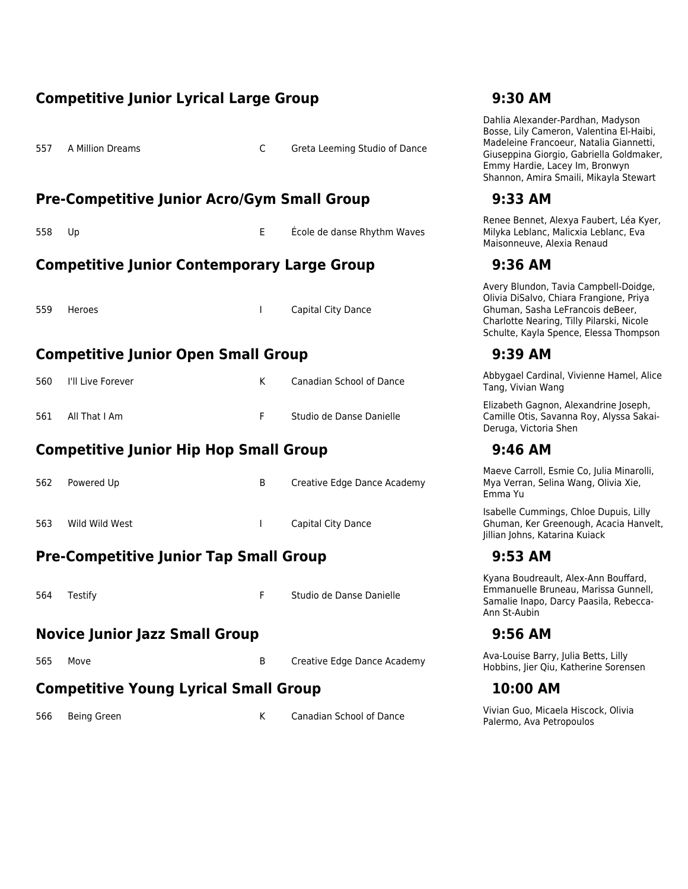|     | <b>Competitive Junior Lyrical Large Group</b>      |              | 9:30 AM                         |                                                                                                                                                                                                                                                  |
|-----|----------------------------------------------------|--------------|---------------------------------|--------------------------------------------------------------------------------------------------------------------------------------------------------------------------------------------------------------------------------------------------|
| 557 | A Million Dreams                                   | C            | Greta Leeming Studio of Dance   | Dahlia Alexander-Pardhan, Madyson<br>Bosse, Lily Cameron, Valentina El-Haibi,<br>Madeleine Francoeur, Natalia Giannetti,<br>Giuseppina Giorgio, Gabriella Goldmaker,<br>Emmy Hardie, Lacey Im, Bronwyn<br>Shannon, Amira Smaili, Mikayla Stewart |
|     | <b>Pre-Competitive Junior Acro/Gym Small Group</b> |              |                                 | 9:33 AM                                                                                                                                                                                                                                          |
| 558 | Up                                                 | Е            | École de danse Rhythm Waves     | Renee Bennet, Alexya Faubert, Léa Kyer,<br>Milyka Leblanc, Malicxia Leblanc, Eva<br>Maisonneuve, Alexia Renaud                                                                                                                                   |
|     | <b>Competitive Junior Contemporary Large Group</b> |              |                                 | 9:36 AM                                                                                                                                                                                                                                          |
| 559 | Heroes                                             | $\mathbf{I}$ | Capital City Dance              | Avery Blundon, Tavia Campbell-Doidge,<br>Olivia DiSalvo, Chiara Frangione, Priya<br>Ghuman, Sasha LeFrancois deBeer,<br>Charlotte Nearing, Tilly Pilarski, Nicole<br>Schulte, Kayla Spence, Elessa Thompson                                      |
|     | <b>Competitive Junior Open Small Group</b>         |              |                                 | 9:39 AM                                                                                                                                                                                                                                          |
| 560 | I'll Live Forever                                  | K            | Canadian School of Dance        | Abbygael Cardinal, Vivienne Hamel, Alice<br>Tang, Vivian Wang                                                                                                                                                                                    |
| 561 | All That I Am                                      | F.           | Studio de Danse Danielle        | Elizabeth Gagnon, Alexandrine Joseph,<br>Camille Otis, Savanna Roy, Alyssa Sakai-<br>Deruga, Victoria Shen                                                                                                                                       |
|     | <b>Competitive Junior Hip Hop Small Group</b>      |              |                                 | 9:46 AM                                                                                                                                                                                                                                          |
| 562 | Powered Up                                         | B            | Creative Edge Dance Academy     | Maeve Carroll, Esmie Co, Julia Minarolli,<br>Mya Verran, Selina Wang, Olivia Xie,<br>Emma Yu                                                                                                                                                     |
| 563 | Wild Wild West                                     | $\mathbf{I}$ | Capital City Dance              | Isabelle Cummings, Chloe Dupuis, Lilly<br>Ghuman, Ker Greenough, Acacia Hanvelt,<br>Jillian Johns, Katarina Kuiack                                                                                                                               |
|     | <b>Pre-Competitive Junior Tap Small Group</b>      |              |                                 | $9:53$ AM                                                                                                                                                                                                                                        |
| 564 | Testify                                            | F            | Studio de Danse Danielle        | Kyana Boudreault, Alex-Ann Bouffard,<br>Emmanuelle Bruneau, Marissa Gunnell,<br>Samalie Inapo, Darcy Paasila, Rebecca-<br>Ann St-Aubin                                                                                                           |
|     | <b>Novice Junior Jazz Small Group</b>              |              |                                 | 9:56 AM                                                                                                                                                                                                                                          |
| 565 | Move                                               | B            | Creative Edge Dance Academy     | Ava-Louise Barry, Julia Betts, Lilly<br>Hobbins, Jier Qiu, Katherine Sorensen                                                                                                                                                                    |
|     | <b>Competitive Young Lyrical Small Group</b>       |              |                                 | 10:00 AM                                                                                                                                                                                                                                         |
| 566 | Being Green                                        | K            | <b>Canadian School of Dance</b> | Vivian Guo, Micaela Hiscock, Olivia<br>Palermo, Ava Petropoulos                                                                                                                                                                                  |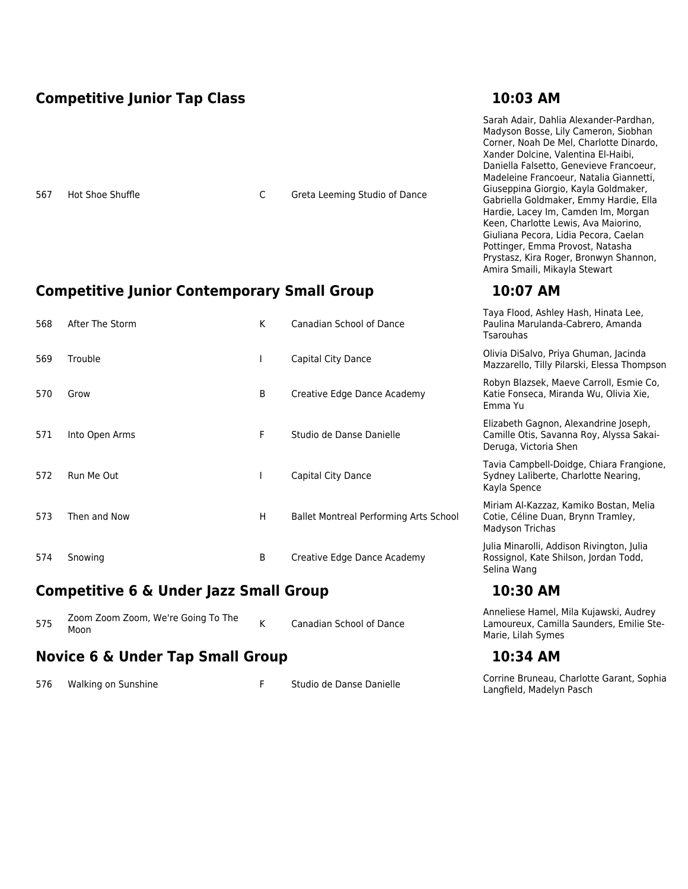### **Competitive Junior Tap Class 10:03 AM**

567 Hot Shoe Shuffle C Greta Leeming Studio of Dance

### **Competitive Junior Contemporary Small Group 10:07 AM**

| 568 | After The Storm | K  | Canadian School of Dance                      | $1.100000$ , $1.000000$ , $1.000000$ , $1.000000$<br>Paulina Marulanda-Cabrero, Amanda<br><b>Tsarouhas</b> |
|-----|-----------------|----|-----------------------------------------------|------------------------------------------------------------------------------------------------------------|
| 569 | Trouble         |    | Capital City Dance                            | Olivia DiSalvo, Priya Ghuman, Jacinda<br>Mazzarello, Tilly Pilarski, Elessa Thompson                       |
| 570 | Grow            | B  | Creative Edge Dance Academy                   | Robyn Blazsek, Maeve Carroll, Esmie Co,<br>Katie Fonseca, Miranda Wu, Olivia Xie,<br>Emma Yu               |
| 571 | Into Open Arms  | F. | Studio de Danse Danielle                      | Elizabeth Gagnon, Alexandrine Joseph,<br>Camille Otis, Savanna Roy, Alyssa Sakai-<br>Deruga, Victoria Shen |
| 572 | Run Me Out      |    | Capital City Dance                            | Tavia Campbell-Doidge, Chiara Frangione,<br>Sydney Laliberte, Charlotte Nearing,<br>Kayla Spence           |
| 573 | Then and Now    | H  | <b>Ballet Montreal Performing Arts School</b> | Miriam Al-Kazzaz, Kamiko Bostan, Melia<br>Cotie, Céline Duan, Brynn Tramley,<br>Madyson Trichas            |
| 574 | Snowing         | B  | Creative Edge Dance Academy                   | Julia Minarolli, Addison Rivington, Julia<br>Rossignol, Kate Shilson, Jordan Todd,<br>Selina Wang          |

### **Competitive 6 & Under Jazz Small Group 10:30 AM**

| Zoom Zoom Zoom, We're Going To The<br>575<br>Moon | <b>Canadian School of Dance</b> |
|---------------------------------------------------|---------------------------------|
|---------------------------------------------------|---------------------------------|

### **Novice 6 & Under Tap Small Group <b>10:34 AM**

Anneliese Hamel, Mila Kujawski, Audrey Lamoureux, Camilla Saunders, Emilie Ste-Marie, Lilah Symes

576 Walking on Sunshine The Studio de Danse Danielle Corrine Bruneau, Charlotte Garant, Sophia Langfield, Madelyn Pasch

Sarah Adair, Dahlia Alexander-Pardhan, Madyson Bosse, Lily Cameron, Siobhan Corner, Noah De Mel, Charlotte Dinardo, Xander Dolcine, Valentina El-Haibi, Daniella Falsetto, Genevieve Francoeur, Madeleine Francoeur, Natalia Giannetti, Giuseppina Giorgio, Kayla Goldmaker, Gabriella Goldmaker, Emmy Hardie, Ella Hardie, Lacey Im, Camden Im, Morgan Keen, Charlotte Lewis, Ava Maiorino, Giuliana Pecora, Lidia Pecora, Caelan Pottinger, Emma Provost, Natasha Prystasz, Kira Roger, Bronwyn Shannon, Amira Smaili, Mikayla Stewart

Taya Flood, Ashley Hash, Hinata Lee,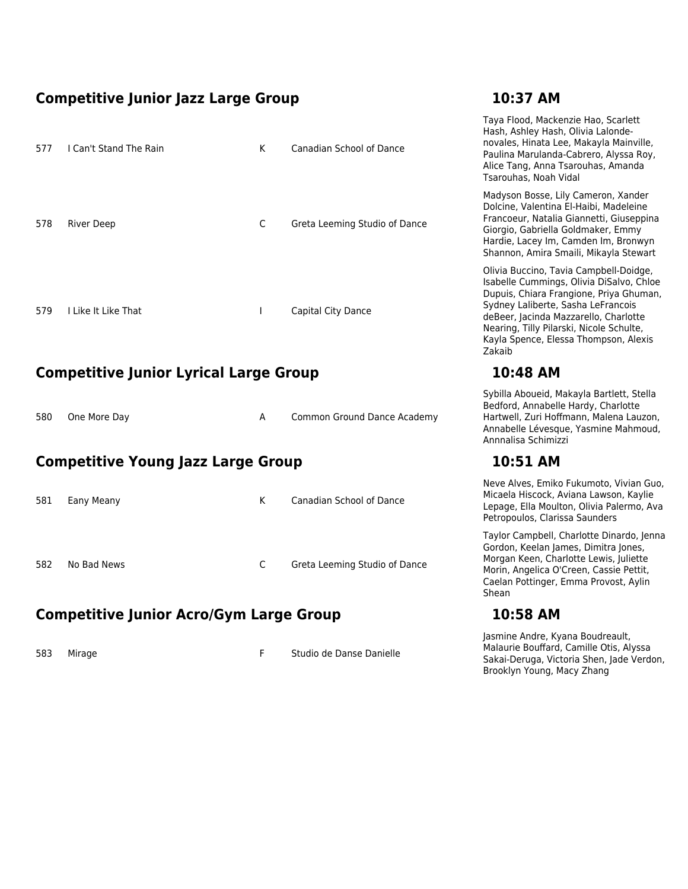### **Competitive Junior Jazz Large Group 10:37 AM**

| 577 | I Can't Stand The Rain | K | Canadian School of Dance      |
|-----|------------------------|---|-------------------------------|
|     |                        |   |                               |
| 578 | <b>River Deep</b>      | C | Greta Leeming Studio of Dance |
|     |                        |   |                               |
|     |                        |   |                               |
| 579 | I Like It Like That    | I | Capital City Dance            |

### **Competitive Junior Lyrical Large Group 10:48 AM**

| 580 One More Day |  | <b>Common Ground Dance Academy</b> |
|------------------|--|------------------------------------|
|                  |  |                                    |

### **Competitive Young Jazz Large Group 10:51 AM**

| 581 | Eany Meany  | K | Canadian School of Dance      |
|-----|-------------|---|-------------------------------|
| 582 | No Bad News | C | Greta Leeming Studio of Dance |

### **Competitive Junior Acro/Gym Large Group 10:58 AM**

583 Mirage F Studio de Danse Danielle

Taya Flood, Mackenzie Hao, Scarlett Hash, Ashley Hash, Olivia Lalondenovales, Hinata Lee, Makayla Mainville, Paulina Marulanda-Cabrero, Alyssa Roy, Alice Tang, Anna Tsarouhas, Amanda Tsarouhas, Noah Vidal Madyson Bosse, Lily Cameron, Xander Dolcine, Valentina El-Haibi, Madeleine Francoeur, Natalia Giannetti, Giuseppina Giorgio, Gabriella Goldmaker, Emmy Hardie, Lacey Im, Camden Im, Bronwyn Shannon, Amira Smaili, Mikayla Stewart Olivia Buccino, Tavia Campbell-Doidge, Isabelle Cummings, Olivia DiSalvo, Chloe Dupuis, Chiara Frangione, Priya Ghuman, Sydney Laliberte, Sasha LeFrancois deBeer, Jacinda Mazzarello, Charlotte Nearing, Tilly Pilarski, Nicole Schulte, Kayla Spence, Elessa Thompson, Alexis Zakaib

Sybilla Aboueid, Makayla Bartlett, Stella Bedford, Annabelle Hardy, Charlotte Hartwell, Zuri Hoffmann, Malena Lauzon, Annabelle Lévesque, Yasmine Mahmoud, Annnalisa Schimizzi

Neve Alves, Emiko Fukumoto, Vivian Guo, Micaela Hiscock, Aviana Lawson, Kaylie Lepage, Ella Moulton, Olivia Palermo, Ava Petropoulos, Clarissa Saunders

Taylor Campbell, Charlotte Dinardo, Jenna Gordon, Keelan James, Dimitra Jones, Morgan Keen, Charlotte Lewis, Juliette Morin, Angelica O'Creen, Cassie Pettit, Caelan Pottinger, Emma Provost, Aylin Shean

Jasmine Andre, Kyana Boudreault, Malaurie Bouffard, Camille Otis, Alyssa Sakai-Deruga, Victoria Shen, Jade Verdon, Brooklyn Young, Macy Zhang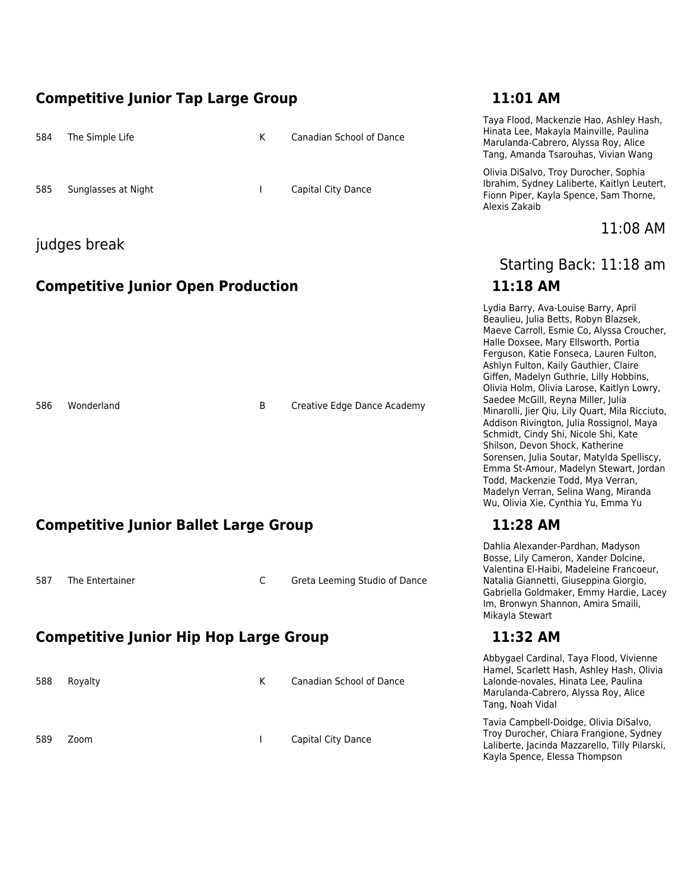### **Competitive Junior Tap Large Group 11:01 AM**

| 584 | The Simple Life     | К | Canadian School of Dance |
|-----|---------------------|---|--------------------------|
| 585 | Sunglasses at Night |   | Capital City Dance       |

### judges break

### **Competitive Junior Open Production 11:18 AM**

586 Wonderland **B** Creative Edge Dance Academy

### **Competitive Junior Ballet Large Group 11:28 AM**

587 The Entertainer C Greta Leeming Studio of Dance

### **Competitive Junior Hip Hop Large Group 11:32 AM**

588 Royalty **K** Canadian School of Dance

589 Zoom I Capital City Dance

Taya Flood, Mackenzie Hao, Ashley Hash, Hinata Lee, Makayla Mainville, Paulina Marulanda-Cabrero, Alyssa Roy, Alice Tang, Amanda Tsarouhas, Vivian Wang

Olivia DiSalvo, Troy Durocher, Sophia Ibrahim, Sydney Laliberte, Kaitlyn Leutert, Fionn Piper, Kayla Spence, Sam Thorne, Alexis Zakaib

11:08 AM

# Starting Back: 11:18 am

Lydia Barry, Ava-Louise Barry, April Beaulieu, Julia Betts, Robyn Blazsek, Maeve Carroll, Esmie Co, Alyssa Croucher, Halle Doxsee, Mary Ellsworth, Portia Ferguson, Katie Fonseca, Lauren Fulton, Ashlyn Fulton, Kaily Gauthier, Claire Giffen, Madelyn Guthrie, Lilly Hobbins, Olivia Holm, Olivia Larose, Kaitlyn Lowry, Saedee McGill, Reyna Miller, Julia Minarolli, Jier Qiu, Lily Quart, Mila Ricciuto, Addison Rivington, Julia Rossignol, Maya Schmidt, Cindy Shi, Nicole Shi, Kate Shilson, Devon Shock, Katherine Sorensen, Julia Soutar, Matylda Spelliscy, Emma St-Amour, Madelyn Stewart, Jordan Todd, Mackenzie Todd, Mya Verran, Madelyn Verran, Selina Wang, Miranda Wu, Olivia Xie, Cynthia Yu, Emma Yu

Dahlia Alexander-Pardhan, Madyson Bosse, Lily Cameron, Xander Dolcine, Valentina El-Haibi, Madeleine Francoeur, Natalia Giannetti, Giuseppina Giorgio, Gabriella Goldmaker, Emmy Hardie, Lacey Im, Bronwyn Shannon, Amira Smaili, Mikayla Stewart

Abbygael Cardinal, Taya Flood, Vivienne Hamel, Scarlett Hash, Ashley Hash, Olivia Lalonde-novales, Hinata Lee, Paulina Marulanda-Cabrero, Alyssa Roy, Alice Tang, Noah Vidal

Tavia Campbell-Doidge, Olivia DiSalvo, Troy Durocher, Chiara Frangione, Sydney Laliberte, Jacinda Mazzarello, Tilly Pilarski, Kayla Spence, Elessa Thompson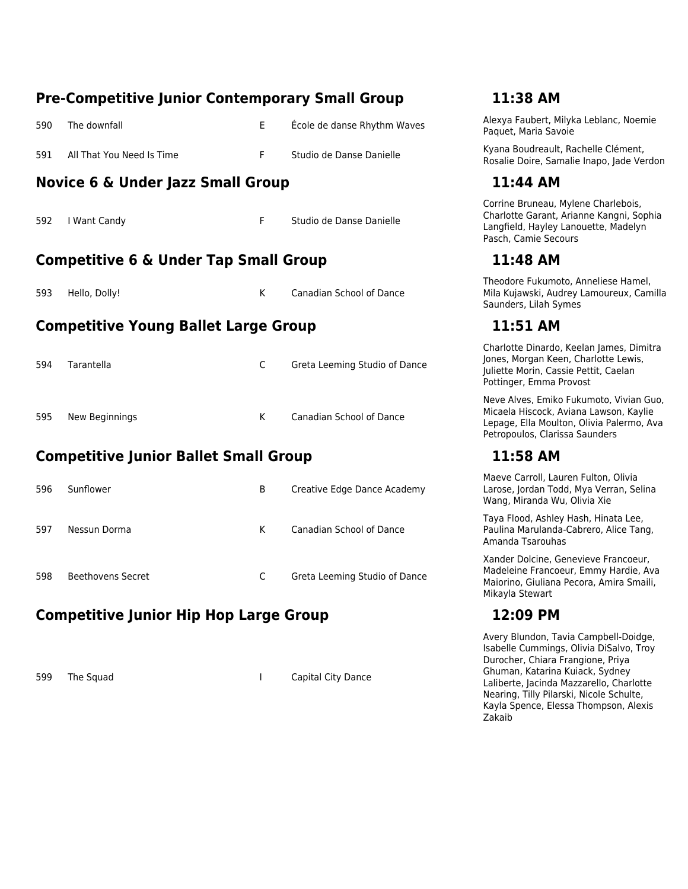|     | <b>Pre-Competitive Junior Contemporary Small Group</b><br>11:38 AM |   |                                 |                                                                                                                                                                  |  |  |  |  |
|-----|--------------------------------------------------------------------|---|---------------------------------|------------------------------------------------------------------------------------------------------------------------------------------------------------------|--|--|--|--|
| 590 | The downfall                                                       | E | École de danse Rhythm Waves     | Alexya Faubert, Milyka Leblanc, Noemie<br>Paquet, Maria Savoie                                                                                                   |  |  |  |  |
| 591 | All That You Need Is Time                                          | F | Studio de Danse Danielle        | Kyana Boudreault, Rachelle Clément,<br>Rosalie Doire, Samalie Inapo, Jade Verdon                                                                                 |  |  |  |  |
|     | <b>Novice 6 &amp; Under Jazz Small Group</b>                       |   |                                 | 11:44 AM                                                                                                                                                         |  |  |  |  |
| 592 | I Want Candy                                                       | F | Studio de Danse Danielle        | Corrine Bruneau, Mylene Charlebois,<br>Charlotte Garant, Arianne Kangni, Sophia<br>Langfield, Hayley Lanouette, Madelyn<br>Pasch, Camie Secours                  |  |  |  |  |
|     | <b>Competitive 6 &amp; Under Tap Small Group</b>                   |   |                                 | 11:48 AM                                                                                                                                                         |  |  |  |  |
| 593 | Hello, Dolly!                                                      | K | Canadian School of Dance        | Theodore Fukumoto, Anneliese Hamel,<br>Mila Kujawski, Audrey Lamoureux, Camilla<br>Saunders, Lilah Symes                                                         |  |  |  |  |
|     | <b>Competitive Young Ballet Large Group</b>                        |   |                                 | 11:51 AM                                                                                                                                                         |  |  |  |  |
| 594 | Tarantella                                                         | C | Greta Leeming Studio of Dance   | Charlotte Dinardo, Keelan James, Dimitra<br>Jones, Morgan Keen, Charlotte Lewis,<br>Juliette Morin, Cassie Pettit, Caelan<br>Pottinger, Emma Provost             |  |  |  |  |
| 595 | New Beginnings                                                     | K | <b>Canadian School of Dance</b> | Neve Alves, Emiko Fukumoto, Vivian Guo,<br>Micaela Hiscock, Aviana Lawson, Kaylie<br>Lepage, Ella Moulton, Olivia Palermo, Ava<br>Petropoulos, Clarissa Saunders |  |  |  |  |
|     | <b>Competitive Junior Ballet Small Group</b>                       |   |                                 | 11:58 AM                                                                                                                                                         |  |  |  |  |
| 596 | Sunflower                                                          | B | Creative Edge Dance Academy     | Maeve Carroll, Lauren Fulton, Olivia<br>Larose, Jordan Todd, Mya Verran, Selina<br>Wang, Miranda Wu, Olivia Xie                                                  |  |  |  |  |
| 597 | Nessun Dorma                                                       | K | Canadian School of Dance        | Taya Flood, Ashley Hash, Hinata Lee,<br>Paulina Marulanda-Cabrero, Alice Tang,<br>Amanda Tsarouhas                                                               |  |  |  |  |
| 598 | <b>Beethovens Secret</b>                                           | C | Greta Leeming Studio of Dance   | Xander Dolcine, Genevieve Francoeur,<br>Madeleine Francoeur, Emmy Hardie, Ava<br>Maiorino, Giuliana Pecora, Amira Smaili,<br>Mikayla Stewart                     |  |  |  |  |
|     | <b>Competitive Junior Hip Hop Large Group</b><br>12:09 PM          |   |                                 |                                                                                                                                                                  |  |  |  |  |

599 The Squad Same Capital City Dance

Avery Blundon, Tavia Campbell-Doidge, Isabelle Cummings, Olivia DiSalvo, Troy Durocher, Chiara Frangione, Priya Ghuman, Katarina Kuiack, Sydney Laliberte, Jacinda Mazzarello, Charlotte Nearing, Tilly Pilarski, Nicole Schulte, Kayla Spence, Elessa Thompson, Alexis Zakaib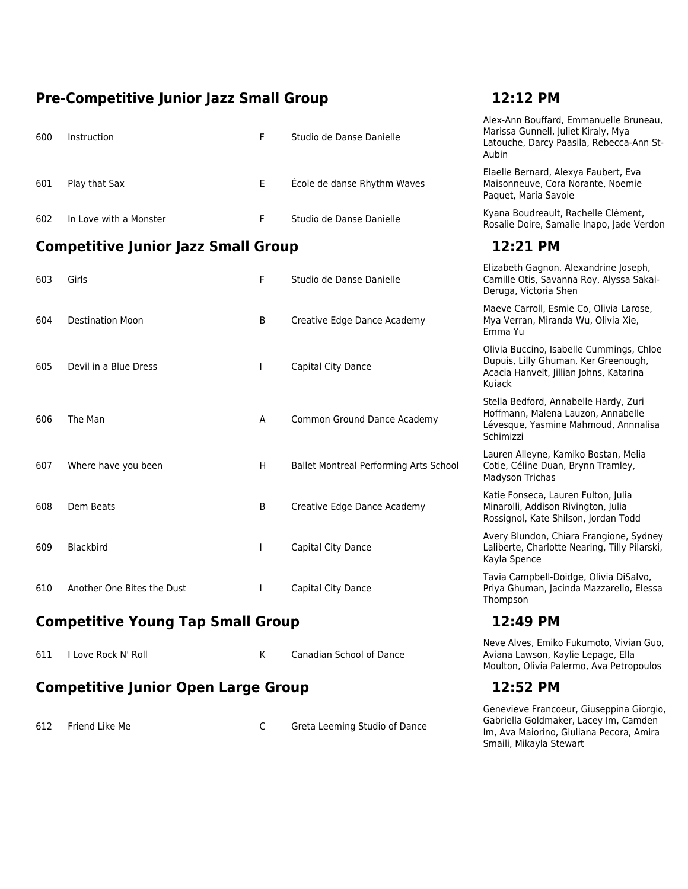### **Pre-Competitive Junior Jazz Small Group 12:12 PM**

| 600 | Instruction                                | F            | Studio de Danse Danielle               | Alex-Ann Bouffard, Emmanuelle Bruneau,<br>Marissa Gunnell, Juliet Kiraly, Mya<br>Latouche, Darcy Paasila, Rebecca-Ann St-<br>Aubin    |
|-----|--------------------------------------------|--------------|----------------------------------------|---------------------------------------------------------------------------------------------------------------------------------------|
| 601 | Play that Sax                              | E.           | École de danse Rhythm Waves            | Elaelle Bernard, Alexya Faubert, Eva<br>Maisonneuve, Cora Norante, Noemie<br>Paquet, Maria Savoie                                     |
| 602 | In Love with a Monster                     | F            | Studio de Danse Danielle               | Kyana Boudreault, Rachelle Clément,<br>Rosalie Doire, Samalie Inapo, Jade Verdon                                                      |
|     | <b>Competitive Junior Jazz Small Group</b> |              |                                        | 12:21 PM                                                                                                                              |
| 603 | Girls                                      | F            | Studio de Danse Danielle               | Elizabeth Gagnon, Alexandrine Joseph,<br>Camille Otis, Savanna Roy, Alyssa Sakai-<br>Deruga, Victoria Shen                            |
| 604 | <b>Destination Moon</b>                    | B            | Creative Edge Dance Academy            | Maeve Carroll, Esmie Co, Olivia Larose,<br>Mya Verran, Miranda Wu, Olivia Xie,<br>Emma Yu                                             |
| 605 | Devil in a Blue Dress                      | $\mathbf{I}$ | Capital City Dance                     | Olivia Buccino, Isabelle Cummings, Chloe<br>Dupuis, Lilly Ghuman, Ker Greenough,<br>Acacia Hanvelt, Jillian Johns, Katarina<br>Kuiack |
| 606 | The Man                                    | A            | Common Ground Dance Academy            | Stella Bedford, Annabelle Hardy, Zuri<br>Hoffmann, Malena Lauzon, Annabelle<br>Lévesque, Yasmine Mahmoud, Annnalisa<br>Schimizzi      |
| 607 | Where have you been                        | H            | Ballet Montreal Performing Arts School | Lauren Alleyne, Kamiko Bostan, Melia<br>Cotie, Céline Duan, Brynn Tramley,<br>Madyson Trichas                                         |
| 608 | Dem Beats                                  | B            | Creative Edge Dance Academy            | Katie Fonseca, Lauren Fulton, Julia<br>Minarolli, Addison Rivington, Julia<br>Rossignol, Kate Shilson, Jordan Todd                    |
| 609 | Blackbird                                  | $\mathbf{I}$ | Capital City Dance                     | Avery Blundon, Chiara Frangione, Sydney<br>Laliberte, Charlotte Nearing, Tilly Pilarski,<br>Kayla Spence                              |
| 610 | Another One Bites the Dust                 | $\mathbf{I}$ | Capital City Dance                     | Tavia Campbell-Doidge, Olivia DiSalvo,<br>Priya Ghuman, Jacinda Mazzarello, Elessa<br>Thompson                                        |
|     | <b>Competitive Young Tap Small Group</b>   |              |                                        | 12:49 PM                                                                                                                              |
| 611 | I Love Rock N' Roll                        | K.           | <b>Canadian School of Dance</b>        | Neve Alves, Emiko Fukumoto, Vivian Guo,<br>Aviana Lawson, Kaylie Lepage, Ella<br>Moulton, Olivia Palermo, Ava Petropoulos             |

### **Competitive Junior Open Large Group 12:52 PM**

612 Friend Like Me C Greta Leeming Studio of Dance

Genevieve Francoeur, Giuseppina Giorgio,

Gabriella Goldmaker, Lacey Im, Camden Im, Ava Maiorino, Giuliana Pecora, Amira Smaili, Mikayla Stewart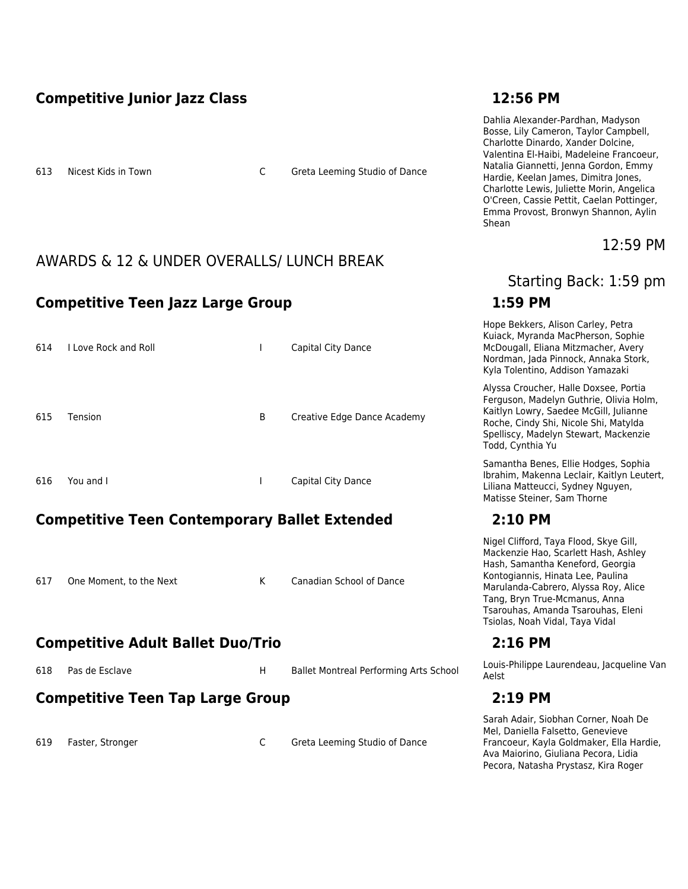### **Competitive Junior Jazz Class 12:56 PM**

613 Nicest Kids in Town C Greta Leeming Studio of Dance

### AWARDS & 12 & UNDER OVERALLS/ LUNCH BREAK

### **Competitive Teen Jazz Large Group 1:59 PM**

| 614 | I Love Rock and Roll | I | Capital City Dance          |
|-----|----------------------|---|-----------------------------|
| 615 | Tension              | В | Creative Edge Dance Academy |
| 616 | You and I            |   | Capital City Dance          |

### **Competitive Teen Contemporary Ballet Extended 2:10 PM**

617 One Moment, to the Next K Canadian School of Dance

### **Competitive Adult Ballet Duo/Trio 2:16 PM**

### **Competitive Teen Tap Large Group 2:19 PM**

619 Faster, Stronger C Greta Leeming Studio of Dance

Dahlia Alexander-Pardhan, Madyson Bosse, Lily Cameron, Taylor Campbell, Charlotte Dinardo, Xander Dolcine, Valentina El-Haibi, Madeleine Francoeur, Natalia Giannetti, Jenna Gordon, Emmy Hardie, Keelan James, Dimitra Jones, Charlotte Lewis, Juliette Morin, Angelica O'Creen, Cassie Pettit, Caelan Pottinger, Emma Provost, Bronwyn Shannon, Aylin Shean

12:59 PM

## Starting Back: 1:59 pm

Hope Bekkers, Alison Carley, Petra Kuiack, Myranda MacPherson, Sophie McDougall, Eliana Mitzmacher, Avery Nordman, Jada Pinnock, Annaka Stork, Kyla Tolentino, Addison Yamazaki

Alyssa Croucher, Halle Doxsee, Portia Ferguson, Madelyn Guthrie, Olivia Holm, Kaitlyn Lowry, Saedee McGill, Julianne Roche, Cindy Shi, Nicole Shi, Matylda Spelliscy, Madelyn Stewart, Mackenzie Todd, Cynthia Yu

Samantha Benes, Ellie Hodges, Sophia Ibrahim, Makenna Leclair, Kaitlyn Leutert, Liliana Matteucci, Sydney Nguyen, Matisse Steiner, Sam Thorne

Nigel Clifford, Taya Flood, Skye Gill, Mackenzie Hao, Scarlett Hash, Ashley Hash, Samantha Keneford, Georgia Kontogiannis, Hinata Lee, Paulina Marulanda-Cabrero, Alyssa Roy, Alice Tang, Bryn True-Mcmanus, Anna Tsarouhas, Amanda Tsarouhas, Eleni Tsiolas, Noah Vidal, Taya Vidal

618 Pas de Esclave Manuel China Ballet Montreal Performing Arts School Louis-Philippe Laurendeau, Jacqueline Van Aelst

Sarah Adair, Siobhan Corner, Noah De Mel, Daniella Falsetto, Genevieve Francoeur, Kayla Goldmaker, Ella Hardie, Ava Maiorino, Giuliana Pecora, Lidia Pecora, Natasha Prystasz, Kira Roger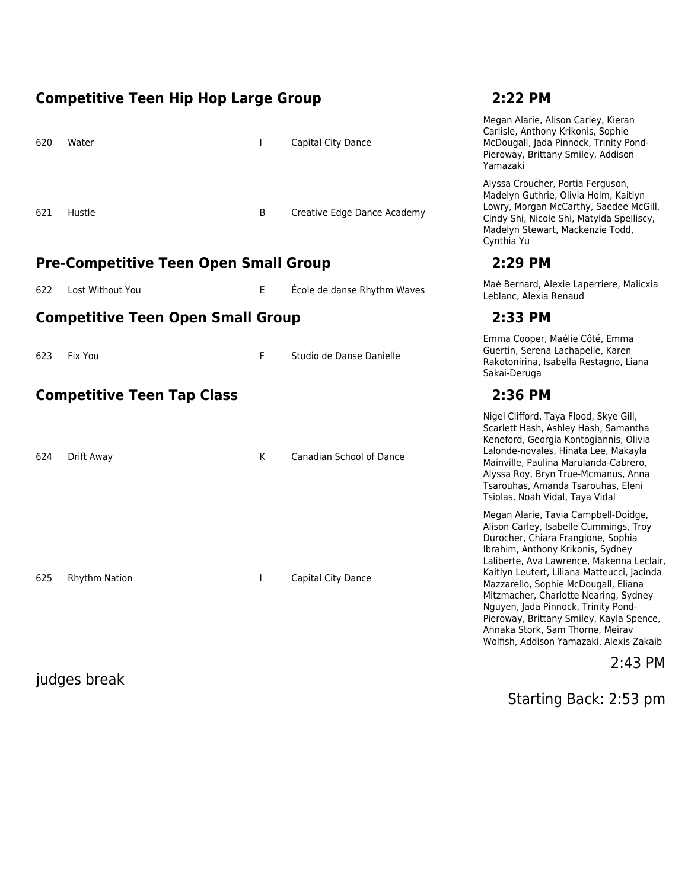### **Competitive Teen Hip Hop Large Group 2:22 PM**

| 620 | Water  | $\mathbf{L}$ | Capital City Dance          |
|-----|--------|--------------|-----------------------------|
| 621 | Hustle | B            | Creative Edge Dance Academy |

### **Pre-Competitive Teen Open Small Group 2:29 PM**

| 622 Lost Without You |  | École de danse Rhythm Wave: |
|----------------------|--|-----------------------------|
|----------------------|--|-----------------------------|

### **Competitive Teen Open Small Group 2:33 PM**

| 623 | Fix You                           | Studio de Danse Danielle | Guertin, Serena<br>Rakotonirina, Is<br>Sakai-Deruga |  |
|-----|-----------------------------------|--------------------------|-----------------------------------------------------|--|
|     | <b>Competitive Teen Tap Class</b> |                          | 2:36 PM                                             |  |
|     |                                   |                          | Nigel Clifford, T                                   |  |

| Drift Away    | K | Canadian School of Dance |
|---------------|---|--------------------------|
|               |   |                          |
|               |   |                          |
|               |   |                          |
|               |   |                          |
|               |   |                          |
| Rhythm Nation |   | Capital City Dance       |
|               |   |                          |
|               |   |                          |
|               |   |                          |
|               |   | $\mathbf{L}$             |

judges break

Megan Alarie, Alison Carley, Kieran Carlisle, Anthony Krikonis, Sophie McDougall, Jada Pinnock, Trinity Pond-Pieroway, Brittany Smiley, Addison Yamazaki

Alyssa Croucher, Portia Ferguson, Madelyn Guthrie, Olivia Holm, Kaitlyn Lowry, Morgan McCarthy, Saedee McGill, Cindy Shi, Nicole Shi, Matylda Spelliscy, Madelyn Stewart, Mackenzie Todd, Cynthia Yu

e Ecole Maé Bernard, Alexie Laperriere, Malicxia Leblanc, Alexia Renaud

Emma Cooper, Maélie Côté, Emma Guertin, Serena Lachapelle, Karen Rakotonirina, Isabella Restagno, Liana Sakai-Deruga

Nigel Clifford, Taya Flood, Skye Gill, Scarlett Hash, Ashley Hash, Samantha Keneford, Georgia Kontogiannis, Olivia Lalonde-novales, Hinata Lee, Makayla Mainville, Paulina Marulanda-Cabrero, Alyssa Roy, Bryn True-Mcmanus, Anna Tsarouhas, Amanda Tsarouhas, Eleni Tsiolas, Noah Vidal, Taya Vidal

Megan Alarie, Tavia Campbell-Doidge, Alison Carley, Isabelle Cummings, Troy Durocher, Chiara Frangione, Sophia Ibrahim, Anthony Krikonis, Sydney Laliberte, Ava Lawrence, Makenna Leclair, Kaitlyn Leutert, Liliana Matteucci, Jacinda Mazzarello, Sophie McDougall, Eliana Mitzmacher, Charlotte Nearing, Sydney Nguyen, Jada Pinnock, Trinity Pond-Pieroway, Brittany Smiley, Kayla Spence, Annaka Stork, Sam Thorne, Meirav Wolfish, Addison Yamazaki, Alexis Zakaib

2:43 PM

Starting Back: 2:53 pm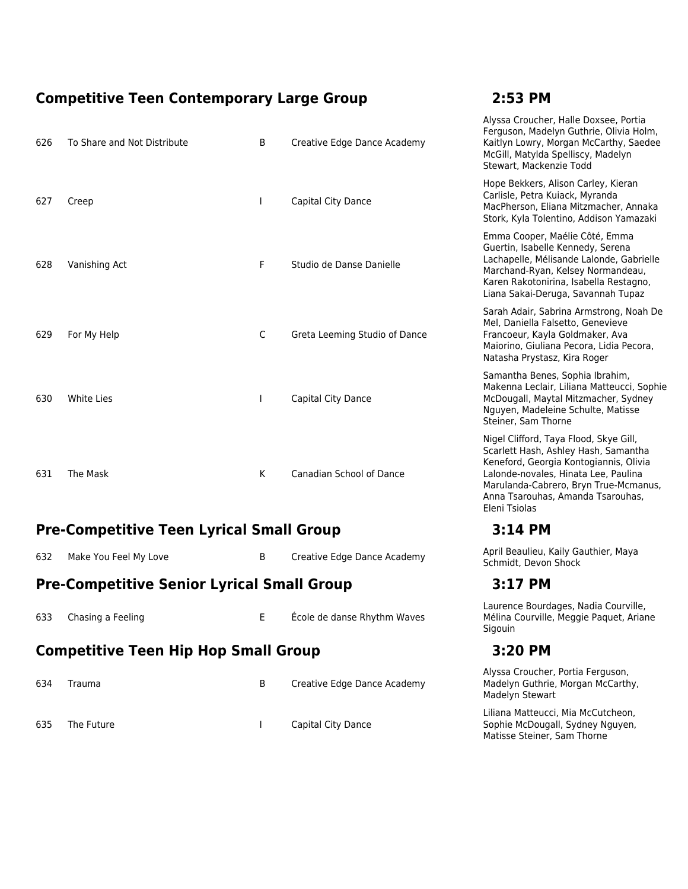### **Competitive Teen Contemporary Large Group 2:53 PM**

### 626 To Share and Not Distribute **B** Creative Edge Dance Academy Alyssa Croucher, Halle Doxsee, Portia Ferguson, Madelyn Guthrie, Olivia Holm, Kaitlyn Lowry, Morgan McCarthy, Saedee McGill, Matylda Spelliscy, Madelyn Stewart, Mackenzie Todd 627 Creep **I** Capital City Dance Hope Bekkers, Alison Carley, Kieran Carlisle, Petra Kuiack, Myranda MacPherson, Eliana Mitzmacher, Annaka Stork, Kyla Tolentino, Addison Yamazaki 628 Vanishing Act **F** Studio de Danse Danielle Emma Cooper, Maélie Côté, Emma Guertin, Isabelle Kennedy, Serena Lachapelle, Mélisande Lalonde, Gabrielle Marchand-Ryan, Kelsey Normandeau, Karen Rakotonirina, Isabella Restagno, Liana Sakai-Deruga, Savannah Tupaz 629 For My Help C Greta Leeming Studio of Dance Sarah Adair, Sabrina Armstrong, Noah De Mel, Daniella Falsetto, Genevieve Francoeur, Kayla Goldmaker, Ava Maiorino, Giuliana Pecora, Lidia Pecora, Natasha Prystasz, Kira Roger 630 White Lies **I Capital City Dance** Samantha Benes, Sophia Ibrahim, Makenna Leclair, Liliana Matteucci, Sophie McDougall, Maytal Mitzmacher, Sydney Nguyen, Madeleine Schulte, Matisse Steiner, Sam Thorne 631 The Mask **K** Canadian School of Dance Nigel Clifford, Taya Flood, Skye Gill, Scarlett Hash, Ashley Hash, Samantha Keneford, Georgia Kontogiannis, Olivia Lalonde-novales, Hinata Lee, Paulina Marulanda-Cabrero, Bryn True-Mcmanus, Anna Tsarouhas, Amanda Tsarouhas, Eleni Tsiolas

### **Pre-Competitive Teen Lyrical Small Group 3:14 PM**

632 Make You Feel My Love **B** Creative Edge Dance Academy **April Beaulieu, Kaily Gauthier, Maya** 

### **Pre-Competitive Senior Lyrical Small Group 3:17 PM**

- 633 Chasing a Feeling E École de danse Rhythm Waves **Competitive Teen Hip Hop Small Group 3:20 PM** 634 Trauma **B** Creative Edge Dance Academy
- 635 The Future **I** Capital City Dance

Schmidt, Devon Shock

Laurence Bourdages, Nadia Courville, Mélina Courville, Meggie Paquet, Ariane **Sigouin** 

Alyssa Croucher, Portia Ferguson, Madelyn Guthrie, Morgan McCarthy, Madelyn Stewart

Liliana Matteucci, Mia McCutcheon, Sophie McDougall, Sydney Nguyen, Matisse Steiner, Sam Thorne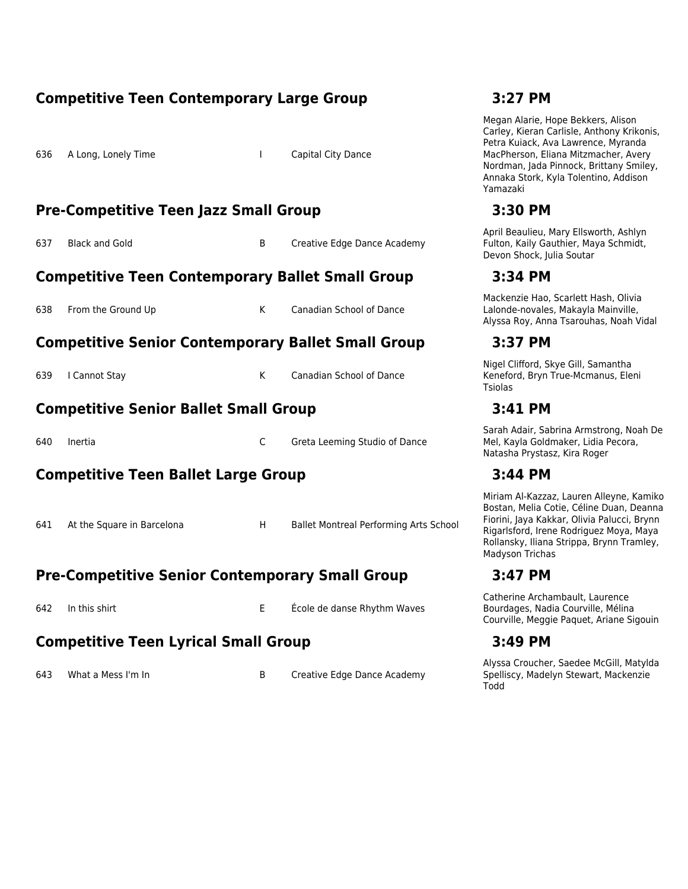### **Competitive Teen Contemporary Large Group 3:27 PM**

636 A Long, Lonely Time **I Capital City Dance** 

### **Pre-Competitive Teen Jazz Small Group 3:30 PM**

637 Black and Gold **B** Creative Edge Dance Academy

### **Competitive Teen Contemporary Ballet Small Group 3:34 PM**

| 638 From the Ground Up | Canadian School of Dance |
|------------------------|--------------------------|
|                        |                          |

### **Competitive Senior Contemporary Ballet Small Group 3:37 PM**

| 639   Cannot Stay |  | Canadian School of Dance |
|-------------------|--|--------------------------|
|                   |  |                          |

### **Competitive Senior Ballet Small Group 3:41 PM**

| 640 | Inertia | Greta Leeming Studio of Dance |  |
|-----|---------|-------------------------------|--|
|-----|---------|-------------------------------|--|

### **Competitive Teen Ballet Large Group 3:44 PM**

641 At the Square in Barcelona **H** Ballet Montreal Performing Arts School

### **Pre-Competitive Senior Contemporary Small Group 3:47 PM**

642 In this shirt E École de danse Rhythm Waves

### **Competitive Teen Lyrical Small Group 3:49 PM**

643 What a Mess I'm In Sand Creative Edge Dance Academy

Megan Alarie, Hope Bekkers, Alison Carley, Kieran Carlisle, Anthony Krikonis, Petra Kuiack, Ava Lawrence, Myranda MacPherson, Eliana Mitzmacher, Avery Nordman, Jada Pinnock, Brittany Smiley, Annaka Stork, Kyla Tolentino, Addison Yamazaki

April Beaulieu, Mary Ellsworth, Ashlyn Fulton, Kaily Gauthier, Maya Schmidt, Devon Shock, Julia Soutar

Mackenzie Hao, Scarlett Hash, Olivia Lalonde-novales, Makayla Mainville, Alyssa Roy, Anna Tsarouhas, Noah Vidal

Nigel Clifford, Skye Gill, Samantha Keneford, Bryn True-Mcmanus, Eleni Tsiolas

Sarah Adair, Sabrina Armstrong, Noah De Mel, Kayla Goldmaker, Lidia Pecora, Natasha Prystasz, Kira Roger

Miriam Al-Kazzaz, Lauren Alleyne, Kamiko Bostan, Melia Cotie, Céline Duan, Deanna Fiorini, Jaya Kakkar, Olivia Palucci, Brynn Rigarlsford, Irene Rodriguez Moya, Maya Rollansky, Iliana Strippa, Brynn Tramley, Madyson Trichas

Catherine Archambault, Laurence Bourdages, Nadia Courville, Mélina Courville, Meggie Paquet, Ariane Sigouin

Alyssa Croucher, Saedee McGill, Matylda Spelliscy, Madelyn Stewart, Mackenzie Todd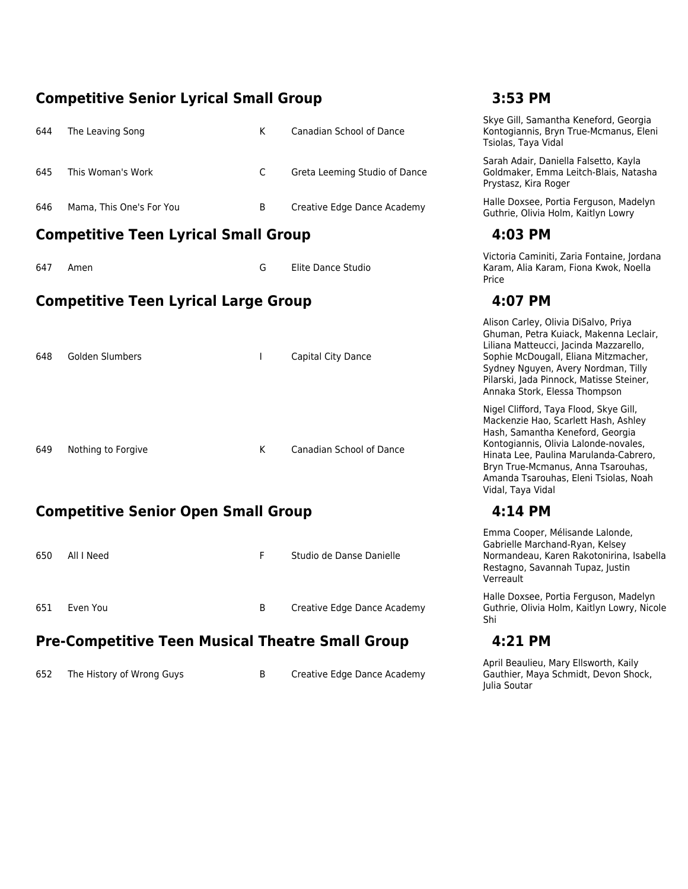### **Competitive Senior Lyrical Small Group 3:53 PM**

| 644 | The Leaving Song         | K. | Canadian School of Dance      |
|-----|--------------------------|----|-------------------------------|
| 645 | This Woman's Work        | C. | Greta Leeming Studio of Dance |
| 646 | Mama, This One's For You | B  | Creative Edge Dance Academy   |

### **Competitive Teen Lyrical Small Group 4:03 PM**

647 Amen G Elite Dance Studio

### **Competitive Teen Lyrical Large Group 4:07 PM**

| 648 | Golden Slumbers    |   | Capital City Dance              |
|-----|--------------------|---|---------------------------------|
| 649 | Nothing to Forgive | K | <b>Canadian School of Dance</b> |

### **Competitive Senior Open Small Group 4:14 PM**

| 650 | All I Need | F. | Studio de Danse Danielle    |
|-----|------------|----|-----------------------------|
| 651 | Even You   | B  | Creative Edge Dance Academy |

### **Pre-Competitive Teen Musical Theatre Small Group 4:21 PM**

652 The History of Wrong Guys B Creative Edge Dance Academy

Skye Gill, Samantha Keneford, Georgia Kontogiannis, Bryn True-Mcmanus, Eleni Tsiolas, Taya Vidal

Sarah Adair, Daniella Falsetto, Kayla Goldmaker, Emma Leitch-Blais, Natasha Prystasz, Kira Roger

Halle Doxsee, Portia Ferguson, Madelyn Guthrie, Olivia Holm, Kaitlyn Lowry

Victoria Caminiti, Zaria Fontaine, Jordana Karam, Alia Karam, Fiona Kwok, Noella Price

Alison Carley, Olivia DiSalvo, Priya Ghuman, Petra Kuiack, Makenna Leclair, Liliana Matteucci, Jacinda Mazzarello, Sophie McDougall, Eliana Mitzmacher, Sydney Nguyen, Avery Nordman, Tilly Pilarski, Jada Pinnock, Matisse Steiner, Annaka Stork, Elessa Thompson

Nigel Clifford, Taya Flood, Skye Gill, Mackenzie Hao, Scarlett Hash, Ashley Hash, Samantha Keneford, Georgia Kontogiannis, Olivia Lalonde-novales, Hinata Lee, Paulina Marulanda-Cabrero, Bryn True-Mcmanus, Anna Tsarouhas, Amanda Tsarouhas, Eleni Tsiolas, Noah Vidal, Taya Vidal

Emma Cooper, Mélisande Lalonde, Gabrielle Marchand-Ryan, Kelsey Normandeau, Karen Rakotonirina, Isabella Restagno, Savannah Tupaz, Justin Verreault

Halle Doxsee, Portia Ferguson, Madelyn Guthrie, Olivia Holm, Kaitlyn Lowry, Nicole Shi

April Beaulieu, Mary Ellsworth, Kaily Gauthier, Maya Schmidt, Devon Shock, Julia Soutar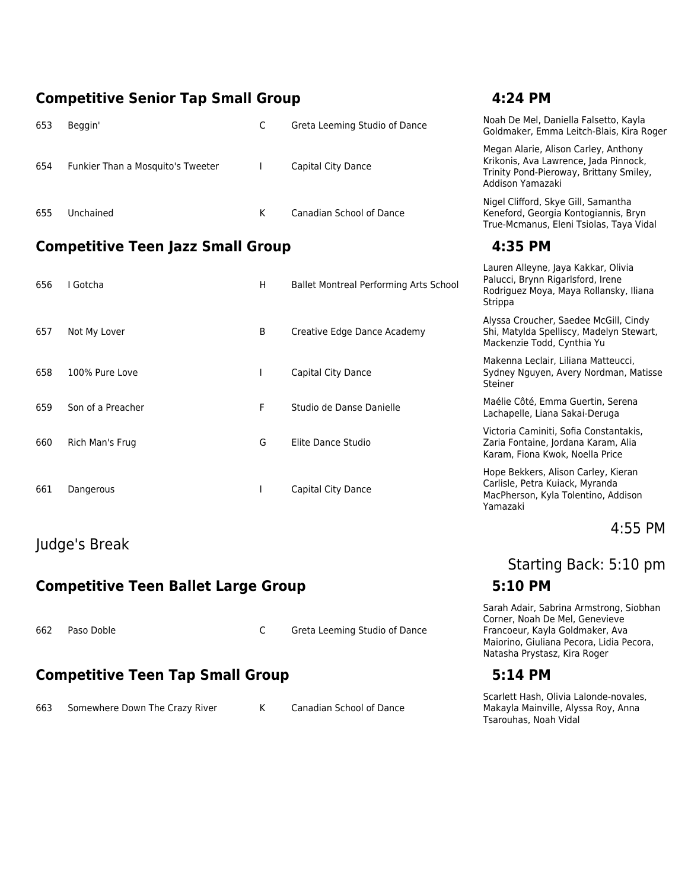### **Competitive Senior Tap Small Group 4:24 PM**

|                                          |                                   |    |                               | auren Alleyne, Java Kakkar, Olivia                                                                                                           |
|------------------------------------------|-----------------------------------|----|-------------------------------|----------------------------------------------------------------------------------------------------------------------------------------------|
| <b>Competitive Teen Jazz Small Group</b> |                                   |    |                               | 4:35 PM                                                                                                                                      |
| 655                                      | Unchained                         | K. | Canadian School of Dance      | Nigel Clifford, Skye Gill, Samantha<br>Keneford, Georgia Kontogiannis, Bryn<br>True-Mcmanus, Eleni Tsiolas, Taya Vidal                       |
| 654                                      | Funkier Than a Mosquito's Tweeter |    | Capital City Dance            | Megan Alarie, Alison Carley, Anthony<br>Krikonis, Ava Lawrence, Jada Pinnock,<br>Trinity Pond-Pieroway, Brittany Smiley,<br>Addison Yamazaki |
| 653                                      | Beggin'                           |    | Greta Leeming Studio of Dance | Noah De Mel, Daniella Falsetto, Kayla<br>Goldmaker, Emma Leitch-Blais, Kira Roger                                                            |

| 656 | Gotcha            | н  | <b>Ballet Montreal Performing Arts School</b> | i diucci, bi yıllı myulislerd, licilc<br>Rodriguez Moya, Maya Rollansky, Ili<br>Strippa                         |
|-----|-------------------|----|-----------------------------------------------|-----------------------------------------------------------------------------------------------------------------|
| 657 | Not My Lover      | B  | Creative Edge Dance Academy                   | Alyssa Croucher, Saedee McGill, Cir<br>Shi, Matylda Spelliscy, Madelyn Ster<br>Mackenzie Todd, Cynthia Yu       |
| 658 | 100% Pure Love    |    | Capital City Dance                            | Makenna Leclair, Liliana Matteucci,<br>Sydney Nguyen, Avery Nordman, M<br>Steiner                               |
| 659 | Son of a Preacher | F. | Studio de Danse Danielle                      | Maélie Côté, Emma Guertin, Serena<br>Lachapelle, Liana Sakai-Deruga                                             |
| 660 | Rich Man's Frug   | G  | Elite Dance Studio                            | Victoria Caminiti, Sofia Constantakis<br>Zaria Fontaine, Jordana Karam, Alia<br>Karam, Fiona Kwok, Noella Price |
| 661 | Dangerous         |    | Capital City Dance                            | Hope Bekkers, Alison Carley, Kieran<br>Carlisle, Petra Kuiack, Myranda<br>MacPherson, Kyla Tolentino, Addiso    |

### Judge's Break

### **Competitive Teen Ballet Large Group 5:10 PM**

662 Paso Doble C Greta Leeming Studio of Dance

### **Competitive Teen Tap Small Group 5:14 PM**

663 Somewhere Down The Crazy River K Canadian School of Dance

|                                | Addison Yamazaki                                                                                                              |
|--------------------------------|-------------------------------------------------------------------------------------------------------------------------------|
| n School of Dance              | Nigel Clifford, Skye Gill, Samantha<br>Keneford, Georgia Kontogiannis, Bryn<br>True-Mcmanus, Eleni Tsiolas, Taya Vidal        |
|                                | 4:35 PM                                                                                                                       |
| ontreal Performing Arts School | Lauren Alleyne, Jaya Kakkar, Olivia<br>Palucci, Brynn Rigarlsford, Irene<br>Rodriguez Moya, Maya Rollansky, Iliana<br>Strippa |
| Edge Dance Academy             | Alyssa Croucher, Saedee McGill, Cindy<br>Shi, Matylda Spelliscy, Madelyn Stewart,<br>Mackenzie Todd, Cynthia Yu               |
| City Dance                     | Makenna Leclair, Liliana Matteucci,<br>Sydney Nguyen, Avery Nordman, Matisse<br>Steiner                                       |
| e Danse Danielle               | Maélie Côté, Emma Guertin, Serena<br>Lachapelle, Liana Sakai-Deruga                                                           |
| าce Studio                     | Victoria Caminiti, Sofia Constantakis,<br>Zaria Fontaine, Jordana Karam, Alia<br>Karam, Fiona Kwok, Noella Price              |
| City Dance                     | Hope Bekkers, Alison Carley, Kieran<br>Carlisle, Petra Kuiack, Myranda<br>MacPherson, Kyla Tolentino, Addison<br>Yamazaki     |

### 4:55 PM

# Starting Back: 5:10 pm

Sarah Adair, Sabrina Armstrong, Siobhan Corner, Noah De Mel, Genevieve Francoeur, Kayla Goldmaker, Ava Maiorino, Giuliana Pecora, Lidia Pecora, Natasha Prystasz, Kira Roger

Scarlett Hash, Olivia Lalonde-novales, Makayla Mainville, Alyssa Roy, Anna Tsarouhas, Noah Vidal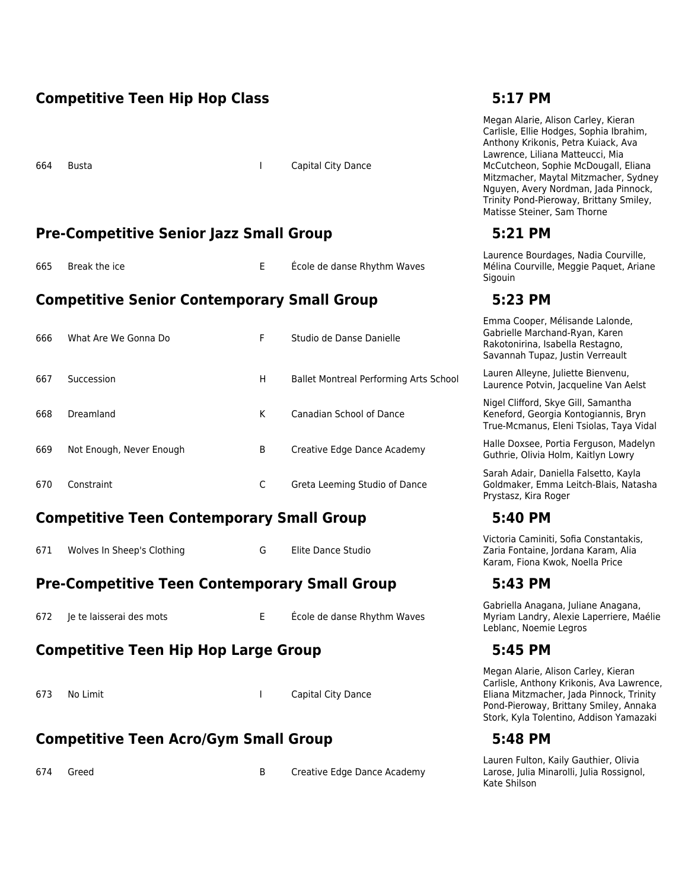### **Competitive Teen Hip Hop Class 5:17 PM**

664 Busta I Capital City Dance

### **Pre-Competitive Senior Jazz Small Group 5:21 PM**

665 Break the ice **E** Ecole de danse Rhythm Waves

### **Competitive Senior Contemporary Small Group 5:23 PM**

| 666 | What Are We Gonna Do     | F | Studio de Danse Danielle                    |
|-----|--------------------------|---|---------------------------------------------|
| 667 | Succession               | н | <b>Ballet Montreal Performing Arts Scho</b> |
| 668 | Dreamland                | К | Canadian School of Dance                    |
| 669 | Not Enough, Never Enough | B | Creative Edge Dance Academy                 |
| 670 | Constraint               | C | Greta Leeming Studio of Dance               |

### **Competitive Teen Contemporary Small Group 5:40 PM**

671 Wolves In Sheep's Clothing G Elite Dance Studio

### **Pre-Competitive Teen Contemporary Small Group 5:43 PM**

672 Je te laisserai des mots E École de danse Rhythm Waves

### **Competitive Teen Hip Hop Large Group 5:45 PM**

673 No Limit **I Capital City Dance** 

### **Competitive Teen Acro/Gym Small Group 5:48 PM**

674 Greed **B** Creative Edge Dance Academy

Megan Alarie, Alison Carley, Kieran Carlisle, Ellie Hodges, Sophia Ibrahim, Anthony Krikonis, Petra Kuiack, Ava Lawrence, Liliana Matteucci, Mia McCutcheon, Sophie McDougall, Eliana Mitzmacher, Maytal Mitzmacher, Sydney Nguyen, Avery Nordman, Jada Pinnock, Trinity Pond-Pieroway, Brittany Smiley, Matisse Steiner, Sam Thorne

Laurence Bourdages, Nadia Courville, Mélina Courville, Meggie Paquet, Ariane Sigouin

Emma Cooper, Mélisande Lalonde, Gabrielle Marchand-Ryan, Karen Rakotonirina, Isabella Restagno, Savannah Tupaz, Justin Verreault

666 Succession Lauren Alleyne, Juliette Bienvenu, Laurence Potvin, Jacqueline Van Aelst

> Nigel Clifford, Skye Gill, Samantha Keneford, Georgia Kontogiannis, Bryn True-Mcmanus, Eleni Tsiolas, Taya Vidal

> Halle Doxsee, Portia Ferguson, Madelyn Guthrie, Olivia Holm, Kaitlyn Lowry

> Sarah Adair, Daniella Falsetto, Kayla Goldmaker, Emma Leitch-Blais, Natasha Prystasz, Kira Roger

Victoria Caminiti, Sofia Constantakis, Zaria Fontaine, Jordana Karam, Alia Karam, Fiona Kwok, Noella Price

Gabriella Anagana, Juliane Anagana, Myriam Landry, Alexie Laperriere, Maélie Leblanc, Noemie Legros

Megan Alarie, Alison Carley, Kieran Carlisle, Anthony Krikonis, Ava Lawrence, Eliana Mitzmacher, Jada Pinnock, Trinity Pond-Pieroway, Brittany Smiley, Annaka Stork, Kyla Tolentino, Addison Yamazaki

Lauren Fulton, Kaily Gauthier, Olivia Larose, Julia Minarolli, Julia Rossignol, Kate Shilson